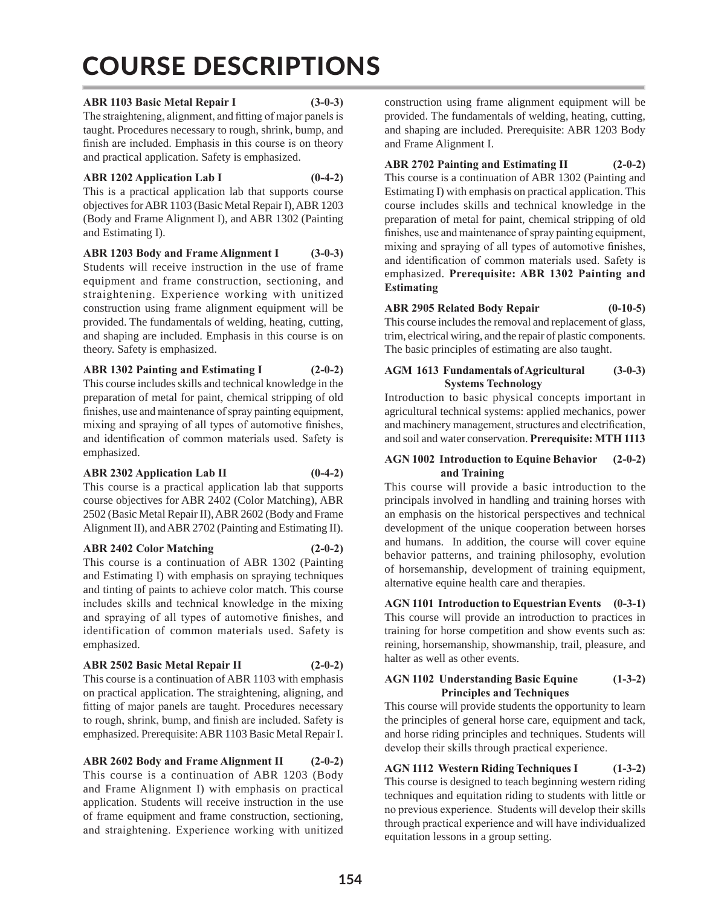# COURSE DESCRIPTIONS

# **ABR 1103 Basic Metal Repair I (3-0-3)**

The straightening, alignment, and fitting of major panels is taught. Procedures necessary to rough, shrink, bump, and finish are included. Emphasis in this course is on theory and practical application. Safety is emphasized.

# **ABR 1202 Application Lab I (0-4-2)**

This is a practical application lab that supports course objectives for ABR 1103 (Basic Metal Repair I), ABR 1203 (Body and Frame Alignment I), and ABR 1302 (Painting and Estimating I).

**ABR 1203 Body and Frame Alignment I (3-0-3)** Students will receive instruction in the use of frame equipment and frame construction, sectioning, and straightening. Experience working with unitized construction using frame alignment equipment will be provided. The fundamentals of welding, heating, cutting, and shaping are included. Emphasis in this course is on theory. Safety is emphasized.

# **ABR 1302 Painting and Estimating I (2-0-2)**

This course includes skills and technical knowledge in the preparation of metal for paint, chemical stripping of old finishes, use and maintenance of spray painting equipment, mixing and spraying of all types of automotive finishes, and identification of common materials used. Safety is emphasized.

# **ABR 2302 Application Lab II (0-4-2)**

This course is a practical application lab that supports course objectives for ABR 2402 (Color Matching), ABR 2502 (Basic Metal Repair II), ABR 2602 (Body and Frame Alignment II), and ABR 2702 (Painting and Estimating II).

**ABR 2402 Color Matching (2-0-2)**

This course is a continuation of ABR 1302 (Painting and Estimating I) with emphasis on spraying techniques and tinting of paints to achieve color match. This course includes skills and technical knowledge in the mixing and spraying of all types of automotive finishes, and identification of common materials used. Safety is emphasized.

# **ABR 2502 Basic Metal Repair II (2-0-2)**

This course is a continuation of ABR 1103 with emphasis on practical application. The straightening, aligning, and fitting of major panels are taught. Procedures necessary to rough, shrink, bump, and finish are included. Safety is emphasized. Prerequisite: ABR 1103 Basic Metal Repair I.

**ABR 2602 Body and Frame Alignment II (2-0-2)** This course is a continuation of ABR 1203 (Body and Frame Alignment I) with emphasis on practical application. Students will receive instruction in the use of frame equipment and frame construction, sectioning, and straightening. Experience working with unitized construction using frame alignment equipment will be provided. The fundamentals of welding, heating, cutting, and shaping are included. Prerequisite: ABR 1203 Body and Frame Alignment I.

# **ABR 2702 Painting and Estimating II (2-0-2)**

This course is a continuation of ABR 1302 (Painting and Estimating I) with emphasis on practical application. This course includes skills and technical knowledge in the preparation of metal for paint, chemical stripping of old finishes, use and maintenance of spray painting equipment, mixing and spraying of all types of automotive finishes, and identification of common materials used. Safety is emphasized. **Prerequisite: ABR 1302 Painting and Estimating** 

# **ABR 2905 Related Body Repair (0-10-5)**

This course includes the removal and replacement of glass, trim, electrical wiring, and the repair of plastic components. The basic principles of estimating are also taught.

# **AGM 1613 Fundamentals of Agricultural (3-0-3) Systems Technology**

Introduction to basic physical concepts important in agricultural technical systems: applied mechanics, power and machinery management, structures and electrification, and soil and water conservation. **Prerequisite: MTH 1113**

# **AGN 1002 Introduction to Equine Behavior (2-0-2) and Training**

This course will provide a basic introduction to the principals involved in handling and training horses with an emphasis on the historical perspectives and technical development of the unique cooperation between horses and humans. In addition, the course will cover equine behavior patterns, and training philosophy, evolution of horsemanship, development of training equipment, alternative equine health care and therapies.

**AGN 1101 Introduction to Equestrian Events (0-3-1)** This course will provide an introduction to practices in training for horse competition and show events such as: reining, horsemanship, showmanship, trail, pleasure, and halter as well as other events.

# **AGN 1102 Understanding Basic Equine (1-3-2) Principles and Techniques**

This course will provide students the opportunity to learn the principles of general horse care, equipment and tack, and horse riding principles and techniques. Students will develop their skills through practical experience.

**AGN 1112 Western Riding Techniques I (1-3-2)** This course is designed to teach beginning western riding techniques and equitation riding to students with little or no previous experience. Students will develop their skills through practical experience and will have individualized equitation lessons in a group setting.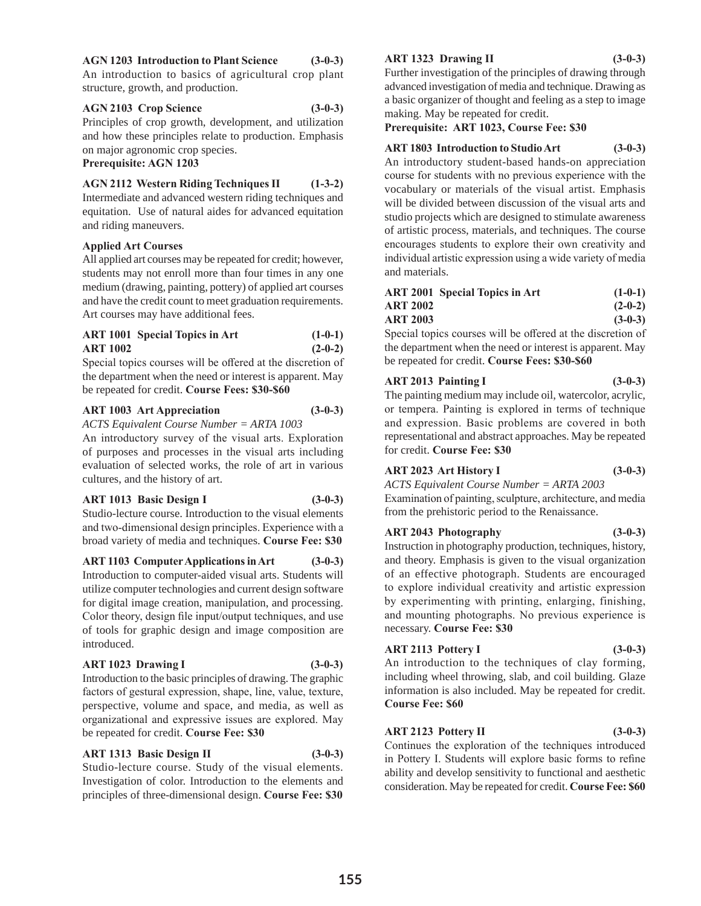# **AGN 1203 Introduction to Plant Science (3-0-3)**

An introduction to basics of agricultural crop plant structure, growth, and production.

#### **AGN 2103 Crop Science (3-0-3)** Principles of crop growth, development, and utilization and how these principles relate to production. Emphasis on major agronomic crop species.

#### **Prerequisite: AGN 1203**

**AGN 2112 Western Riding Techniques II (1-3-2)** Intermediate and advanced western riding techniques and equitation. Use of natural aides for advanced equitation and riding maneuvers.

# **Applied Art Courses**

All applied art courses may be repeated for credit; however, students may not enroll more than four times in any one medium (drawing, painting, pottery) of applied art courses and have the credit count to meet graduation requirements. Art courses may have additional fees.

|                 | <b>ART 1001 Special Topics in Art</b> | $(1-0-1)$ |
|-----------------|---------------------------------------|-----------|
| <b>ART 1002</b> |                                       | $(2-0-2)$ |

Special topics courses will be offered at the discretion of the department when the need or interest is apparent. May be repeated for credit. **Course Fees: \$30-\$60**

# **ART 1003 Art Appreciation (3-0-3)**

*ACTS Equivalent Course Number = ARTA 1003*

An introductory survey of the visual arts. Exploration of purposes and processes in the visual arts including evaluation of selected works, the role of art in various cultures, and the history of art.

#### **ART 1013 Basic Design I (3-0-3)**

Studio-lecture course. Introduction to the visual elements and two-dimensional design principles. Experience with a broad variety of media and techniques. **Course Fee: \$30**

**ART 1103 Computer Applications in Art (3-0-3)**

Introduction to computer-aided visual arts. Students will utilize computer technologies and current design software for digital image creation, manipulation, and processing. Color theory, design file input/output techniques, and use of tools for graphic design and image composition are introduced.

#### **ART 1023 Drawing I (3-0-3)**

Introduction to the basic principles of drawing. The graphic factors of gestural expression, shape, line, value, texture, perspective, volume and space, and media, as well as organizational and expressive issues are explored. May be repeated for credit. **Course Fee: \$30**

#### **ART 1313 Basic Design II (3-0-3)**

# Studio-lecture course. Study of the visual elements. Investigation of color. Introduction to the elements and principles of three-dimensional design. **Course Fee: \$30**

# **ART 1323 Drawing II (3-0-3)**

Further investigation of the principles of drawing through advanced investigation of media and technique. Drawing as a basic organizer of thought and feeling as a step to image making. May be repeated for credit.

**Prerequisite: ART 1023, Course Fee: \$30**

# **ART 1803 Introduction to Studio Art (3-0-3)**

An introductory student-based hands-on appreciation course for students with no previous experience with the vocabulary or materials of the visual artist. Emphasis will be divided between discussion of the visual arts and studio projects which are designed to stimulate awareness of artistic process, materials, and techniques. The course encourages students to explore their own creativity and individual artistic expression using a wide variety of media and materials.

|          | ART 2001 Special Topics in Art | $(1-0-1)$ |
|----------|--------------------------------|-----------|
| ART 2002 |                                | $(2-0-2)$ |
| ART 2003 |                                | $(3-0-3)$ |

Special topics courses will be offered at the discretion of the department when the need or interest is apparent. May be repeated for credit. **Course Fees: \$30-\$60**

# **ART 2013 Painting I (3-0-3)**

The painting medium may include oil, watercolor, acrylic, or tempera. Painting is explored in terms of technique and expression. Basic problems are covered in both representational and abstract approaches. May be repeated for credit. **Course Fee: \$30**

# **ART 2023 Art History I (3-0-3)**

*ACTS Equivalent Course Number = ARTA 2003* Examination of painting, sculpture, architecture, and media from the prehistoric period to the Renaissance.

# **ART 2043 Photography (3-0-3)**

Instruction in photography production, techniques, history, and theory. Emphasis is given to the visual organization of an effective photograph. Students are encouraged to explore individual creativity and artistic expression by experimenting with printing, enlarging, finishing, and mounting photographs. No previous experience is necessary. **Course Fee: \$30**

# **ART 2113 Pottery I (3-0-3)**

An introduction to the techniques of clay forming, including wheel throwing, slab, and coil building. Glaze information is also included. May be repeated for credit. **Course Fee: \$60**

# **ART 2123 Pottery II (3-0-3)**

Continues the exploration of the techniques introduced in Pottery I. Students will explore basic forms to refine ability and develop sensitivity to functional and aesthetic consideration. May be repeated for credit. **Course Fee: \$60**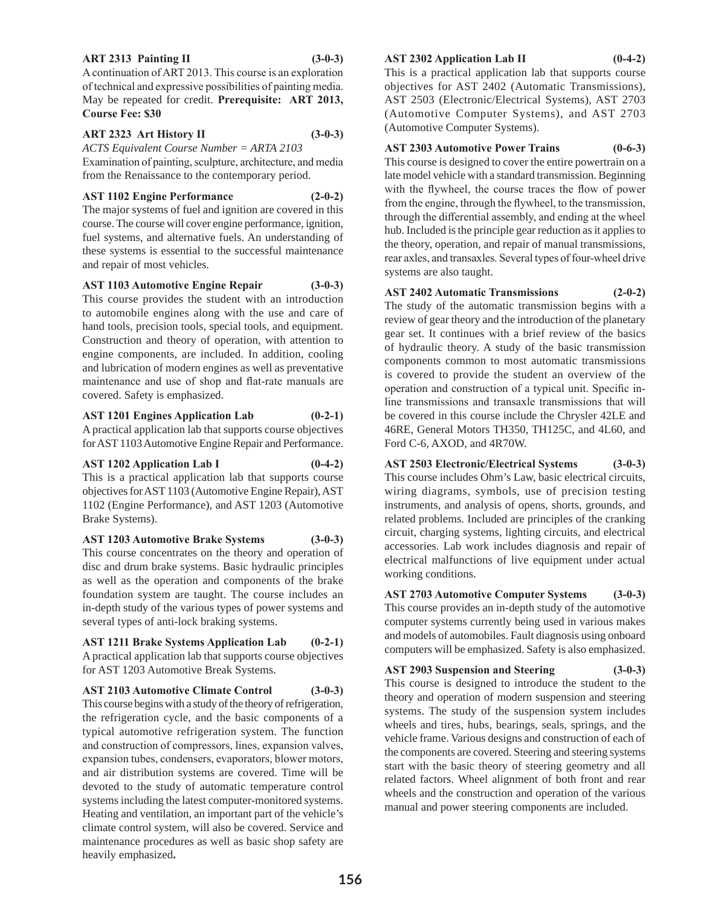#### **ART 2313 Painting II (3-0-3)**

A continuation of ART 2013. This course is an exploration of technical and expressive possibilities of painting media. May be repeated for credit. **Prerequisite: ART 2013, Course Fee: \$30**

#### **ART 2323 Art History II (3-0-3)**

*ACTS Equivalent Course Number = ARTA 2103*

Examination of painting, sculpture, architecture, and media from the Renaissance to the contemporary period.

# **AST 1102 Engine Performance (2-0-2)**

The major systems of fuel and ignition are covered in this course. The course will cover engine performance, ignition, fuel systems, and alternative fuels. An understanding of these systems is essential to the successful maintenance and repair of most vehicles.

# **AST 1103 Automotive Engine Repair (3-0-3)**

This course provides the student with an introduction to automobile engines along with the use and care of hand tools, precision tools, special tools, and equipment. Construction and theory of operation, with attention to engine components, are included. In addition, cooling and lubrication of modern engines as well as preventative maintenance and use of shop and flat-rate manuals are covered. Safety is emphasized.

# **AST 1201 Engines Application Lab (0-2-1)**

A practical application lab that supports course objectives for AST 1103 Automotive Engine Repair and Performance.

# **AST 1202 Application Lab I (0-4-2)**

This is a practical application lab that supports course objectives for AST 1103 (Automotive Engine Repair), AST 1102 (Engine Performance), and AST 1203 (Automotive Brake Systems).

**AST 1203 Automotive Brake Systems (3-0-3)** This course concentrates on the theory and operation of disc and drum brake systems. Basic hydraulic principles as well as the operation and components of the brake foundation system are taught. The course includes an in-depth study of the various types of power systems and several types of anti-lock braking systems.

**AST 1211 Brake Systems Application Lab (0-2-1)** A practical application lab that supports course objectives for AST 1203 Automotive Break Systems.

**AST 2103 Automotive Climate Control (3-0-3)** This course begins with a study of the theory of refrigeration, the refrigeration cycle, and the basic components of a typical automotive refrigeration system. The function and construction of compressors, lines, expansion valves, expansion tubes, condensers, evaporators, blower motors, and air distribution systems are covered. Time will be devoted to the study of automatic temperature control systems including the latest computer-monitored systems. Heating and ventilation, an important part of the vehicle's climate control system, will also be covered. Service and maintenance procedures as well as basic shop safety are heavily emphasized**.**

# **AST 2302 Application Lab II (0-4-2)**

This is a practical application lab that supports course objectives for AST 2402 (Automatic Transmissions), AST 2503 (Electronic/Electrical Systems), AST 2703 (Automotive Computer Systems), and AST 2703 (Automotive Computer Systems).

# **AST 2303 Automotive Power Trains (0-6-3)**

This course is designed to cover the entire powertrain on a late model vehicle with a standard transmission. Beginning with the flywheel, the course traces the flow of power from the engine, through the flywheel, to the transmission, through the differential assembly, and ending at the wheel hub. Included is the principle gear reduction as it applies to the theory, operation, and repair of manual transmissions, rear axles, and transaxles. Several types of four-wheel drive systems are also taught.

# **AST 2402 Automatic Transmissions (2-0-2)**

The study of the automatic transmission begins with a review of gear theory and the introduction of the planetary gear set. It continues with a brief review of the basics of hydraulic theory. A study of the basic transmission components common to most automatic transmissions is covered to provide the student an overview of the operation and construction of a typical unit. Specific inline transmissions and transaxle transmissions that will be covered in this course include the Chrysler 42LE and 46RE, General Motors TH350, TH125C, and 4L60, and Ford C-6, AXOD, and 4R70W.

**AST 2503 Electronic/Electrical Systems (3-0-3)** This course includes Ohm's Law, basic electrical circuits, wiring diagrams, symbols, use of precision testing instruments, and analysis of opens, shorts, grounds, and related problems. Included are principles of the cranking circuit, charging systems, lighting circuits, and electrical accessories. Lab work includes diagnosis and repair of electrical malfunctions of live equipment under actual working conditions.

**AST 2703 Automotive Computer Systems (3-0-3)** This course provides an in-depth study of the automotive computer systems currently being used in various makes and models of automobiles. Fault diagnosis using onboard computers will be emphasized. Safety is also emphasized.

# **AST 2903 Suspension and Steering (3-0-3)**

This course is designed to introduce the student to the theory and operation of modern suspension and steering systems. The study of the suspension system includes wheels and tires, hubs, bearings, seals, springs, and the vehicle frame. Various designs and construction of each of the components are covered. Steering and steering systems start with the basic theory of steering geometry and all related factors. Wheel alignment of both front and rear wheels and the construction and operation of the various manual and power steering components are included.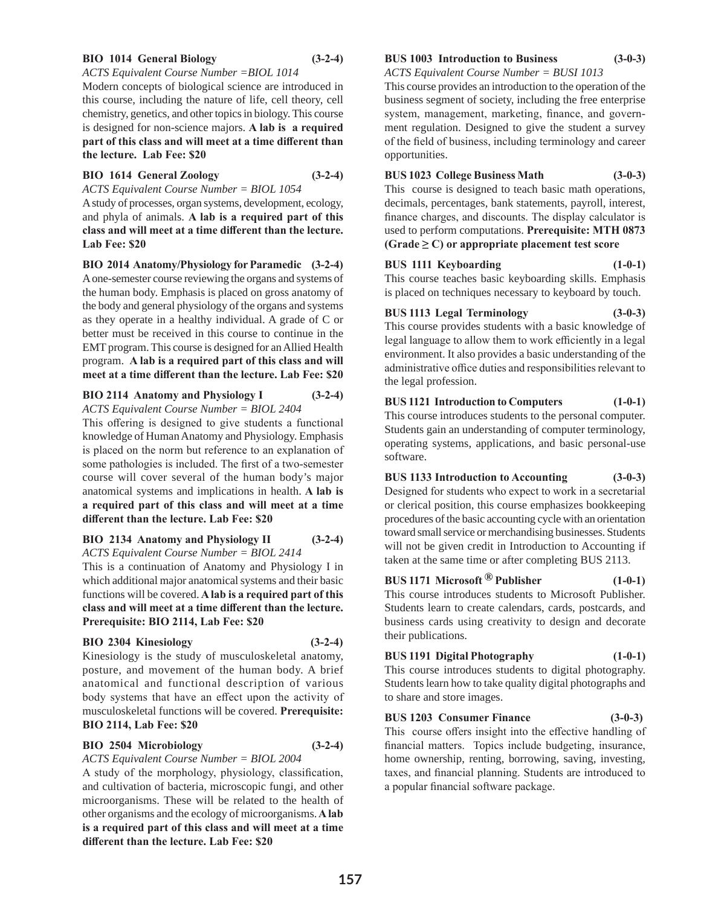#### **BIO 1014 General Biology (3-2-4)**

#### *ACTS Equivalent Course Number =BIOL 1014*

Modern concepts of biological science are introduced in this course, including the nature of life, cell theory, cell chemistry, genetics, and other topics in biology. This course is designed for non-science majors. **A lab is a required part of this class and will meet at a time different than the lecture. Lab Fee: \$20**

#### **BIO 1614 General Zoology (3-2-4)**

*ACTS Equivalent Course Number = BIOL 1054*

A study of processes, organ systems, development, ecology, and phyla of animals. **A lab is a required part of this class and will meet at a time different than the lecture. Lab Fee: \$20**

**BIO 2014 Anatomy/Physiology for Paramedic (3-2-4)** A one-semester course reviewing the organs and systems of the human body. Emphasis is placed on gross anatomy of the body and general physiology of the organs and systems as they operate in a healthy individual. A grade of C or better must be received in this course to continue in the EMT program. This course is designed for an Allied Health program. **A lab is a required part of this class and will meet at a time different than the lecture. Lab Fee: \$20**

#### **BIO 2114 Anatomy and Physiology I (3-2-4)** *ACTS Equivalent Course Number = BIOL 2404*

This offering is designed to give students a functional knowledge of Human Anatomy and Physiology. Emphasis is placed on the norm but reference to an explanation of some pathologies is included. The first of a two-semester course will cover several of the human body's major anatomical systems and implications in health. **A lab is a required part of this class and will meet at a time different than the lecture. Lab Fee: \$20**

# **BIO 2134 Anatomy and Physiology II (3-2-4)** *ACTS Equivalent Course Number = BIOL 2414*

This is a continuation of Anatomy and Physiology I in which additional major anatomical systems and their basic functions will be covered. **A lab is a required part of this class and will meet at a time different than the lecture. Prerequisite: BIO 2114, Lab Fee: \$20**

# **BIO 2304 Kinesiology (3-2-4)**

Kinesiology is the study of musculoskeletal anatomy, posture, and movement of the human body. A brief anatomical and functional description of various body systems that have an effect upon the activity of musculoskeletal functions will be covered. **Prerequisite: BIO 2114, Lab Fee: \$20**

# **BIO 2504 Microbiology (3-2-4)**

*ACTS Equivalent Course Number = BIOL 2004*

A study of the morphology, physiology, classification, and cultivation of bacteria, microscopic fungi, and other microorganisms. These will be related to the health of other organisms and the ecology of microorganisms. **A lab is a required part of this class and will meet at a time different than the lecture. Lab Fee: \$20**

#### **BUS 1003 Introduction to Business (3-0-3)**

*ACTS Equivalent Course Number = BUSI 1013*

This course provides an introduction to the operation of the business segment of society, including the free enterprise system, management, marketing, finance, and government regulation. Designed to give the student a survey of the field of business, including terminology and career opportunities.

# **BUS 1023 College Business Math (3-0-3)**

This course is designed to teach basic math operations, decimals, percentages, bank statements, payroll, interest, finance charges, and discounts. The display calculator is used to perform computations. **Prerequisite: MTH 0873**   $(Grade \ge C)$  or appropriate placement test score

#### **BUS 1111 Keyboarding (1-0-1)**

This course teaches basic keyboarding skills. Emphasis is placed on techniques necessary to keyboard by touch.

# **BUS 1113 Legal Terminology (3-0-3)**

This course provides students with a basic knowledge of legal language to allow them to work efficiently in a legal environment. It also provides a basic understanding of the administrative office duties and responsibilities relevant to the legal profession.

# **BUS 1121 Introduction to Computers (1-0-1)**

This course introduces students to the personal computer. Students gain an understanding of computer terminology, operating systems, applications, and basic personal-use software.

# **BUS 1133 Introduction to Accounting (3-0-3)**

Designed for students who expect to work in a secretarial or clerical position, this course emphasizes bookkeeping procedures of the basic accounting cycle with an orientation toward small service or merchandising businesses. Students will not be given credit in Introduction to Accounting if taken at the same time or after completing BUS 2113.

# **BUS 1171 Microsoft ® Publisher (1-0-1)**

This course introduces students to Microsoft Publisher. Students learn to create calendars, cards, postcards, and business cards using creativity to design and decorate their publications.

# **BUS 1191 Digital Photography (1-0-1)**

This course introduces students to digital photography. Students learn how to take quality digital photographs and to share and store images.

# **BUS 1203 Consumer Finance (3-0-3)**

This course offers insight into the effective handling of financial matters. Topics include budgeting, insurance, home ownership, renting, borrowing, saving, investing, taxes, and financial planning. Students are introduced to a popular financial software package.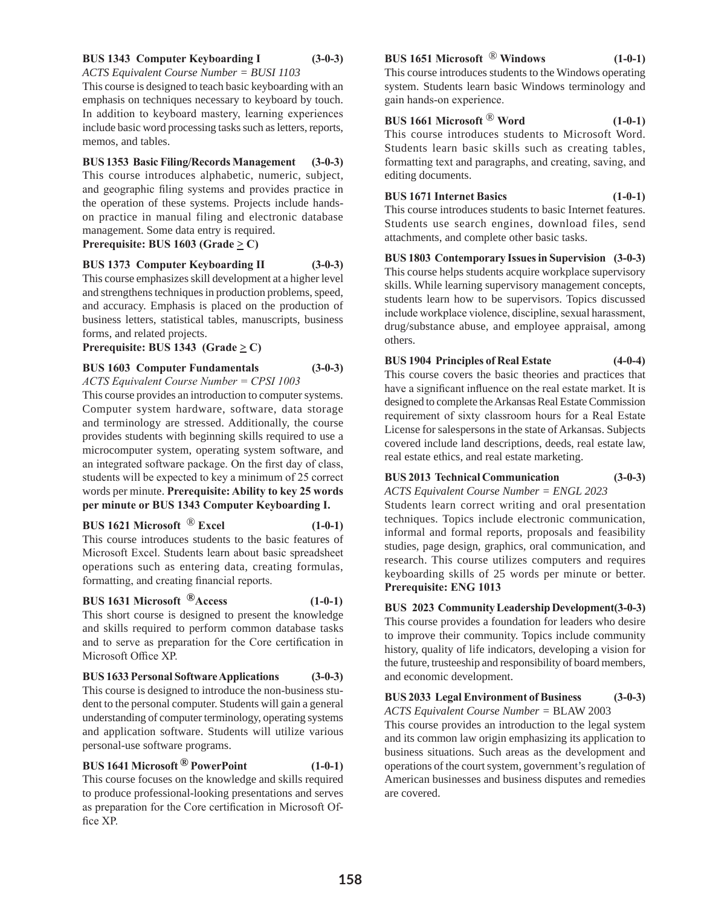# **BUS 1343 Computer Keyboarding I (3-0-3)**

*ACTS Equivalent Course Number = BUSI 1103*

This course is designed to teach basic keyboarding with an emphasis on techniques necessary to keyboard by touch. In addition to keyboard mastery, learning experiences include basic word processing tasks such as letters, reports, memos, and tables.

# **BUS 1353 Basic Filing/Records Management (3-0-3)**

This course introduces alphabetic, numeric, subject, and geographic filing systems and provides practice in the operation of these systems. Projects include handson practice in manual filing and electronic database management. Some data entry is required.

# **Prerequisite: BUS 1603 (Grade**  $\geq$  **C)**

**BUS 1373 Computer Keyboarding II (3-0-3)** This course emphasizes skill development at a higher level and strengthens techniques in production problems, speed, and accuracy. Emphasis is placed on the production of business letters, statistical tables, manuscripts, business forms, and related projects.

# **Prerequisite: BUS 1343 (Grade**  $\geq$  **C)**

# **BUS 1603 Computer Fundamentals (3-0-3)**

*ACTS Equivalent Course Number = CPSI 1003*

This course provides an introduction to computer systems. Computer system hardware, software, data storage and terminology are stressed. Additionally, the course provides students with beginning skills required to use a microcomputer system, operating system software, and an integrated software package. On the first day of class, students will be expected to key a minimum of 25 correct words per minute. **Prerequisite: Ability to key 25 words per minute or BUS 1343 Computer Keyboarding I.**

# **BUS 1621 Microsoft** ® **Excel (1-0-1)**

This course introduces students to the basic features of Microsoft Excel. Students learn about basic spreadsheet operations such as entering data, creating formulas, formatting, and creating financial reports.

# **BUS 1631 Microsoft ®Access (1-0-1)**

This short course is designed to present the knowledge and skills required to perform common database tasks and to serve as preparation for the Core certification in Microsoft Office XP.

# **BUS 1633 Personal Software Applications (3-0-3)**

This course is designed to introduce the non-business student to the personal computer. Students will gain a general understanding of computer terminology, operating systems and application software. Students will utilize various personal-use software programs.

# **BUS 1641 Microsoft ® PowerPoint (1-0-1)**

This course focuses on the knowledge and skills required to produce professional-looking presentations and serves as preparation for the Core certification in Microsoft Office XP.

# **BUS 1651 Microsoft** ® **Windows (1-0-1)**

This course introduces students to the Windows operating system. Students learn basic Windows terminology and gain hands-on experience.

# **BUS 1661 Microsoft** ® **Word (1-0-1)**

This course introduces students to Microsoft Word. Students learn basic skills such as creating tables, formatting text and paragraphs, and creating, saving, and editing documents.

# **BUS 1671 Internet Basics (1-0-1)**

This course introduces students to basic Internet features. Students use search engines, download files, send attachments, and complete other basic tasks.

# **BUS 1803 Contemporary Issues in Supervision (3-0-3)**

This course helps students acquire workplace supervisory skills. While learning supervisory management concepts, students learn how to be supervisors. Topics discussed include workplace violence, discipline, sexual harassment, drug/substance abuse, and employee appraisal, among others.

# **BUS 1904 Principles of Real Estate (4-0-4)**

This course covers the basic theories and practices that have a significant influence on the real estate market. It is designed to complete the Arkansas Real Estate Commission requirement of sixty classroom hours for a Real Estate License for salespersons in the state of Arkansas. Subjects covered include land descriptions, deeds, real estate law, real estate ethics, and real estate marketing.

# **BUS 2013 Technical Communication (3-0-3)**

*ACTS Equivalent Course Number = ENGL 2023* Students learn correct writing and oral presentation techniques. Topics include electronic communication, informal and formal reports, proposals and feasibility studies, page design, graphics, oral communication, and research. This course utilizes computers and requires keyboarding skills of 25 words per minute or better. **Prerequisite: ENG 1013** 

# **BUS 2023 Community Leadership Development(3-0-3)**

This course provides a foundation for leaders who desire to improve their community. Topics include community history, quality of life indicators, developing a vision for the future, trusteeship and responsibility of board members, and economic development.

# **BUS 2033 Legal Environment of Business (3-0-3)**

*ACTS Equivalent Course Number =* BLAW 2003 This course provides an introduction to the legal system and its common law origin emphasizing its application to business situations. Such areas as the development and operations of the court system, government's regulation of American businesses and business disputes and remedies are covered.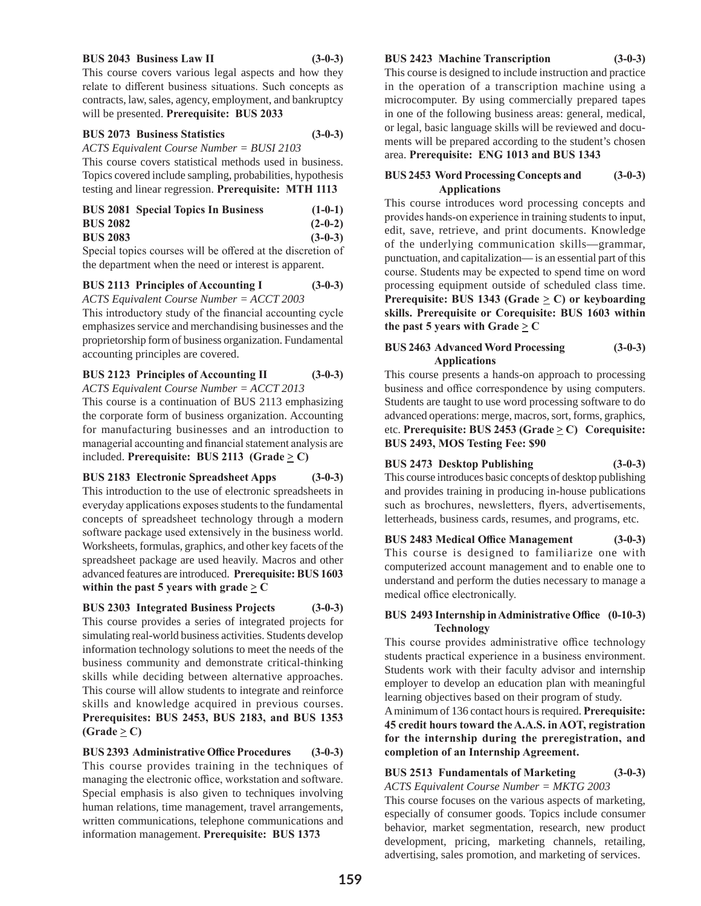#### **BUS 2043 Business Law II (3-0-3)**

This course covers various legal aspects and how they relate to different business situations. Such concepts as contracts, law, sales, agency, employment, and bankruptcy will be presented. **Prerequisite: BUS 2033**

#### **BUS 2073 Business Statistics (3-0-3)**

*ACTS Equivalent Course Number = BUSI 2103*

This course covers statistical methods used in business. Topics covered include sampling, probabilities, hypothesis testing and linear regression. **Prerequisite: MTH 1113**

|                 | <b>BUS 2081 Special Topics In Business</b> | $(1-0-1)$ |
|-----------------|--------------------------------------------|-----------|
| <b>BUS 2082</b> |                                            | $(2-0-2)$ |
| <b>BUS 2083</b> |                                            | $(3-0-3)$ |

Special topics courses will be offered at the discretion of the department when the need or interest is apparent.

**BUS 2113 Principles of Accounting I (3-0-3)**

*ACTS Equivalent Course Number = ACCT 2003*

This introductory study of the financial accounting cycle emphasizes service and merchandising businesses and the proprietorship form of business organization. Fundamental accounting principles are covered.

# **BUS 2123 Principles of Accounting II (3-0-3)**

*ACTS Equivalent Course Number = ACCT 2013*

This course is a continuation of BUS 2113 emphasizing the corporate form of business organization. Accounting for manufacturing businesses and an introduction to managerial accounting and financial statement analysis are included. **Prerequisite:** BUS 2113 (Grade  $\geq$  C)

**BUS 2183 Electronic Spreadsheet Apps (3-0-3)** This introduction to the use of electronic spreadsheets in everyday applications exposes students to the fundamental concepts of spreadsheet technology through a modern software package used extensively in the business world. Worksheets, formulas, graphics, and other key facets of the spreadsheet package are used heavily. Macros and other advanced features are introduced. **Prerequisite: BUS 1603 within the past 5 years with grade**  $\geq$  C

**BUS 2303 Integrated Business Projects (3-0-3)** This course provides a series of integrated projects for simulating real-world business activities. Students develop information technology solutions to meet the needs of the business community and demonstrate critical-thinking skills while deciding between alternative approaches. This course will allow students to integrate and reinforce skills and knowledge acquired in previous courses. **Prerequisites: BUS 2453, BUS 2183, and BUS 1353**   $(Grade \ge C)$ 

**BUS 2393 Administrative Office Procedures (3-0-3)** This course provides training in the techniques of managing the electronic office, workstation and software. Special emphasis is also given to techniques involving human relations, time management, travel arrangements, written communications, telephone communications and information management. **Prerequisite: BUS 1373**

**BUS 2423 Machine Transcription (3-0-3)**

This course is designed to include instruction and practice in the operation of a transcription machine using a microcomputer. By using commercially prepared tapes in one of the following business areas: general, medical, or legal, basic language skills will be reviewed and documents will be prepared according to the student's chosen area. **Prerequisite: ENG 1013 and BUS 1343**

# **BUS 2453 Word Processing Concepts and (3-0-3) Applications**

This course introduces word processing concepts and provides hands-on experience in training students to input, edit, save, retrieve, and print documents. Knowledge of the underlying communication skills—grammar, punctuation, and capitalization— is an essential part of this course. Students may be expected to spend time on word processing equipment outside of scheduled class time. **Prerequisite: BUS 1343 (Grade**  $\geq$  **C) or keyboarding skills. Prerequisite or Corequisite: BUS 1603 within the past 5 years with Grade**  $\geq$  **C** 

#### **BUS 2463 Advanced Word Processing (3-0-3) Applications**

This course presents a hands-on approach to processing business and office correspondence by using computers. Students are taught to use word processing software to do advanced operations: merge, macros, sort, forms, graphics, etc. **Prerequisite: BUS 2453 (Grade > C) Corequisite: BUS 2493, MOS Testing Fee: \$90** 

# **BUS 2473 Desktop Publishing (3-0-3)**

This course introduces basic concepts of desktop publishing and provides training in producing in-house publications such as brochures, newsletters, flyers, advertisements, letterheads, business cards, resumes, and programs, etc.

**BUS 2483 Medical Office Management (3-0-3)** This course is designed to familiarize one with computerized account management and to enable one to understand and perform the duties necessary to manage a medical office electronically.

# **BUS 2493 Internship in Administrative Office (0-10-3) Technology**

This course provides administrative office technology students practical experience in a business environment. Students work with their faculty advisor and internship employer to develop an education plan with meaningful learning objectives based on their program of study.

A minimum of 136 contact hours is required. **Prerequisite: 45 credit hours toward the A.A.S. in AOT, registration for the internship during the preregistration, and completion of an Internship Agreement.** 

# **BUS 2513 Fundamentals of Marketing (3-0-3)** *ACTS Equivalent Course Number = MKTG 2003*

This course focuses on the various aspects of marketing, especially of consumer goods. Topics include consumer behavior, market segmentation, research, new product development, pricing, marketing channels, retailing, advertising, sales promotion, and marketing of services.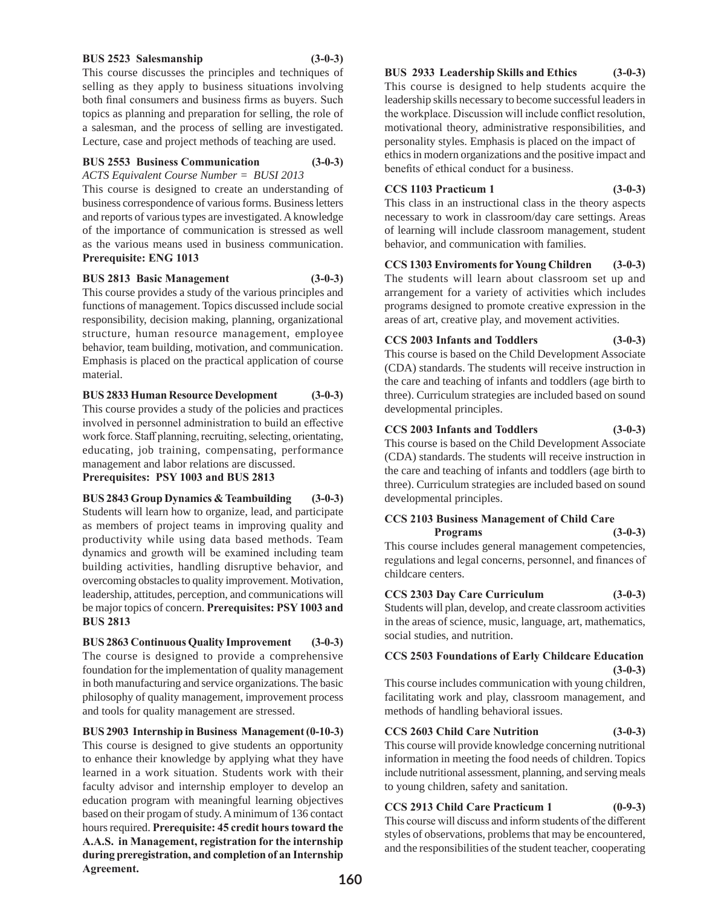#### **BUS 2523 Salesmanship (3-0-3)**

This course discusses the principles and techniques of selling as they apply to business situations involving both final consumers and business firms as buyers. Such topics as planning and preparation for selling, the role of a salesman, and the process of selling are investigated. Lecture, case and project methods of teaching are used.

# **BUS 2553 Business Communication (3-0-3)**

*ACTS Equivalent Course Number = BUSI 2013*

This course is designed to create an understanding of business correspondence of various forms. Business letters and reports of various types are investigated. A knowledge of the importance of communication is stressed as well as the various means used in business communication. **Prerequisite: ENG 1013**

# **BUS 2813 Basic Management (3-0-3)**

This course provides a study of the various principles and functions of management. Topics discussed include social responsibility, decision making, planning, organizational structure, human resource management, employee behavior, team building, motivation, and communication. Emphasis is placed on the practical application of course material.

**BUS 2833 Human Resource Development (3-0-3)**

This course provides a study of the policies and practices involved in personnel administration to build an effective work force. Staff planning, recruiting, selecting, orientating, educating, job training, compensating, performance management and labor relations are discussed.

**Prerequisites: PSY 1003 and BUS 2813**

**BUS 2843 Group Dynamics & Teambuilding (3-0-3)** Students will learn how to organize, lead, and participate as members of project teams in improving quality and productivity while using data based methods. Team dynamics and growth will be examined including team building activities, handling disruptive behavior, and overcoming obstacles to quality improvement. Motivation, leadership, attitudes, perception, and communications will be major topics of concern. **Prerequisites: PSY 1003 and BUS 2813**

**BUS 2863 Continuous Quality Improvement (3-0-3)** The course is designed to provide a comprehensive foundation for the implementation of quality management in both manufacturing and service organizations. The basic philosophy of quality management, improvement process and tools for quality management are stressed.

**BUS 2903 Internship in Business Management (0-10-3)**

This course is designed to give students an opportunity to enhance their knowledge by applying what they have learned in a work situation. Students work with their faculty advisor and internship employer to develop an education program with meaningful learning objectives based on their progam of study. A minimum of 136 contact hours required. **Prerequisite: 45 credit hours toward the A.A.S. in Management, registration for the internship during preregistration, and completion of an Internship Agreement.**

# **BUS 2933 Leadership Skills and Ethics (3-0-3)**

This course is designed to help students acquire the leadership skills necessary to become successful leaders in the workplace. Discussion will include conflict resolution, motivational theory, administrative responsibilities, and personality styles. Emphasis is placed on the impact of ethics in modern organizations and the positive impact and benefits of ethical conduct for a business.

# **CCS 1103 Practicum 1 (3-0-3)**

This class in an instructional class in the theory aspects necessary to work in classroom/day care settings. Areas of learning will include classroom management, student behavior, and communication with families.

**CCS 1303 Enviroments for Young Children (3-0-3)** The students will learn about classroom set up and arrangement for a variety of activities which includes programs designed to promote creative expression in the areas of art, creative play, and movement activities.

# **CCS 2003 Infants and Toddlers (3-0-3)**

This course is based on the Child Development Associate (CDA) standards. The students will receive instruction in the care and teaching of infants and toddlers (age birth to three). Curriculum strategies are included based on sound developmental principles.

# **CCS 2003 Infants and Toddlers (3-0-3)**

This course is based on the Child Development Associate (CDA) standards. The students will receive instruction in the care and teaching of infants and toddlers (age birth to three). Curriculum strategies are included based on sound developmental principles.

# **CCS 2103 Business Management of Child Care Programs (3-0-3)**

This course includes general management competencies, regulations and legal concerns, personnel, and finances of childcare centers.

# **CCS 2303 Day Care Curriculum (3-0-3)**

Students will plan, develop, and create classroom activities in the areas of science, music, language, art, mathematics, social studies, and nutrition.

# **CCS 2503 Foundations of Early Childcare Education (3-0-3)**

This course includes communication with young children, facilitating work and play, classroom management, and methods of handling behavioral issues.

# **CCS 2603 Child Care Nutrition (3-0-3)**

This course will provide knowledge concerning nutritional information in meeting the food needs of children. Topics include nutritional assessment, planning, and serving meals to young children, safety and sanitation.

# **CCS 2913 Child Care Practicum 1 (0-9-3)**

This course will discuss and inform students of the different styles of observations, problems that may be encountered, and the responsibilities of the student teacher, cooperating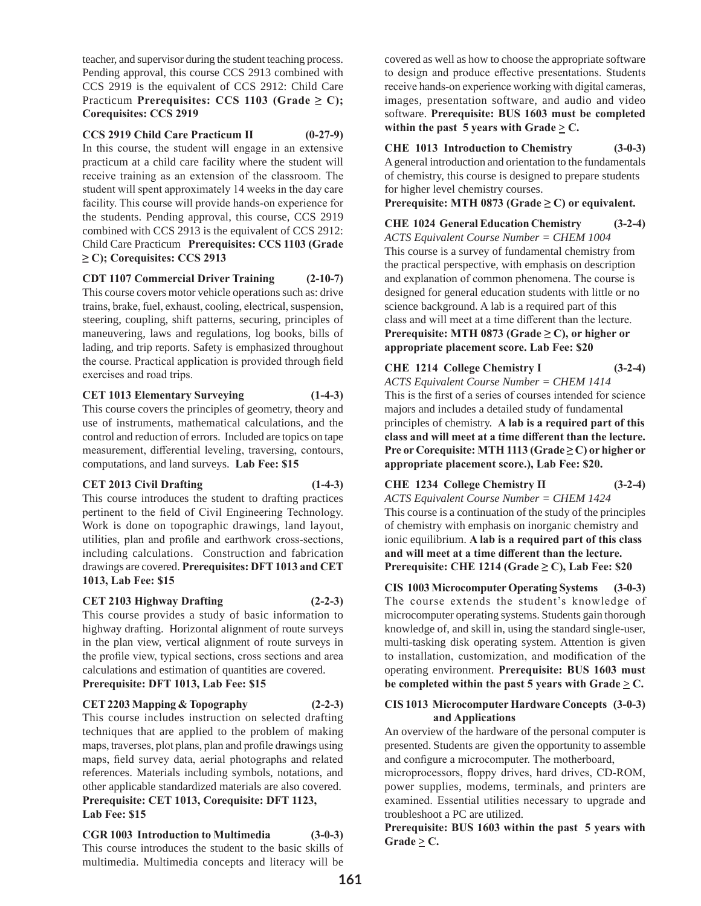teacher, and supervisor during the student teaching process. Pending approval, this course CCS 2913 combined with CCS 2919 is the equivalent of CCS 2912: Child Care Practicum **Prerequisites: CCS 1103 (Grade ≥ C); Corequisites: CCS 2919**

**CCS 2919 Child Care Practicum II (0-27-9)** In this course, the student will engage in an extensive practicum at a child care facility where the student will receive training as an extension of the classroom. The student will spent approximately 14 weeks in the day care facility. This course will provide hands-on experience for the students. Pending approval, this course, CCS 2919 combined with CCS 2913 is the equivalent of CCS 2912: Child Care Practicum **Prerequisites: CCS 1103 (Grade ≥ C); Corequisites: CCS 2913**

**CDT 1107 Commercial Driver Training (2-10-7)** This course covers motor vehicle operations such as: drive trains, brake, fuel, exhaust, cooling, electrical, suspension, steering, coupling, shift patterns, securing, principles of maneuvering, laws and regulations, log books, bills of lading, and trip reports. Safety is emphasized throughout the course. Practical application is provided through field exercises and road trips.

# **CET 1013 Elementary Surveying (1-4-3)**

This course covers the principles of geometry, theory and use of instruments, mathematical calculations, and the control and reduction of errors. Included are topics on tape measurement, differential leveling, traversing, contours, computations, and land surveys. **Lab Fee: \$15**

# **CET 2013 Civil Drafting (1-4-3)**

This course introduces the student to drafting practices pertinent to the field of Civil Engineering Technology. Work is done on topographic drawings, land layout, utilities, plan and profile and earthwork cross-sections, including calculations. Construction and fabrication drawings are covered. **Prerequisites: DFT 1013 and CET 1013, Lab Fee: \$15** 

# **CET 2103 Highway Drafting (2-2-3)**

This course provides a study of basic information to highway drafting. Horizontal alignment of route surveys in the plan view, vertical alignment of route surveys in the profile view, typical sections, cross sections and area calculations and estimation of quantities are covered. **Prerequisite: DFT 1013, Lab Fee: \$15**

# **CET 2203 Mapping & Topography (2-2-3)**

This course includes instruction on selected drafting techniques that are applied to the problem of making maps, traverses, plot plans, plan and profile drawings using maps, field survey data, aerial photographs and related references. Materials including symbols, notations, and other applicable standardized materials are also covered. **Prerequisite: CET 1013, Corequisite: DFT 1123,** 

# **Lab Fee: \$15**

**CGR 1003 Introduction to Multimedia (3-0-3)** This course introduces the student to the basic skills of multimedia. Multimedia concepts and literacy will be

covered as well as how to choose the appropriate software to design and produce effective presentations. Students receive hands-on experience working with digital cameras, images, presentation software, and audio and video software. **Prerequisite: BUS 1603 must be completed within the past 5 years with Grade**  $\geq$  **C.** 

# **CHE 1013 Introduction to Chemistry (3-0-3)**

A general introduction and orientation to the fundamentals of chemistry, this course is designed to prepare students for higher level chemistry courses.

**Prerequisite: MTH 0873 (Grade**  $\geq$  **C) or equivalent.** 

**CHE 1024 General Education Chemistry (3-2-4)** *ACTS Equivalent Course Number = CHEM 1004* This course is a survey of fundamental chemistry from the practical perspective, with emphasis on description and explanation of common phenomena. The course is designed for general education students with little or no science background. A lab is a required part of this class and will meet at a time different than the lecture. **Prerequisite: MTH 0873 (Grade**  $\geq$  **C), or higher or appropriate placement score. Lab Fee: \$20**

**CHE 1214 College Chemistry I (3-2-4)** *ACTS Equivalent Course Number = CHEM 1414* This is the first of a series of courses intended for science majors and includes a detailed study of fundamental principles of chemistry. **A lab is a required part of this class and will meet at a time different than the lecture. Pre or Corequisite: MTH 1113 (Grade ≥ C) or higher or appropriate placement score.), Lab Fee: \$20.**

**CHE 1234 College Chemistry II (3-2-4)** *ACTS Equivalent Course Number = CHEM 1424* This course is a continuation of the study of the principles of chemistry with emphasis on inorganic chemistry and ionic equilibrium. **A lab is a required part of this class and will meet at a time different than the lecture. Prerequisite: CHE 1214 (Grade**  $\geq$  **C), Lab Fee: \$20** 

**CIS 1003 Microcomputer Operating Systems (3-0-3)** The course extends the student's knowledge of microcomputer operating systems. Students gain thorough knowledge of, and skill in, using the standard single-user, multi-tasking disk operating system. Attention is given to installation, customization, and modification of the operating environment. **Prerequisite: BUS 1603 must be completed within the past 5 years with Grade**  $\geq$  **C.** 

# **CIS 1013 Microcomputer Hardware Concepts (3-0-3) and Applications**

An overview of the hardware of the personal computer is presented. Students are given the opportunity to assemble and configure a microcomputer. The motherboard,

microprocessors, floppy drives, hard drives, CD-ROM, power supplies, modems, terminals, and printers are examined. Essential utilities necessary to upgrade and troubleshoot a PC are utilized.

**Prerequisite: BUS 1603 within the past 5 years with**   $Grade \geq C$ .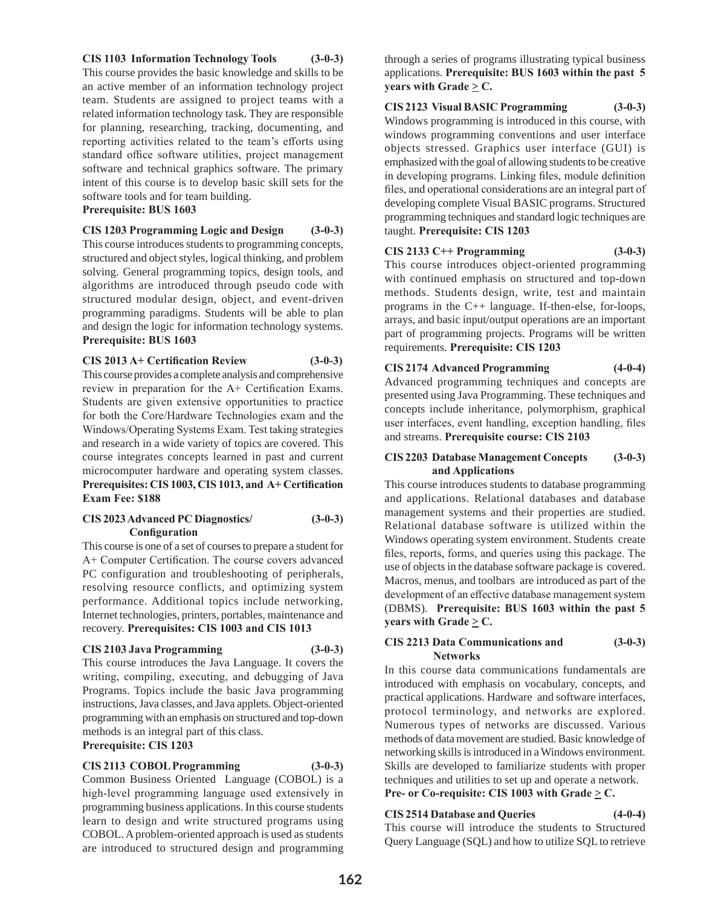# **CIS 1103 Information Technology Tools (3-0-3)**

This course provides the basic knowledge and skills to be an active member of an information technology project team. Students are assigned to project teams with a related information technology task. They are responsible for planning, researching, tracking, documenting, and reporting activities related to the team's efforts using standard office software utilities, project management software and technical graphics software. The primary intent of this course is to develop basic skill sets for the software tools and for team building.

# **Prerequisite: BUS 1603**

**CIS 1203 Programming Logic and Design (3-0-3)** This course introduces students to programming concepts, structured and object styles, logical thinking, and problem solving. General programming topics, design tools, and algorithms are introduced through pseudo code with structured modular design, object, and event-driven programming paradigms. Students will be able to plan and design the logic for information technology systems. **Prerequisite: BUS 1603**

# **CIS 2013 A+ Certification Review (3-0-3)**

This course provides a complete analysis and comprehensive review in preparation for the A+ Certification Exams. Students are given extensive opportunities to practice for both the Core/Hardware Technologies exam and the Windows/Operating Systems Exam. Test taking strategies and research in a wide variety of topics are covered. This course integrates concepts learned in past and current microcomputer hardware and operating system classes. **Prerequisites: CIS 1003, CIS 1013, and A+ Certification Exam Fee: \$188**

# **CIS 2023 Advanced PC Diagnostics/ (3-0-3) Configuration**

This course is one of a set of courses to prepare a student for A+ Computer Certification. The course covers advanced PC configuration and troubleshooting of peripherals, resolving resource conflicts, and optimizing system performance. Additional topics include networking, Internet technologies, printers, portables, maintenance and recovery. **Prerequisites: CIS 1003 and CIS 1013**

# **CIS 2103 Java Programming (3-0-3)**

This course introduces the Java Language. It covers the writing, compiling, executing, and debugging of Java Programs. Topics include the basic Java programming instructions, Java classes, and Java applets. Object-oriented programming with an emphasis on structured and top-down methods is an integral part of this class.

# **Prerequisite: CIS 1203**

# **CIS 2113 COBOL Programming (3-0-3)**

Common Business Oriented Language (COBOL) is a high-level programming language used extensively in programming business applications. In this course students learn to design and write structured programs using COBOL. A problem-oriented approach is used as students are introduced to structured design and programming

through a series of programs illustrating typical business applications. **Prerequisite: BUS 1603 within the past 5 years with Grade**  $\geq$  **C.** 

# **CIS 2123 Visual BASIC Programming (3-0-3)**

Windows programming is introduced in this course, with windows programming conventions and user interface objects stressed. Graphics user interface (GUI) is emphasized with the goal of allowing students to be creative in developing programs. Linking files, module definition files, and operational considerations are an integral part of developing complete Visual BASIC programs. Structured programming techniques and standard logic techniques are taught. **Prerequisite: CIS 1203**

# **CIS 2133 C++ Programming (3-0-3)**

This course introduces object-oriented programming with continued emphasis on structured and top-down methods. Students design, write, test and maintain programs in the C++ language. If-then-else, for-loops, arrays, and basic input/output operations are an important part of programming projects. Programs will be written requirements. **Prerequisite: CIS 1203**

# **CIS 2174 Advanced Programming (4-0-4)**

Advanced programming techniques and concepts are presented using Java Programming. These techniques and concepts include inheritance, polymorphism, graphical user interfaces, event handling, exception handling, files and streams. **Prerequisite course: CIS 2103**

# **CIS 2203 Database Management Concepts (3-0-3) and Applications**

This course introduces students to database programming and applications. Relational databases and database management systems and their properties are studied. Relational database software is utilized within the Windows operating system environment. Students create files, reports, forms, and queries using this package. The use of objects in the database software package is covered. Macros, menus, and toolbars are introduced as part of the development of an effective database management system (DBMS). **Prerequisite: BUS 1603 within the past 5 years with Grade**  $\geq$  **C.** 

# **CIS 2213 Data Communications and (3-0-3) Networks**

In this course data communications fundamentals are introduced with emphasis on vocabulary, concepts, and practical applications. Hardware and software interfaces, protocol terminology, and networks are explored. Numerous types of networks are discussed. Various methods of data movement are studied. Basic knowledge of networking skills is introduced in a Windows environment. Skills are developed to familiarize students with proper techniques and utilities to set up and operate a network. **Pre- or Co-requisite: CIS 1003 with Grade**  $\geq$  **C.** 

# **CIS 2514 Database and Queries (4-0-4)**

This course will introduce the students to Structured Query Language (SQL) and how to utilize SQL to retrieve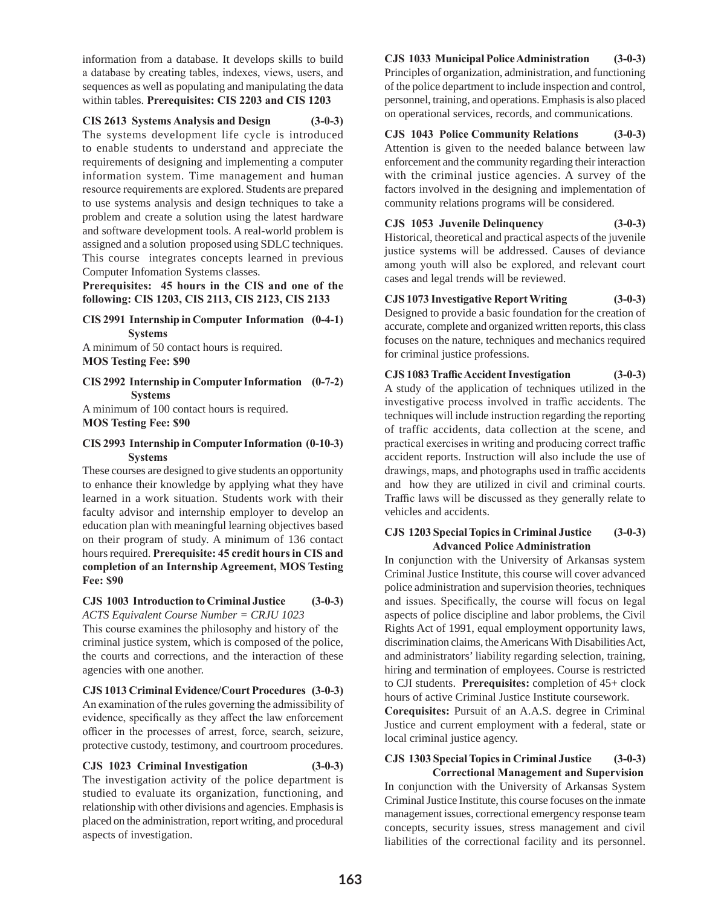information from a database. It develops skills to build a database by creating tables, indexes, views, users, and sequences as well as populating and manipulating the data within tables. **Prerequisites: CIS 2203 and CIS 1203**

**CIS 2613 Systems Analysis and Design (3-0-3)**

The systems development life cycle is introduced to enable students to understand and appreciate the requirements of designing and implementing a computer information system. Time management and human resource requirements are explored. Students are prepared to use systems analysis and design techniques to take a problem and create a solution using the latest hardware and software development tools. A real-world problem is assigned and a solution proposed using SDLC techniques. This course integrates concepts learned in previous Computer Infomation Systems classes.

**Prerequisites: 45 hours in the CIS and one of the following: CIS 1203, CIS 2113, CIS 2123, CIS 2133**

#### **CIS 2991 Internship in Computer Information (0-4-1) Systems**

A minimum of 50 contact hours is required. **MOS Testing Fee: \$90**

#### **CIS 2992 Internship in Computer Information (0-7-2) Systems**

A minimum of 100 contact hours is required. **MOS Testing Fee: \$90**

#### **CIS 2993 Internship in Computer Information (0-10-3) Systems**

These courses are designed to give students an opportunity to enhance their knowledge by applying what they have learned in a work situation. Students work with their faculty advisor and internship employer to develop an education plan with meaningful learning objectives based on their program of study. A minimum of 136 contact hours required. **Prerequisite: 45 credit hours in CIS and completion of an Internship Agreement, MOS Testing Fee: \$90** 

#### **CJS 1003 Introduction to Criminal Justice (3-0-3)** *ACTS Equivalent Course Number = CRJU 1023*

This course examines the philosophy and history of the criminal justice system, which is composed of the police, the courts and corrections, and the interaction of these agencies with one another.

**CJS 1013 Criminal Evidence/Court Procedures (3-0-3)** An examination of the rules governing the admissibility of evidence, specifically as they affect the law enforcement officer in the processes of arrest, force, search, seizure, protective custody, testimony, and courtroom procedures.

**CJS 1023 Criminal Investigation (3-0-3)** The investigation activity of the police department is studied to evaluate its organization, functioning, and relationship with other divisions and agencies. Emphasis is placed on the administration, report writing, and procedural aspects of investigation.

**CJS 1033 Municipal Police Administration (3-0-3)** Principles of organization, administration, and functioning of the police department to include inspection and control, personnel, training, and operations. Emphasis is also placed on operational services, records, and communications.

**CJS 1043 Police Community Relations (3-0-3)** Attention is given to the needed balance between law enforcement and the community regarding their interaction with the criminal justice agencies. A survey of the factors involved in the designing and implementation of community relations programs will be considered.

# **CJS 1053 Juvenile Delinquency (3-0-3)**

Historical, theoretical and practical aspects of the juvenile justice systems will be addressed. Causes of deviance among youth will also be explored, and relevant court cases and legal trends will be reviewed.

# **CJS 1073 Investigative Report Writing (3-0-3)** Designed to provide a basic foundation for the creation of

accurate, complete and organized written reports, this class focuses on the nature, techniques and mechanics required for criminal justice professions.

# **CJS 1083 Traffic Accident Investigation (3-0-3)**

A study of the application of techniques utilized in the investigative process involved in traffic accidents. The techniques will include instruction regarding the reporting of traffic accidents, data collection at the scene, and practical exercises in writing and producing correct traffic accident reports. Instruction will also include the use of drawings, maps, and photographs used in traffic accidents and how they are utilized in civil and criminal courts. Traffic laws will be discussed as they generally relate to vehicles and accidents.

#### **CJS 1203 Special Topics in Criminal Justice (3-0-3) Advanced Police Administration**

In conjunction with the University of Arkansas system Criminal Justice Institute, this course will cover advanced police administration and supervision theories, techniques and issues. Specifically, the course will focus on legal aspects of police discipline and labor problems, the Civil Rights Act of 1991, equal employment opportunity laws, discrimination claims, the Americans With Disabilities Act, and administrators' liability regarding selection, training, hiring and termination of employees. Course is restricted to CJI students. **Prerequisites:** completion of 45+ clock hours of active Criminal Justice Institute coursework.

**Corequisites:** Pursuit of an A.A.S. degree in Criminal Justice and current employment with a federal, state or local criminal justice agency.

#### **CJS 1303 Special Topics in Criminal Justice (3-0-3) Correctional Management and Supervision**

In conjunction with the University of Arkansas System Criminal Justice Institute, this course focuses on the inmate management issues, correctional emergency response team concepts, security issues, stress management and civil liabilities of the correctional facility and its personnel.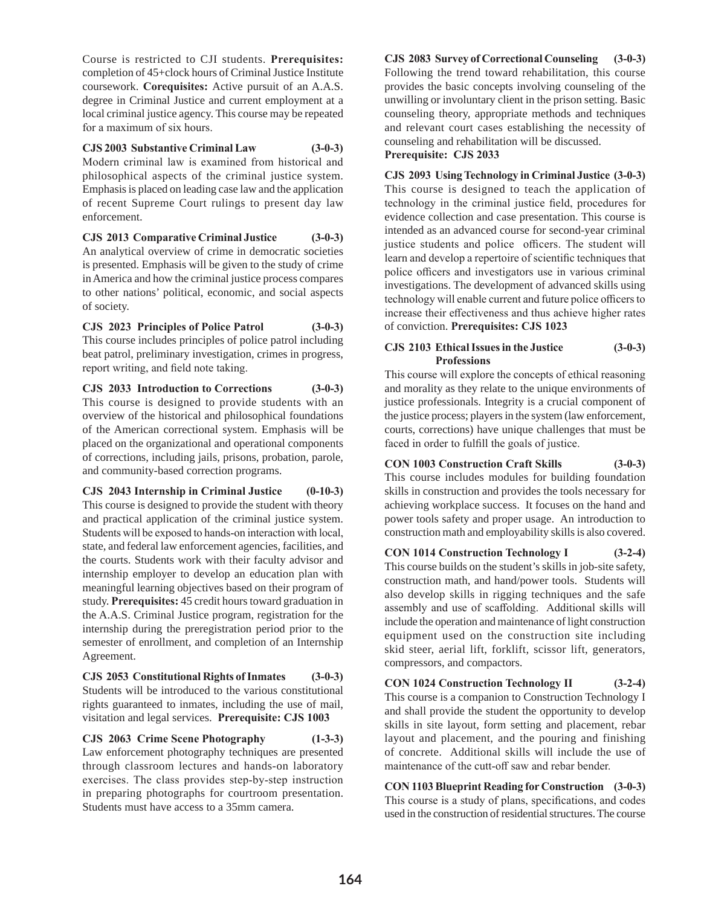Course is restricted to CJI students. **Prerequisites:**  completion of 45+clock hours of Criminal Justice Institute coursework. **Corequisites:** Active pursuit of an A.A.S. degree in Criminal Justice and current employment at a local criminal justice agency. This course may be repeated for a maximum of six hours.

**CJS 2003 Substantive Criminal Law (3-0-3)** Modern criminal law is examined from historical and philosophical aspects of the criminal justice system. Emphasis is placed on leading case law and the application of recent Supreme Court rulings to present day law enforcement.

**CJS 2013 Comparative Criminal Justice (3-0-3)** An analytical overview of crime in democratic societies is presented. Emphasis will be given to the study of crime in America and how the criminal justice process compares to other nations' political, economic, and social aspects of society.

**CJS 2023 Principles of Police Patrol (3-0-3)** This course includes principles of police patrol including beat patrol, preliminary investigation, crimes in progress, report writing, and field note taking.

**CJS 2033 Introduction to Corrections (3-0-3)** This course is designed to provide students with an overview of the historical and philosophical foundations of the American correctional system. Emphasis will be placed on the organizational and operational components of corrections, including jails, prisons, probation, parole, and community-based correction programs.

**CJS 2043 Internship in Criminal Justice (0-10-3)** This course is designed to provide the student with theory and practical application of the criminal justice system. Students will be exposed to hands-on interaction with local, state, and federal law enforcement agencies, facilities, and the courts. Students work with their faculty advisor and internship employer to develop an education plan with meaningful learning objectives based on their program of study. **Prerequisites:** 45 credit hours toward graduation in the A.A.S. Criminal Justice program, registration for the internship during the preregistration period prior to the semester of enrollment, and completion of an Internship Agreement.

**CJS 2053 Constitutional Rights of Inmates (3-0-3)** Students will be introduced to the various constitutional rights guaranteed to inmates, including the use of mail, visitation and legal services. **Prerequisite: CJS 1003** 

**CJS 2063 Crime Scene Photography (1-3-3)** Law enforcement photography techniques are presented through classroom lectures and hands-on laboratory exercises. The class provides step-by-step instruction in preparing photographs for courtroom presentation. Students must have access to a 35mm camera.

**CJS 2083 Survey of Correctional Counseling (3-0-3)** Following the trend toward rehabilitation, this course provides the basic concepts involving counseling of the unwilling or involuntary client in the prison setting. Basic counseling theory, appropriate methods and techniques and relevant court cases establishing the necessity of counseling and rehabilitation will be discussed. **Prerequisite: CJS 2033**

**CJS 2093 Using Technology in Criminal Justice (3-0-3)** This course is designed to teach the application of technology in the criminal justice field, procedures for evidence collection and case presentation. This course is intended as an advanced course for second-year criminal justice students and police officers. The student will learn and develop a repertoire of scientific techniques that police officers and investigators use in various criminal investigations. The development of advanced skills using technology will enable current and future police officers to increase their effectiveness and thus achieve higher rates of conviction. **Prerequisites: CJS 1023** 

# **CJS 2103 Ethical Issues in the Justice (3-0-3) Professions**

This course will explore the concepts of ethical reasoning and morality as they relate to the unique environments of justice professionals. Integrity is a crucial component of the justice process; players in the system (law enforcement, courts, corrections) have unique challenges that must be faced in order to fulfill the goals of justice.

**CON 1003 Construction Craft Skills (3-0-3)**

This course includes modules for building foundation skills in construction and provides the tools necessary for achieving workplace success. It focuses on the hand and power tools safety and proper usage. An introduction to construction math and employability skills is also covered.

**CON 1014 Construction Technology I (3-2-4)**

This course builds on the student's skills in job-site safety, construction math, and hand/power tools. Students will also develop skills in rigging techniques and the safe assembly and use of scaffolding. Additional skills will include the operation and maintenance of light construction equipment used on the construction site including skid steer, aerial lift, forklift, scissor lift, generators, compressors, and compactors.

**CON 1024 Construction Technology II (3-2-4)** This course is a companion to Construction Technology I and shall provide the student the opportunity to develop skills in site layout, form setting and placement, rebar layout and placement, and the pouring and finishing of concrete. Additional skills will include the use of maintenance of the cutt-off saw and rebar bender.

**CON 1103 Blueprint Reading for Construction (3-0-3)** This course is a study of plans, specifications, and codes used in the construction of residential structures. The course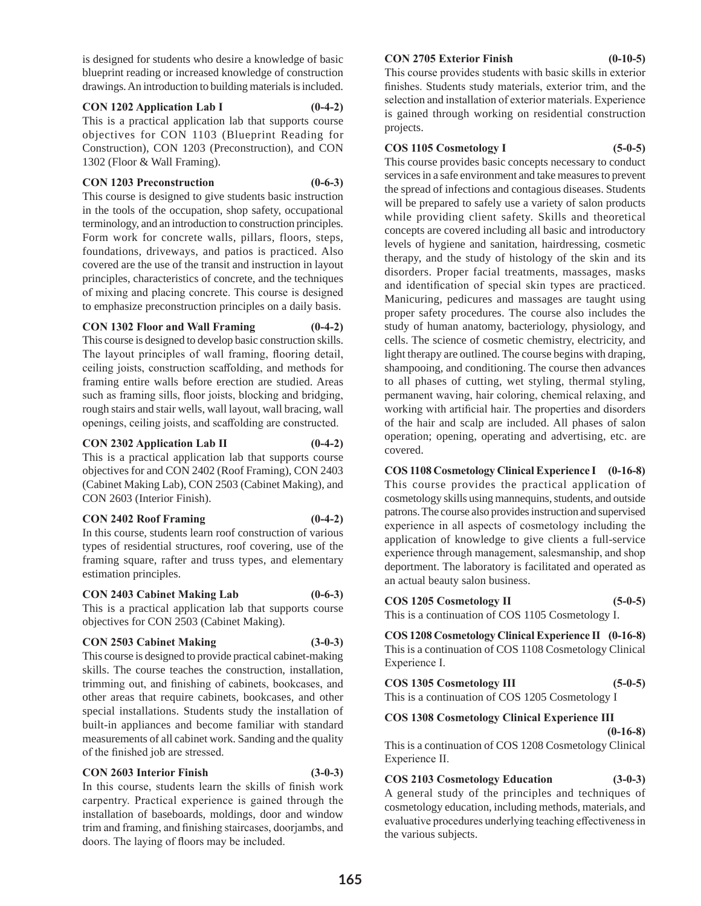is designed for students who desire a knowledge of basic blueprint reading or increased knowledge of construction drawings. An introduction to building materials is included.

#### **CON 1202 Application Lab I (0-4-2)**

This is a practical application lab that supports course objectives for CON 1103 (Blueprint Reading for Construction), CON 1203 (Preconstruction), and CON 1302 (Floor & Wall Framing).

#### **CON 1203 Preconstruction (0-6-3)**

This course is designed to give students basic instruction in the tools of the occupation, shop safety, occupational terminology, and an introduction to construction principles. Form work for concrete walls, pillars, floors, steps, foundations, driveways, and patios is practiced. Also covered are the use of the transit and instruction in layout principles, characteristics of concrete, and the techniques of mixing and placing concrete. This course is designed to emphasize preconstruction principles on a daily basis.

#### **CON 1302 Floor and Wall Framing (0-4-2)**

This course is designed to develop basic construction skills. The layout principles of wall framing, flooring detail, ceiling joists, construction scaffolding, and methods for framing entire walls before erection are studied. Areas such as framing sills, floor joists, blocking and bridging, rough stairs and stair wells, wall layout, wall bracing, wall openings, ceiling joists, and scaffolding are constructed.

#### **CON 2302 Application Lab II (0-4-2)**

This is a practical application lab that supports course objectives for and CON 2402 (Roof Framing), CON 2403 (Cabinet Making Lab), CON 2503 (Cabinet Making), and CON 2603 (Interior Finish).

#### **CON 2402 Roof Framing (0-4-2)**

In this course, students learn roof construction of various types of residential structures, roof covering, use of the framing square, rafter and truss types, and elementary estimation principles.

#### **CON 2403 Cabinet Making Lab (0-6-3)**

This is a practical application lab that supports course objectives for CON 2503 (Cabinet Making).

#### **CON 2503 Cabinet Making (3-0-3)**

This course is designed to provide practical cabinet-making skills. The course teaches the construction, installation, trimming out, and finishing of cabinets, bookcases, and other areas that require cabinets, bookcases, and other special installations. Students study the installation of built-in appliances and become familiar with standard measurements of all cabinet work. Sanding and the quality of the finished job are stressed.

# **CON 2603 Interior Finish (3-0-3)**

In this course, students learn the skills of finish work carpentry. Practical experience is gained through the installation of baseboards, moldings, door and window trim and framing, and finishing staircases, doorjambs, and doors. The laying of floors may be included.

# **CON 2705 Exterior Finish (0-10-5)**

This course provides students with basic skills in exterior finishes. Students study materials, exterior trim, and the selection and installation of exterior materials. Experience is gained through working on residential construction projects.

# **COS 1105 Cosmetology I (5-0-5)**

This course provides basic concepts necessary to conduct services in a safe environment and take measures to prevent the spread of infections and contagious diseases. Students will be prepared to safely use a variety of salon products while providing client safety. Skills and theoretical concepts are covered including all basic and introductory levels of hygiene and sanitation, hairdressing, cosmetic therapy, and the study of histology of the skin and its disorders. Proper facial treatments, massages, masks and identification of special skin types are practiced. Manicuring, pedicures and massages are taught using proper safety procedures. The course also includes the study of human anatomy, bacteriology, physiology, and cells. The science of cosmetic chemistry, electricity, and light therapy are outlined. The course begins with draping, shampooing, and conditioning. The course then advances to all phases of cutting, wet styling, thermal styling, permanent waving, hair coloring, chemical relaxing, and working with artificial hair. The properties and disorders of the hair and scalp are included. All phases of salon operation; opening, operating and advertising, etc. are covered.

**COS 1108 Cosmetology Clinical Experience I (0-16-8)** This course provides the practical application of cosmetology skills using mannequins, students, and outside patrons. The course also provides instruction and supervised experience in all aspects of cosmetology including the application of knowledge to give clients a full-service experience through management, salesmanship, and shop deportment. The laboratory is facilitated and operated as an actual beauty salon business.

# **COS 1205 Cosmetology II (5-0-5)**

This is a continuation of COS 1105 Cosmetology I.

**COS 1208 Cosmetology Clinical Experience II (0-16-8)** This is a continuation of COS 1108 Cosmetology Clinical Experience I.

| <b>COS 1305 Cosmetology III</b>                  | $(5-0-5)$ |
|--------------------------------------------------|-----------|
| This is a continuation of COS 1205 Cosmetology I |           |

# **COS 1308 Cosmetology Clinical Experience III**

 **(0-16-8)** This is a continuation of COS 1208 Cosmetology Clinical Experience II.

# **COS 2103 Cosmetology Education (3-0-3)**

A general study of the principles and techniques of cosmetology education, including methods, materials, and evaluative procedures underlying teaching effectiveness in the various subjects.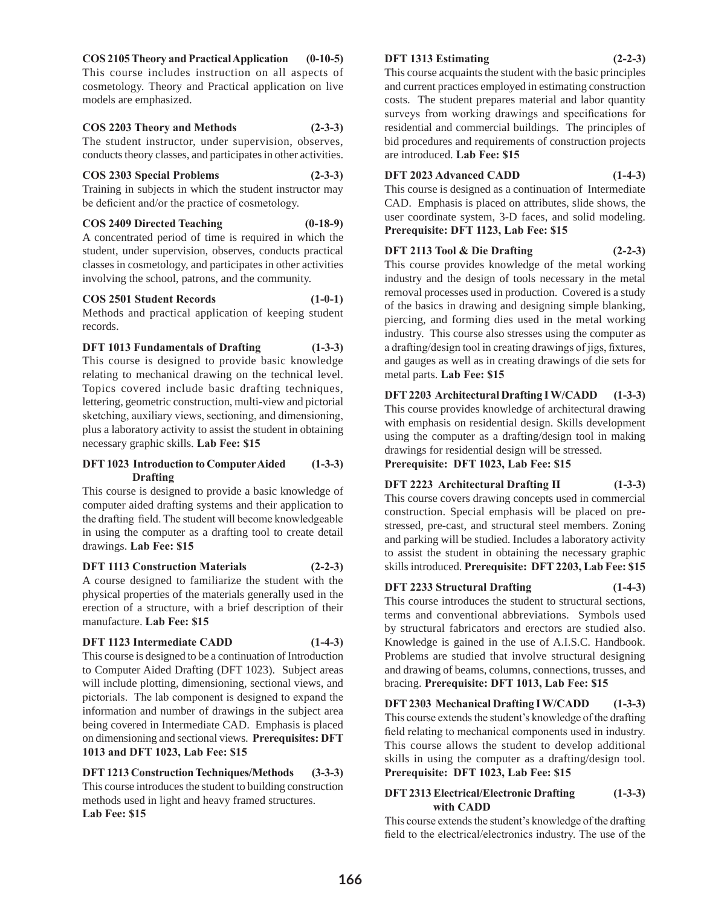#### **COS 2105 Theory and Practical Application (0-10-5)**

This course includes instruction on all aspects of cosmetology. Theory and Practical application on live models are emphasized.

#### **COS 2203 Theory and Methods (2-3-3)**

The student instructor, under supervision, observes, conducts theory classes, and participates in other activities.

#### **COS 2303 Special Problems (2-3-3)**

Training in subjects in which the student instructor may be deficient and/or the practice of cosmetology.

# **COS 2409 Directed Teaching (0-18-9)**

A concentrated period of time is required in which the student, under supervision, observes, conducts practical classes in cosmetology, and participates in other activities involving the school, patrons, and the community.

# **COS 2501 Student Records (1-0-1)**

Methods and practical application of keeping student records.

# **DFT 1013 Fundamentals of Drafting (1-3-3)**

This course is designed to provide basic knowledge relating to mechanical drawing on the technical level. Topics covered include basic drafting techniques, lettering, geometric construction, multi-view and pictorial sketching, auxiliary views, sectioning, and dimensioning, plus a laboratory activity to assist the student in obtaining necessary graphic skills. **Lab Fee: \$15**

#### **DFT 1023 Introduction to Computer Aided (1-3-3) Drafting**

This course is designed to provide a basic knowledge of computer aided drafting systems and their application to the drafting field. The student will become knowledgeable in using the computer as a drafting tool to create detail drawings. **Lab Fee: \$15**

#### **DFT 1113 Construction Materials (2-2-3)**

A course designed to familiarize the student with the physical properties of the materials generally used in the erection of a structure, with a brief description of their manufacture. **Lab Fee: \$15**

# **DFT 1123 Intermediate CADD (1-4-3)**

This course is designed to be a continuation of Introduction to Computer Aided Drafting (DFT 1023). Subject areas will include plotting, dimensioning, sectional views, and pictorials. The lab component is designed to expand the information and number of drawings in the subject area being covered in Intermediate CAD. Emphasis is placed on dimensioning and sectional views. **Prerequisites: DFT 1013 and DFT 1023, Lab Fee: \$15** 

# **DFT 1213 Construction Techniques/Methods (3-3-3)** This course introduces the student to building construction methods used in light and heavy framed structures. **Lab Fee: \$15**

# **DFT 1313 Estimating (2-2-3)**

This course acquaints the student with the basic principles and current practices employed in estimating construction costs. The student prepares material and labor quantity surveys from working drawings and specifications for residential and commercial buildings. The principles of bid procedures and requirements of construction projects are introduced. **Lab Fee: \$15**

# **DFT 2023 Advanced CADD (1-4-3)**

This course is designed as a continuation of Intermediate CAD. Emphasis is placed on attributes, slide shows, the user coordinate system, 3-D faces, and solid modeling. **Prerequisite: DFT 1123, Lab Fee: \$15**

# **DFT 2113 Tool & Die Drafting (2-2-3)**

This course provides knowledge of the metal working industry and the design of tools necessary in the metal removal processes used in production. Covered is a study of the basics in drawing and designing simple blanking, piercing, and forming dies used in the metal working industry. This course also stresses using the computer as a drafting/design tool in creating drawings of jigs, fixtures, and gauges as well as in creating drawings of die sets for metal parts. **Lab Fee: \$15**

**DFT 2203 Architectural Drafting I W/CADD (1-3-3)** This course provides knowledge of architectural drawing with emphasis on residential design. Skills development using the computer as a drafting/design tool in making drawings for residential design will be stressed. **Prerequisite: DFT 1023, Lab Fee: \$15**

# **DFT 2223 Architectural Drafting II (1-3-3)**

This course covers drawing concepts used in commercial construction. Special emphasis will be placed on prestressed, pre-cast, and structural steel members. Zoning and parking will be studied. Includes a laboratory activity to assist the student in obtaining the necessary graphic skills introduced. **Prerequisite: DFT 2203, Lab Fee: \$15**

# **DFT 2233 Structural Drafting (1-4-3)**

This course introduces the student to structural sections, terms and conventional abbreviations. Symbols used by structural fabricators and erectors are studied also. Knowledge is gained in the use of A.I.S.C. Handbook. Problems are studied that involve structural designing and drawing of beams, columns, connections, trusses, and bracing. **Prerequisite: DFT 1013, Lab Fee: \$15**

**DFT 2303 Mechanical Drafting I W/CADD (1-3-3)** This course extends the student's knowledge of the drafting field relating to mechanical components used in industry. This course allows the student to develop additional skills in using the computer as a drafting/design tool. **Prerequisite: DFT 1023, Lab Fee: \$15**

#### **DFT 2313 Electrical/Electronic Drafting (1-3-3) with CADD**

This course extends the student's knowledge of the drafting field to the electrical/electronics industry. The use of the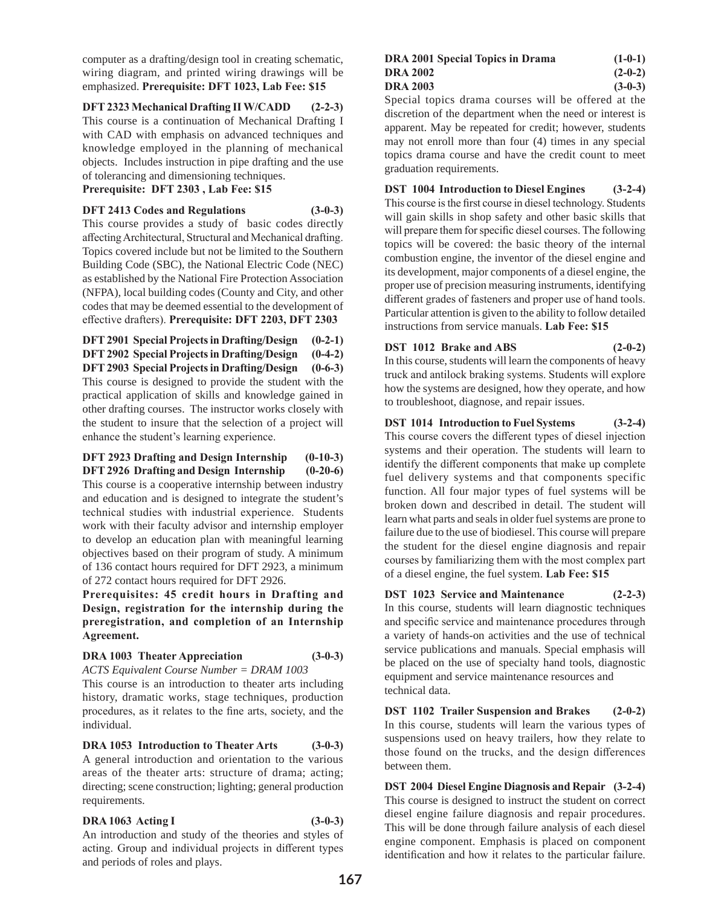computer as a drafting/design tool in creating schematic, wiring diagram, and printed wiring drawings will be emphasized. **Prerequisite: DFT 1023, Lab Fee: \$15**

# **DFT 2323 Mechanical Drafting II W/CADD (2-2-3)**

This course is a continuation of Mechanical Drafting I with CAD with emphasis on advanced techniques and knowledge employed in the planning of mechanical objects. Includes instruction in pipe drafting and the use of tolerancing and dimensioning techniques.

**Prerequisite: DFT 2303 , Lab Fee: \$15**

# **DFT 2413 Codes and Regulations (3-0-3)**

This course provides a study of basic codes directly affecting Architectural, Structural and Mechanical drafting. Topics covered include but not be limited to the Southern Building Code (SBC), the National Electric Code (NEC) as established by the National Fire Protection Association (NFPA), local building codes (County and City, and other codes that may be deemed essential to the development of effective drafters). **Prerequisite: DFT 2203, DFT 2303** 

**DFT 2901 Special Projects in Drafting/Design (0-2-1) DFT 2902 Special Projects in Drafting/Design (0-4-2) DFT 2903 Special Projects in Drafting/Design (0-6-3)** This course is designed to provide the student with the practical application of skills and knowledge gained in other drafting courses. The instructor works closely with the student to insure that the selection of a project will enhance the student's learning experience.

**DFT 2923 Drafting and Design Internship (0-10-3) DFT 2926 Drafting and Design Internship (0-20-6)** This course is a cooperative internship between industry and education and is designed to integrate the student's technical studies with industrial experience. Students work with their faculty advisor and internship employer to develop an education plan with meaningful learning objectives based on their program of study. A minimum of 136 contact hours required for DFT 2923, a minimum of 272 contact hours required for DFT 2926.

**Prerequisites: 45 credit hours in Drafting and Design, registration for the internship during the preregistration, and completion of an Internship Agreement.**

# **DRA 1003 Theater Appreciation (3-0-3)**

*ACTS Equivalent Course Number = DRAM 1003*

This course is an introduction to theater arts including history, dramatic works, stage techniques, production procedures, as it relates to the fine arts, society, and the individual.

**DRA 1053 Introduction to Theater Arts (3-0-3)** A general introduction and orientation to the various areas of the theater arts: structure of drama; acting; directing; scene construction; lighting; general production requirements.

# **DRA 1063 Acting I (3-0-3)**

An introduction and study of the theories and styles of acting. Group and individual projects in different types and periods of roles and plays.

#### **DRA 2001 Special Topics in Drama (1-0-1) DRA 2002 (2-0-2) DRA 2003 (3-0-3)**

Special topics drama courses will be offered at the discretion of the department when the need or interest is apparent. May be repeated for credit; however, students may not enroll more than four (4) times in any special topics drama course and have the credit count to meet graduation requirements.

**DST 1004 Introduction to Diesel Engines (3-2-4)** This course is the first course in diesel technology. Students will gain skills in shop safety and other basic skills that will prepare them for specific diesel courses. The following topics will be covered: the basic theory of the internal combustion engine, the inventor of the diesel engine and its development, major components of a diesel engine, the proper use of precision measuring instruments, identifying different grades of fasteners and proper use of hand tools. Particular attention is given to the ability to follow detailed instructions from service manuals. **Lab Fee: \$15**

# **DST 1012 Brake and ABS (2-0-2)**

In this course, students will learn the components of heavy truck and antilock braking systems. Students will explore how the systems are designed, how they operate, and how to troubleshoot, diagnose, and repair issues.

# **DST 1014 Introduction to Fuel Systems (3-2-4)**

This course covers the different types of diesel injection systems and their operation. The students will learn to identify the different components that make up complete fuel delivery systems and that components specific function. All four major types of fuel systems will be broken down and described in detail. The student will learn what parts and seals in older fuel systems are prone to failure due to the use of biodiesel. This course will prepare the student for the diesel engine diagnosis and repair courses by familiarizing them with the most complex part of a diesel engine, the fuel system. **Lab Fee: \$15**

**DST 1023 Service and Maintenance (2-2-3)** In this course, students will learn diagnostic techniques and specific service and maintenance procedures through a variety of hands-on activities and the use of technical service publications and manuals. Special emphasis will be placed on the use of specialty hand tools, diagnostic equipment and service maintenance resources and

technical data.

**DST 1102 Trailer Suspension and Brakes (2-0-2)** In this course, students will learn the various types of suspensions used on heavy trailers, how they relate to those found on the trucks, and the design differences between them.

**DST 2004 Diesel Engine Diagnosis and Repair (3-2-4)** This course is designed to instruct the student on correct diesel engine failure diagnosis and repair procedures. This will be done through failure analysis of each diesel engine component. Emphasis is placed on component identification and how it relates to the particular failure.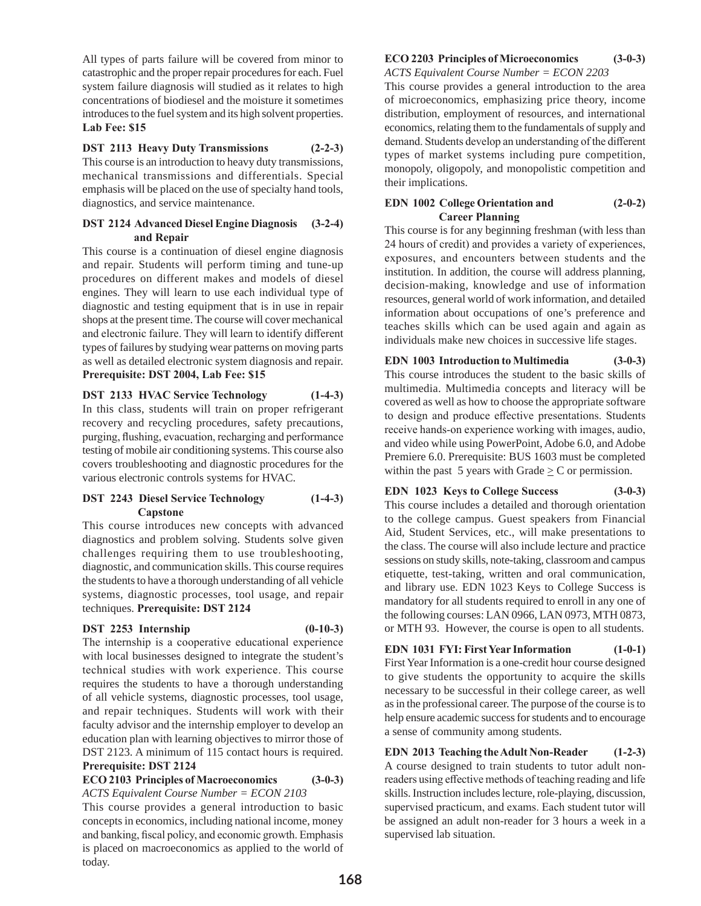All types of parts failure will be covered from minor to catastrophic and the proper repair procedures for each. Fuel system failure diagnosis will studied as it relates to high concentrations of biodiesel and the moisture it sometimes introduces to the fuel system and its high solvent properties. **Lab Fee: \$15**

**DST 2113 Heavy Duty Transmissions (2-2-3)**  This course is an introduction to heavy duty transmissions, mechanical transmissions and differentials. Special emphasis will be placed on the use of specialty hand tools, diagnostics, and service maintenance.

#### **DST 2124 Advanced Diesel Engine Diagnosis (3-2-4) and Repair**

This course is a continuation of diesel engine diagnosis and repair. Students will perform timing and tune-up procedures on different makes and models of diesel engines. They will learn to use each individual type of diagnostic and testing equipment that is in use in repair shops at the present time. The course will cover mechanical and electronic failure. They will learn to identify different types of failures by studying wear patterns on moving parts as well as detailed electronic system diagnosis and repair. **Prerequisite: DST 2004, Lab Fee: \$15**

**DST 2133 HVAC Service Technology (1-4-3)**  In this class, students will train on proper refrigerant recovery and recycling procedures, safety precautions, purging, flushing, evacuation, recharging and performance testing of mobile air conditioning systems. This course also covers troubleshooting and diagnostic procedures for the various electronic controls systems for HVAC.

# **DST 2243 Diesel Service Technology (1-4-3) Capstone**

This course introduces new concepts with advanced diagnostics and problem solving. Students solve given challenges requiring them to use troubleshooting, diagnostic, and communication skills. This course requires the students to have a thorough understanding of all vehicle systems, diagnostic processes, tool usage, and repair techniques. **Prerequisite: DST 2124** 

# **DST 2253 Internship (0-10-3)**

The internship is a cooperative educational experience with local businesses designed to integrate the student's technical studies with work experience. This course requires the students to have a thorough understanding of all vehicle systems, diagnostic processes, tool usage, and repair techniques. Students will work with their faculty advisor and the internship employer to develop an education plan with learning objectives to mirror those of DST 2123. A minimum of 115 contact hours is required. **Prerequisite: DST 2124**

# **ECO 2103 Principles of Macroeconomics (3-0-3)** *ACTS Equivalent Course Number = ECON 2103*

This course provides a general introduction to basic concepts in economics, including national income, money and banking, fiscal policy, and economic growth. Emphasis is placed on macroeconomics as applied to the world of today.

#### **ECO 2203 Principles of Microeconomics (3-0-3)** *ACTS Equivalent Course Number = ECON 2203*

This course provides a general introduction to the area of microeconomics, emphasizing price theory, income distribution, employment of resources, and international economics, relating them to the fundamentals of supply and demand. Students develop an understanding of the different types of market systems including pure competition, monopoly, oligopoly, and monopolistic competition and their implications.

# **EDN 1002 College Orientation and (2-0-2) Career Planning**

This course is for any beginning freshman (with less than 24 hours of credit) and provides a variety of experiences, exposures, and encounters between students and the institution. In addition, the course will address planning, decision-making, knowledge and use of information resources, general world of work information, and detailed information about occupations of one's preference and teaches skills which can be used again and again as individuals make new choices in successive life stages.

**EDN 1003 Introduction to Multimedia (3-0-3)** This course introduces the student to the basic skills of multimedia. Multimedia concepts and literacy will be covered as well as how to choose the appropriate software to design and produce effective presentations. Students receive hands-on experience working with images, audio, and video while using PowerPoint, Adobe 6.0, and Adobe Premiere 6.0. Prerequisite: BUS 1603 must be completed within the past 5 years with Grade  $\geq$  C or permission.

**EDN 1023 Keys to College Success (3-0-3)** This course includes a detailed and thorough orientation to the college campus. Guest speakers from Financial Aid, Student Services, etc., will make presentations to the class. The course will also include lecture and practice sessions on study skills, note-taking, classroom and campus etiquette, test-taking, written and oral communication, and library use. EDN 1023 Keys to College Success is mandatory for all students required to enroll in any one of the following courses: LAN 0966, LAN 0973, MTH 0873, or MTH 93. However, the course is open to all students.

**EDN 1031 FYI: First Year Information (1-0-1)** First Year Information is a one-credit hour course designed to give students the opportunity to acquire the skills necessary to be successful in their college career, as well as in the professional career. The purpose of the course is to help ensure academic success for students and to encourage a sense of community among students.

**EDN 2013 Teaching the Adult Non-Reader (1-2-3)** A course designed to train students to tutor adult nonreaders using effective methods of teaching reading and life skills. Instruction includes lecture, role-playing, discussion, supervised practicum, and exams. Each student tutor will be assigned an adult non-reader for 3 hours a week in a supervised lab situation.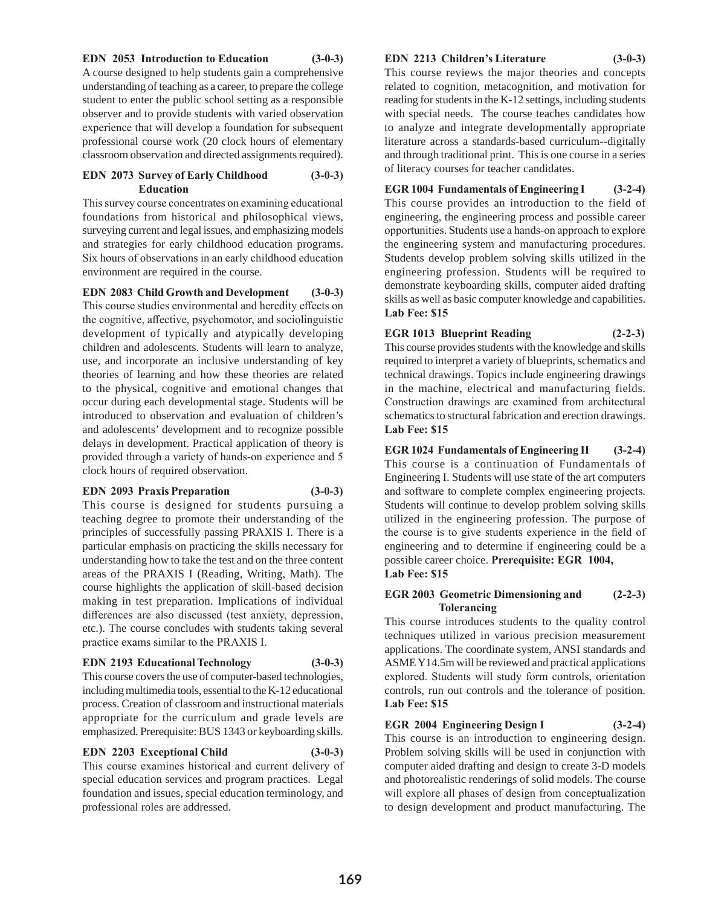#### **EDN 2053 Introduction to Education (3-0-3)**

A course designed to help students gain a comprehensive understanding of teaching as a career, to prepare the college student to enter the public school setting as a responsible observer and to provide students with varied observation experience that will develop a foundation for subsequent professional course work (20 clock hours of elementary classroom observation and directed assignments required).

# **EDN 2073 Survey of Early Childhood (3-0-3) Education**

This survey course concentrates on examining educational foundations from historical and philosophical views, surveying current and legal issues, and emphasizing models and strategies for early childhood education programs. Six hours of observations in an early childhood education environment are required in the course.

**EDN 2083 Child Growth and Development (3-0-3)** This course studies environmental and heredity effects on the cognitive, affective, psychomotor, and sociolinguistic development of typically and atypically developing children and adolescents. Students will learn to analyze, use, and incorporate an inclusive understanding of key theories of learning and how these theories are related to the physical, cognitive and emotional changes that occur during each developmental stage. Students will be introduced to observation and evaluation of children's and adolescents' development and to recognize possible delays in development. Practical application of theory is provided through a variety of hands-on experience and 5 clock hours of required observation.

#### **EDN 2093 Praxis Preparation (3-0-3)**

This course is designed for students pursuing a teaching degree to promote their understanding of the principles of successfully passing PRAXIS I. There is a particular emphasis on practicing the skills necessary for understanding how to take the test and on the three content areas of the PRAXIS I (Reading, Writing, Math). The course highlights the application of skill-based decision making in test preparation. Implications of individual differences are also discussed (test anxiety, depression, etc.). The course concludes with students taking several practice exams similar to the PRAXIS I.

# **EDN 2193 Educational Technology (3-0-3)**

This course covers the use of computer-based technologies, including multimedia tools, essential to the K-12 educational process. Creation of classroom and instructional materials appropriate for the curriculum and grade levels are emphasized. Prerequisite: BUS 1343 or keyboarding skills.

# **EDN 2203 Exceptional Child (3-0-3)**

This course examines historical and current delivery of special education services and program practices. Legal foundation and issues, special education terminology, and professional roles are addressed.

#### **EDN 2213 Children's Literature (3-0-3)**

This course reviews the major theories and concepts related to cognition, metacognition, and motivation for reading for students in the K-12 settings, including students with special needs. The course teaches candidates how to analyze and integrate developmentally appropriate literature across a standards-based curriculum--digitally and through traditional print. This is one course in a series of literacy courses for teacher candidates.

**EGR 1004 Fundamentals of Engineering I (3-2-4)** This course provides an introduction to the field of engineering, the engineering process and possible career opportunities. Students use a hands-on approach to explore the engineering system and manufacturing procedures. Students develop problem solving skills utilized in the engineering profession. Students will be required to demonstrate keyboarding skills, computer aided drafting skills as well as basic computer knowledge and capabilities. **Lab Fee: \$15**

# **EGR 1013 Blueprint Reading (2-2-3)**

This course provides students with the knowledge and skills required to interpret a variety of blueprints, schematics and technical drawings. Topics include engineering drawings in the machine, electrical and manufacturing fields. Construction drawings are examined from architectural schematics to structural fabrication and erection drawings. **Lab Fee: \$15**

**EGR 1024 Fundamentals of Engineering II (3-2-4)** This course is a continuation of Fundamentals of Engineering I. Students will use state of the art computers and software to complete complex engineering projects. Students will continue to develop problem solving skills utilized in the engineering profession. The purpose of the course is to give students experience in the field of engineering and to determine if engineering could be a possible career choice. **Prerequisite: EGR 1004, Lab Fee: \$15**

#### **EGR 2003 Geometric Dimensioning and (2-2-3) Tolerancing**

This course introduces students to the quality control techniques utilized in various precision measurement applications. The coordinate system, ANSI standards and ASME Y14.5m will be reviewed and practical applications explored. Students will study form controls, orientation controls, run out controls and the tolerance of position. **Lab Fee: \$15**

# **EGR 2004 Engineering Design I (3-2-4)**

This course is an introduction to engineering design. Problem solving skills will be used in conjunction with computer aided drafting and design to create 3-D models and photorealistic renderings of solid models. The course will explore all phases of design from conceptualization to design development and product manufacturing. The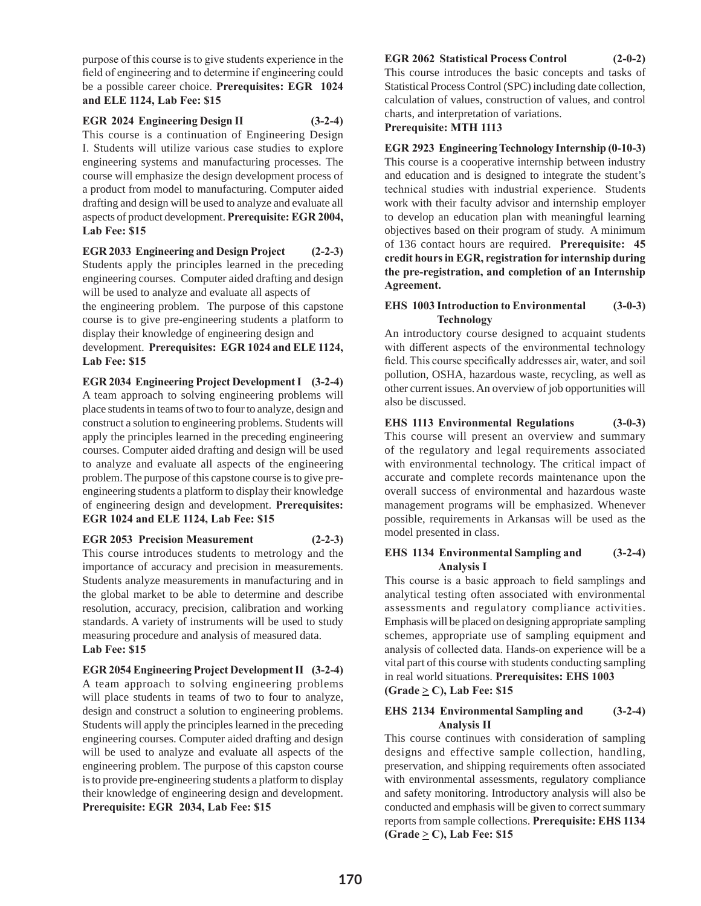purpose of this course is to give students experience in the field of engineering and to determine if engineering could be a possible career choice. **Prerequisites: EGR 1024 and ELE 1124, Lab Fee: \$15**

# **EGR 2024 Engineering Design II (3-2-4)**

This course is a continuation of Engineering Design I. Students will utilize various case studies to explore engineering systems and manufacturing processes. The course will emphasize the design development process of a product from model to manufacturing. Computer aided drafting and design will be used to analyze and evaluate all aspects of product development. **Prerequisite: EGR 2004, Lab Fee: \$15**

**EGR 2033 Engineering and Design Project (2-2-3)** Students apply the principles learned in the preceding engineering courses. Computer aided drafting and design will be used to analyze and evaluate all aspects of the engineering problem. The purpose of this capstone

course is to give pre-engineering students a platform to display their knowledge of engineering design and

development. **Prerequisites: EGR 1024 and ELE 1124, Lab Fee: \$15**

**EGR 2034 Engineering Project Development I (3-2-4)** A team approach to solving engineering problems will place students in teams of two to four to analyze, design and construct a solution to engineering problems. Students will apply the principles learned in the preceding engineering courses. Computer aided drafting and design will be used to analyze and evaluate all aspects of the engineering problem. The purpose of this capstone course is to give preengineering students a platform to display their knowledge of engineering design and development. **Prerequisites: EGR 1024 and ELE 1124, Lab Fee: \$15**

**EGR 2053 Precision Measurement (2-2-3)** This course introduces students to metrology and the importance of accuracy and precision in measurements. Students analyze measurements in manufacturing and in the global market to be able to determine and describe resolution, accuracy, precision, calibration and working standards. A variety of instruments will be used to study measuring procedure and analysis of measured data. **Lab Fee: \$15**

**EGR 2054 Engineering Project Development II (3-2-4)** A team approach to solving engineering problems will place students in teams of two to four to analyze, design and construct a solution to engineering problems. Students will apply the principles learned in the preceding engineering courses. Computer aided drafting and design will be used to analyze and evaluate all aspects of the engineering problem. The purpose of this capston course is to provide pre-engineering students a platform to display their knowledge of engineering design and development. **Prerequisite: EGR 2034, Lab Fee: \$15**

# **EGR 2062 Statistical Process Control (2-0-2)**

This course introduces the basic concepts and tasks of Statistical Process Control (SPC) including date collection, calculation of values, construction of values, and control charts, and interpretation of variations.

**Prerequisite: MTH 1113**

**EGR 2923 Engineering Technology Internship (0-10-3)** This course is a cooperative internship between industry and education and is designed to integrate the student's technical studies with industrial experience. Students work with their faculty advisor and internship employer to develop an education plan with meaningful learning objectives based on their program of study. A minimum of 136 contact hours are required. **Prerequisite: 45 credit hours in EGR, registration for internship during the pre-registration, and completion of an Internship Agreement.**

#### **EHS 1003 Introduction to Environmental (3-0-3) Technology**

An introductory course designed to acquaint students with different aspects of the environmental technology field. This course specifically addresses air, water, and soil pollution, OSHA, hazardous waste, recycling, as well as other current issues. An overview of job opportunities will also be discussed.

#### **EHS 1113 Environmental Regulations (3-0-3)**

This course will present an overview and summary of the regulatory and legal requirements associated with environmental technology. The critical impact of accurate and complete records maintenance upon the overall success of environmental and hazardous waste management programs will be emphasized. Whenever possible, requirements in Arkansas will be used as the model presented in class.

#### **EHS 1134 Environmental Sampling and (3-2-4) Analysis I**

This course is a basic approach to field samplings and analytical testing often associated with environmental assessments and regulatory compliance activities. Emphasis will be placed on designing appropriate sampling schemes, appropriate use of sampling equipment and analysis of collected data. Hands-on experience will be a vital part of this course with students conducting sampling in real world situations. **Prerequisites: EHS 1003** 

 $(\text{Grade} \geq C)$ , Lab Fee: \$15

# **EHS 2134 Environmental Sampling and (3-2-4) Analysis II**

This course continues with consideration of sampling designs and effective sample collection, handling, preservation, and shipping requirements often associated with environmental assessments, regulatory compliance and safety monitoring. Introductory analysis will also be conducted and emphasis will be given to correct summary reports from sample collections. **Prerequisite: EHS 1134**   $(\text{Grade} \geq C)$ , Lab Fee: \$15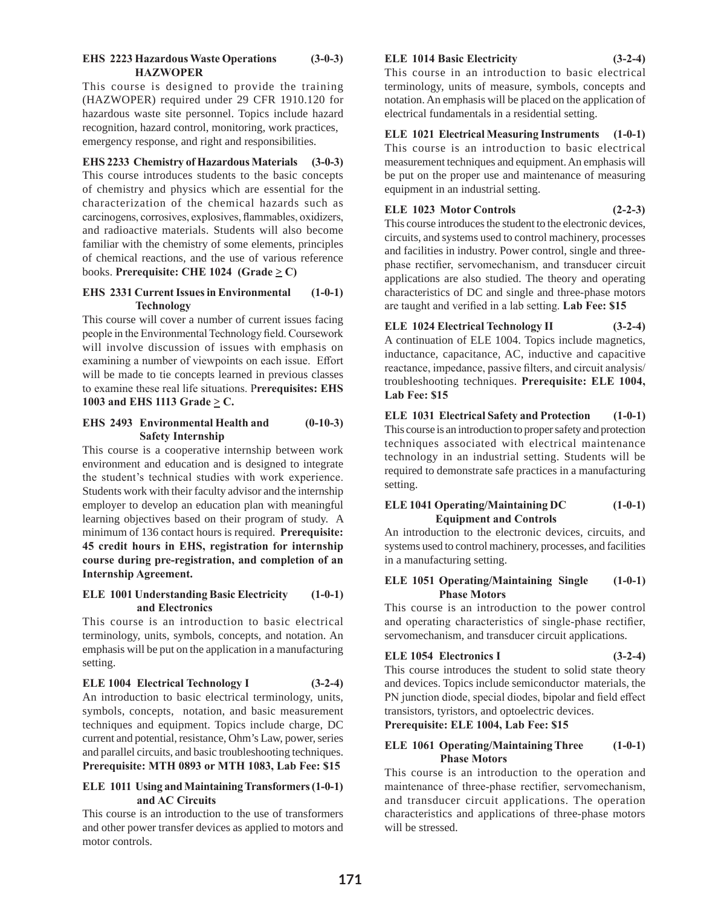#### **EHS 2223 Hazardous Waste Operations (3-0-3) HAZWOPER**

This course is designed to provide the training (HAZWOPER) required under 29 CFR 1910.120 for hazardous waste site personnel. Topics include hazard recognition, hazard control, monitoring, work practices, emergency response, and right and responsibilities.

# **EHS 2233 Chemistry of Hazardous Materials (3-0-3)**

This course introduces students to the basic concepts of chemistry and physics which are essential for the characterization of the chemical hazards such as carcinogens, corrosives, explosives, flammables, oxidizers, and radioactive materials. Students will also become familiar with the chemistry of some elements, principles of chemical reactions, and the use of various reference books. **Prerequisite:** CHE 1024 (Grade  $\geq$  C)

# **EHS 2331 Current Issues in Environmental (1-0-1) Technology**

This course will cover a number of current issues facing people in the Environmental Technology field. Coursework will involve discussion of issues with emphasis on examining a number of viewpoints on each issue. Effort will be made to tie concepts learned in previous classes to examine these real life situations. P**rerequisites: EHS**  1003 and EHS 1113 Grade  $\geq$  C.

# **EHS 2493 Environmental Health and (0-10-3) Safety Internship**

This course is a cooperative internship between work environment and education and is designed to integrate the student's technical studies with work experience. Students work with their faculty advisor and the internship employer to develop an education plan with meaningful learning objectives based on their program of study. A minimum of 136 contact hours is required. **Prerequisite: 45 credit hours in EHS, registration for internship course during pre-registration, and completion of an Internship Agreement.**

# **ELE 1001 Understanding Basic Electricity (1-0-1) and Electronics**

This course is an introduction to basic electrical terminology, units, symbols, concepts, and notation. An emphasis will be put on the application in a manufacturing setting.

**ELE 1004 Electrical Technology I (3-2-4)** An introduction to basic electrical terminology, units, symbols, concepts, notation, and basic measurement techniques and equipment. Topics include charge, DC current and potential, resistance, Ohm's Law, power, series and parallel circuits, and basic troubleshooting techniques. **Prerequisite: MTH 0893 or MTH 1083, Lab Fee: \$15**

# **ELE 1011 Using and Maintaining Transformers (1-0-1) and AC Circuits**

This course is an introduction to the use of transformers and other power transfer devices as applied to motors and motor controls.

# **ELE 1014 Basic Electricity (3-2-4)**

This course in an introduction to basic electrical terminology, units of measure, symbols, concepts and notation. An emphasis will be placed on the application of electrical fundamentals in a residential setting.

**ELE 1021 Electrical Measuring Instruments (1-0-1)** This course is an introduction to basic electrical measurement techniques and equipment. An emphasis will be put on the proper use and maintenance of measuring equipment in an industrial setting.

# **ELE 1023 Motor Controls (2-2-3)**

This course introduces the student to the electronic devices, circuits, and systems used to control machinery, processes and facilities in industry. Power control, single and threephase rectifier, servomechanism, and transducer circuit applications are also studied. The theory and operating characteristics of DC and single and three-phase motors are taught and verified in a lab setting. **Lab Fee: \$15**

**ELE 1024 Electrical Technology II (3-2-4)** A continuation of ELE 1004. Topics include magnetics, inductance, capacitance, AC, inductive and capacitive reactance, impedance, passive filters, and circuit analysis/ troubleshooting techniques. **Prerequisite: ELE 1004, Lab Fee: \$15**

**ELE 1031 Electrical Safety and Protection (1-0-1)** This course is an introduction to proper safety and protection techniques associated with electrical maintenance technology in an industrial setting. Students will be required to demonstrate safe practices in a manufacturing setting.

# **ELE 1041 Operating/Maintaining DC (1-0-1) Equipment and Controls**

An introduction to the electronic devices, circuits, and systems used to control machinery, processes, and facilities in a manufacturing setting.

# **ELE 1051 Operating/Maintaining Single (1-0-1) Phase Motors**

This course is an introduction to the power control and operating characteristics of single-phase rectifier, servomechanism, and transducer circuit applications.

# **ELE 1054 Electronics I (3-2-4)**

This course introduces the student to solid state theory and devices. Topics include semiconductor materials, the PN junction diode, special diodes, bipolar and field effect transistors, tyristors, and optoelectric devices.

# **Prerequisite: ELE 1004, Lab Fee: \$15**

# **ELE 1061 Operating/Maintaining Three (1-0-1) Phase Motors**

This course is an introduction to the operation and maintenance of three-phase rectifier, servomechanism, and transducer circuit applications. The operation characteristics and applications of three-phase motors will be stressed.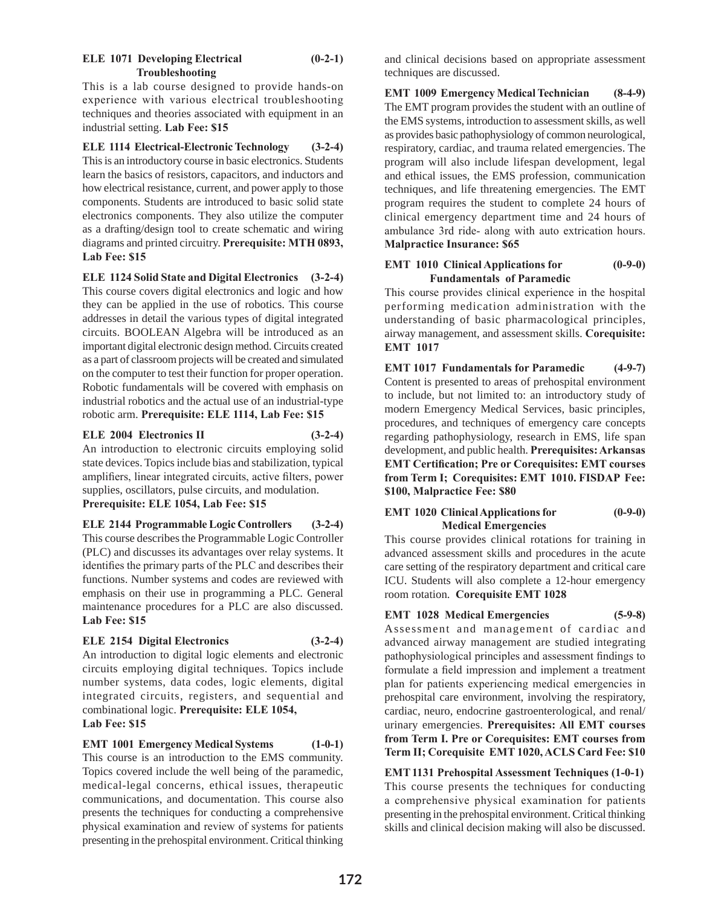# **ELE 1071 Developing Electrical (0-2-1) Troubleshooting**

This is a lab course designed to provide hands-on experience with various electrical troubleshooting techniques and theories associated with equipment in an industrial setting. **Lab Fee: \$15**

**ELE 1114 Electrical-Electronic Technology (3-2-4)** This is an introductory course in basic electronics. Students learn the basics of resistors, capacitors, and inductors and how electrical resistance, current, and power apply to those components. Students are introduced to basic solid state electronics components. They also utilize the computer as a drafting/design tool to create schematic and wiring diagrams and printed circuitry. **Prerequisite: MTH 0893, Lab Fee: \$15**

**ELE 1124 Solid State and Digital Electronics (3-2-4)** This course covers digital electronics and logic and how they can be applied in the use of robotics. This course addresses in detail the various types of digital integrated circuits. BOOLEAN Algebra will be introduced as an important digital electronic design method. Circuits created as a part of classroom projects will be created and simulated on the computer to test their function for proper operation. Robotic fundamentals will be covered with emphasis on industrial robotics and the actual use of an industrial-type robotic arm. **Prerequisite: ELE 1114, Lab Fee: \$15**

# **ELE 2004 Electronics II (3-2-4)**

An introduction to electronic circuits employing solid state devices. Topics include bias and stabilization, typical amplifiers, linear integrated circuits, active filters, power supplies, oscillators, pulse circuits, and modulation.

**Prerequisite: ELE 1054, Lab Fee: \$15**

**ELE 2144 Programmable Logic Controllers (3-2-4)** This course describes the Programmable Logic Controller (PLC) and discusses its advantages over relay systems. It identifies the primary parts of the PLC and describes their functions. Number systems and codes are reviewed with emphasis on their use in programming a PLC. General maintenance procedures for a PLC are also discussed. **Lab Fee: \$15**

**ELE 2154 Digital Electronics (3-2-4)** An introduction to digital logic elements and electronic circuits employing digital techniques. Topics include number systems, data codes, logic elements, digital integrated circuits, registers, and sequential and combinational logic. **Prerequisite: ELE 1054, Lab Fee: \$15**

**EMT 1001 Emergency Medical Systems (1-0-1)**  This course is an introduction to the EMS community. Topics covered include the well being of the paramedic, medical-legal concerns, ethical issues, therapeutic communications, and documentation. This course also presents the techniques for conducting a comprehensive physical examination and review of systems for patients presenting in the prehospital environment. Critical thinking

and clinical decisions based on appropriate assessment techniques are discussed.

**EMT 1009 Emergency Medical Technician (8-4-9)**  The EMT program provides the student with an outline of the EMS systems, introduction to assessment skills, as well as provides basic pathophysiology of common neurological, respiratory, cardiac, and trauma related emergencies. The program will also include lifespan development, legal and ethical issues, the EMS profession, communication techniques, and life threatening emergencies. The EMT program requires the student to complete 24 hours of clinical emergency department time and 24 hours of ambulance 3rd ride- along with auto extrication hours. **Malpractice Insurance: \$65**

# **EMT 1010 Clinical Applications for (0-9-0) Fundamentals of Paramedic**

This course provides clinical experience in the hospital performing medication administration with the understanding of basic pharmacological principles, airway management, and assessment skills. **Corequisite: EMT 1017** 

**EMT 1017 Fundamentals for Paramedic (4-9-7)** Content is presented to areas of prehospital environment to include, but not limited to: an introductory study of modern Emergency Medical Services, basic principles, procedures, and techniques of emergency care concepts regarding pathophysiology, research in EMS, life span development, and public health. **Prerequisites: Arkansas EMT Certification; Pre or Corequisites: EMT courses from Term I; Corequisites: EMT 1010. FISDAP Fee: \$100, Malpractice Fee: \$80**

**EMT 1020 Clinical Applications for (0-9-0) Medical Emergencies** 

This course provides clinical rotations for training in advanced assessment skills and procedures in the acute care setting of the respiratory department and critical care ICU. Students will also complete a 12-hour emergency room rotation. **Corequisite EMT 1028**

# **EMT 1028 Medical Emergencies (5-9-8)**

Assessment and management of cardiac and advanced airway management are studied integrating pathophysiological principles and assessment findings to formulate a field impression and implement a treatment plan for patients experiencing medical emergencies in prehospital care environment, involving the respiratory, cardiac, neuro, endocrine gastroenterological, and renal/ urinary emergencies. **Prerequisites: All EMT courses from Term I. Pre or Corequisites: EMT courses from Term II; Corequisite EMT 1020, ACLS Card Fee: \$10**

**EMT1131 Prehospital Assessment Techniques (1-0-1)** This course presents the techniques for conducting a comprehensive physical examination for patients presenting in the prehospital environment. Critical thinking skills and clinical decision making will also be discussed.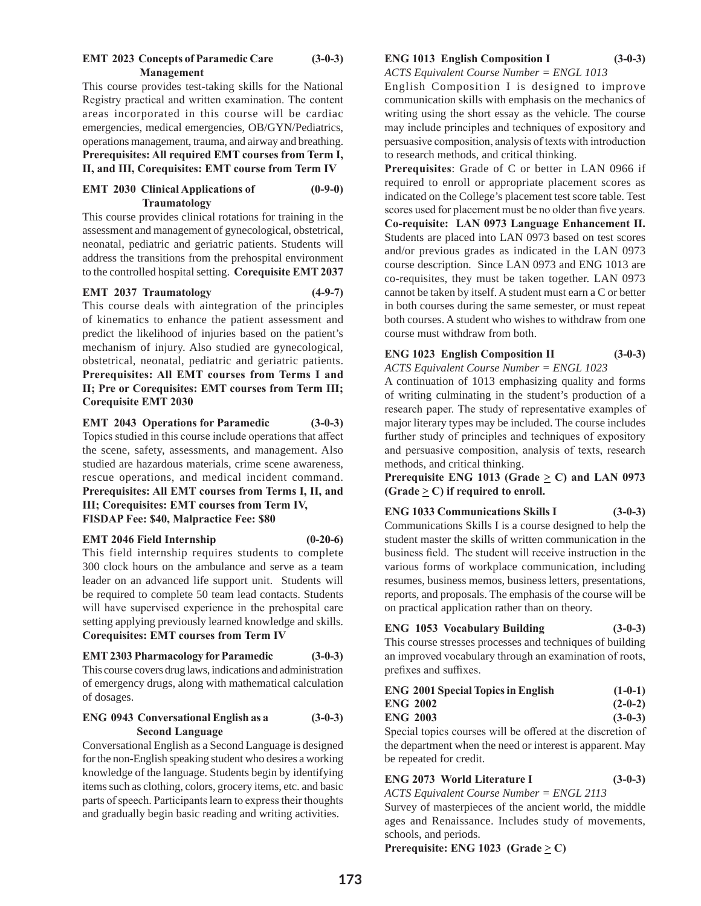#### **EMT 2023 Concepts of Paramedic Care (3-0-3) Management**

This course provides test-taking skills for the National Registry practical and written examination. The content areas incorporated in this course will be cardiac emergencies, medical emergencies, OB/GYN/Pediatrics, operations management, trauma, and airway and breathing. **Prerequisites: All required EMT courses from Term I, II, and III, Corequisites: EMT course from Term IV**

# **EMT 2030 Clinical Applications of (0-9-0) Traumatology**

This course provides clinical rotations for training in the assessment and management of gynecological, obstetrical, neonatal, pediatric and geriatric patients. Students will address the transitions from the prehospital environment to the controlled hospital setting. **Corequisite EMT 2037**

#### **EMT 2037 Traumatology (4-9-7)**

This course deals with aintegration of the principles of kinematics to enhance the patient assessment and predict the likelihood of injuries based on the patient's mechanism of injury. Also studied are gynecological, obstetrical, neonatal, pediatric and geriatric patients. **Prerequisites: All EMT courses from Terms I and II; Pre or Corequisites: EMT courses from Term III; Corequisite EMT 2030**

**EMT 2043 Operations for Paramedic (3-0-3)** Topics studied in this course include operations that affect the scene, safety, assessments, and management. Also studied are hazardous materials, crime scene awareness, rescue operations, and medical incident command. **Prerequisites: All EMT courses from Terms I, II, and III; Corequisites: EMT courses from Term IV, FISDAP Fee: \$40, Malpractice Fee: \$80**

#### **EMT 2046 Field Internship (0-20-6)**

This field internship requires students to complete 300 clock hours on the ambulance and serve as a team leader on an advanced life support unit. Students will be required to complete 50 team lead contacts. Students will have supervised experience in the prehospital care setting applying previously learned knowledge and skills. **Corequisites: EMT courses from Term IV**

# **EMT 2303 Pharmacology for Paramedic (3-0-3)** This course covers drug laws, indications and administration of emergency drugs, along with mathematical calculation of dosages.

# **ENG 0943 Conversational English as a (3-0-3) Second Language**

Conversational English as a Second Language is designed for the non-English speaking student who desires a working knowledge of the language. Students begin by identifying items such as clothing, colors, grocery items, etc. and basic parts of speech. Participants learn to express their thoughts and gradually begin basic reading and writing activities.

# **ENG 1013 English Composition I (3-0-3)**

*ACTS Equivalent Course Number = ENGL 1013*

English Composition I is designed to improve communication skills with emphasis on the mechanics of writing using the short essay as the vehicle. The course may include principles and techniques of expository and persuasive composition, analysis of texts with introduction to research methods, and critical thinking.

**Prerequisites**: Grade of C or better in LAN 0966 if required to enroll or appropriate placement scores as indicated on the College's placement test score table. Test scores used for placement must be no older than five years. **Co-requisite: LAN 0973 Language Enhancement II.**  Students are placed into LAN 0973 based on test scores and/or previous grades as indicated in the LAN 0973 course description. Since LAN 0973 and ENG 1013 are co-requisites, they must be taken together. LAN 0973 cannot be taken by itself. A student must earn a C or better in both courses during the same semester, or must repeat both courses. A student who wishes to withdraw from one course must withdraw from both.

# **ENG 1023 English Composition II (3-0-3)**

*ACTS Equivalent Course Number = ENGL 1023* A continuation of 1013 emphasizing quality and forms of writing culminating in the student's production of a research paper. The study of representative examples of major literary types may be included. The course includes further study of principles and techniques of expository and persuasive composition, analysis of texts, research methods, and critical thinking.

**Prerequisite ENG 1013 (Grade**  $\geq$  **C) and LAN 0973 (Grade**  $\geq$  **C)** if required to enroll.

# **ENG 1033 Communications Skills I (3-0-3)**

Communications Skills I is a course designed to help the student master the skills of written communication in the business field. The student will receive instruction in the various forms of workplace communication, including resumes, business memos, business letters, presentations, reports, and proposals. The emphasis of the course will be on practical application rather than on theory.

# **ENG 1053 Vocabulary Building (3-0-3)**

This course stresses processes and techniques of building an improved vocabulary through an examination of roots, prefixes and suffixes.

| <b>ENG 2001 Special Topics in English</b> | $(1-0-1)$ |
|-------------------------------------------|-----------|
| <b>ENG 2002</b>                           | $(2-0-2)$ |
| <b>ENG 2003</b>                           | $(3-0-3)$ |

Special topics courses will be offered at the discretion of the department when the need or interest is apparent. May be repeated for credit.

# **ENG 2073 World Literature I (3-0-3)**

*ACTS Equivalent Course Number = ENGL 2113*

Survey of masterpieces of the ancient world, the middle ages and Renaissance. Includes study of movements, schools, and periods.

**Prerequisite:** ENG 1023 (Grade  $\geq$  C)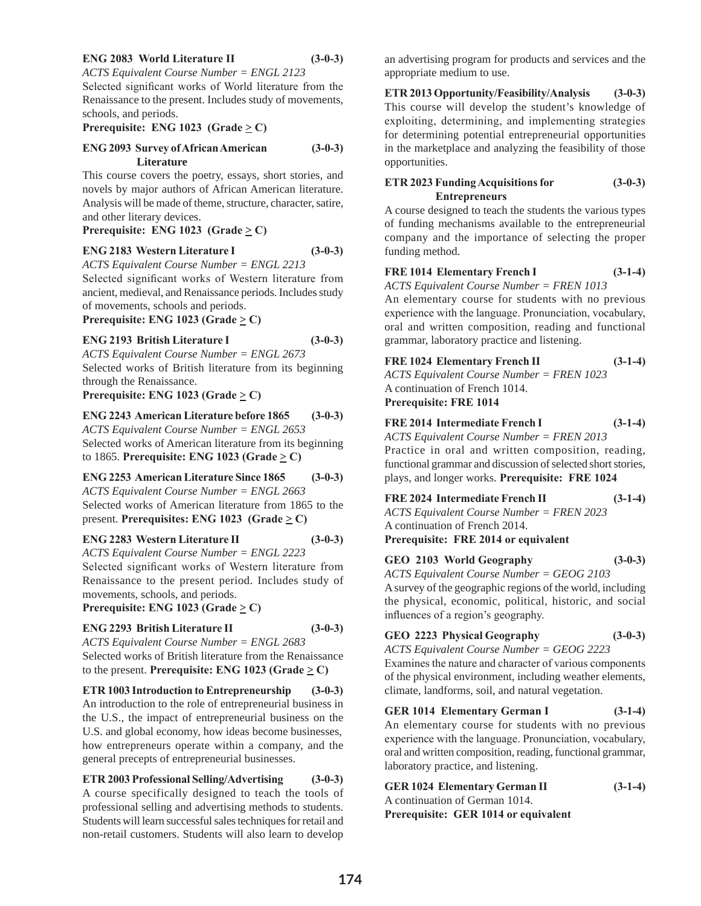#### **ENG 2083 World Literature II (3-0-3)**

*ACTS Equivalent Course Number = ENGL 2123*

Selected significant works of World literature from the Renaissance to the present. Includes study of movements, schools, and periods.

#### **Prerequisite:** ENG 1023 (Grade  $\geq$  C)

#### **ENG 2093 Survey of African American (3-0-3) Literature**

This course covers the poetry, essays, short stories, and novels by major authors of African American literature. Analysis will be made of theme, structure, character, satire, and other literary devices.

#### **Prerequisite:** ENG 1023 (Grade  $\geq$  C)

#### **ENG 2183 Western Literature I (3-0-3)**

*ACTS Equivalent Course Number = ENGL 2213*

Selected significant works of Western literature from ancient, medieval, and Renaissance periods. Includes study of movements, schools and periods.

#### **Prerequisite:** ENG 1023 (Grade  $\geq$  C)

**ENG 2193 British Literature I (3-0-3)**

*ACTS Equivalent Course Number = ENGL 2673* Selected works of British literature from its beginning through the Renaissance.

**Prerequisite:** ENG 1023 (Grade  $\geq$  C)

#### **ENG 2243 American Literature before 1865 (3-0-3)**

*ACTS Equivalent Course Number = ENGL 2653* Selected works of American literature from its beginning to 1865. **Prerequisite: ENG 1023 (Grade**  $\geq$  **C)** 

**ENG 2253 American Literature Since 1865 (3-0-3)**

*ACTS Equivalent Course Number = ENGL 2663* Selected works of American literature from 1865 to the present. **Prerequisites:** ENG 1023 (Grade  $\geq$  C)

# **ENG 2283 Western Literature II (3-0-3)**

*ACTS Equivalent Course Number = ENGL 2223* Selected significant works of Western literature from Renaissance to the present period. Includes study of

# movements, schools, and periods.

# **Prerequisite:** ENG 1023 (Grade  $\geq$  C)

# **ENG 2293 British Literature II (3-0-3)**

*ACTS Equivalent Course Number = ENGL 2683* Selected works of British literature from the Renaissance to the present. **Prerequisite: ENG 1023 (Grade**  $\geq$  **C)** 

# **ETR 1003 Introduction to Entrepreneurship (3-0-3)**

An introduction to the role of entrepreneurial business in the U.S., the impact of entrepreneurial business on the U.S. and global economy, how ideas become businesses, how entrepreneurs operate within a company, and the general precepts of entrepreneurial businesses.

# **ETR 2003 Professional Selling/Advertising (3-0-3)** A course specifically designed to teach the tools of professional selling and advertising methods to students. Students will learn successful sales techniques for retail and non-retail customers. Students will also learn to develop

an advertising program for products and services and the appropriate medium to use.

**ETR 2013 Opportunity/Feasibility/Analysis (3-0-3)** This course will develop the student's knowledge of exploiting, determining, and implementing strategies for determining potential entrepreneurial opportunities in the marketplace and analyzing the feasibility of those opportunities.

# **ETR 2023 Funding Acquisitions for (3-0-3) Entrepreneurs**

A course designed to teach the students the various types of funding mechanisms available to the entrepreneurial company and the importance of selecting the proper funding method.

# **FRE 1014 Elementary French I (3-1-4)**

*ACTS Equivalent Course Number = FREN 1013*

An elementary course for students with no previous experience with the language. Pronunciation, vocabulary, oral and written composition, reading and functional grammar, laboratory practice and listening.

**FRE 1024 Elementary French II (3-1-4)**

*ACTS Equivalent Course Number = FREN 1023* A continuation of French 1014. **Prerequisite: FRE 1014**

# **FRE 2014 Intermediate French I (3-1-4)**

*ACTS Equivalent Course Number = FREN 2013* Practice in oral and written composition, reading, functional grammar and discussion of selected short stories, plays, and longer works. **Prerequisite: FRE 1024** 

# **FRE 2024 Intermediate French II (3-1-4)**

*ACTS Equivalent Course Number = FREN 2023* A continuation of French 2014. **Prerequisite: FRE 2014 or equivalent**

# **GEO 2103 World Geography (3-0-3)** *ACTS Equivalent Course Number = GEOG 2103* A survey of the geographic regions of the world, including

the physical, economic, political, historic, and social influences of a region's geography.

# **GEO 2223 Physical Geography (3-0-3)**

*ACTS Equivalent Course Number = GEOG 2223* Examines the nature and character of various components of the physical environment, including weather elements, climate, landforms, soil, and natural vegetation.

# **GER 1014 Elementary German I (3-1-4)**

An elementary course for students with no previous experience with the language. Pronunciation, vocabulary, oral and written composition, reading, functional grammar, laboratory practice, and listening.

| <b>GER 1024 Elementary German II</b> | $(3-1-4)$ |
|--------------------------------------|-----------|
| A continuation of German 1014.       |           |
| Prerequisite: GER 1014 or equivalent |           |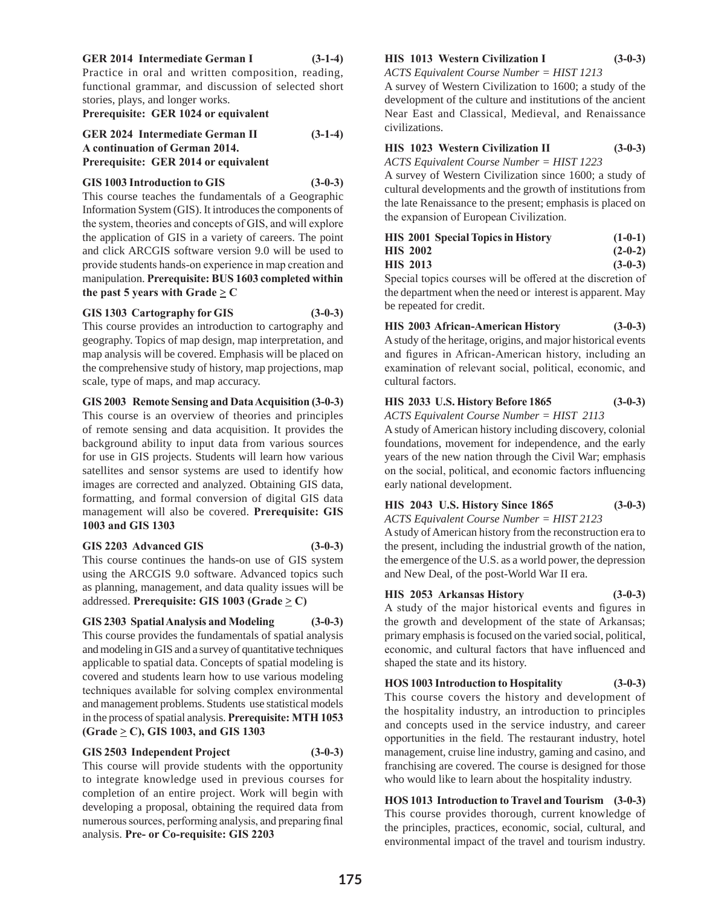# **GER 2014 Intermediate German I (3-1-4)**

Practice in oral and written composition, reading, functional grammar, and discussion of selected short stories, plays, and longer works.

# **Prerequisite: GER 1024 or equivalent**

**GER 2024 Intermediate German II (3-1-4) A continuation of German 2014. Prerequisite: GER 2014 or equivalent**

# **GIS 1003 Introduction to GIS (3-0-3)**

This course teaches the fundamentals of a Geographic Information System (GIS). It introduces the components of the system, theories and concepts of GIS, and will explore the application of GIS in a variety of careers. The point and click ARCGIS software version 9.0 will be used to provide students hands-on experience in map creation and manipulation. **Prerequisite: BUS 1603 completed within the past 5 years with Grade**  $\geq$  **C** 

#### **GIS 1303 Cartography for GIS (3-0-3)**

This course provides an introduction to cartography and geography. Topics of map design, map interpretation, and map analysis will be covered. Emphasis will be placed on the comprehensive study of history, map projections, map scale, type of maps, and map accuracy.

#### **GIS 2003 Remote Sensing and Data Acquisition (3-0-3)**

This course is an overview of theories and principles of remote sensing and data acquisition. It provides the background ability to input data from various sources for use in GIS projects. Students will learn how various satellites and sensor systems are used to identify how images are corrected and analyzed. Obtaining GIS data, formatting, and formal conversion of digital GIS data management will also be covered. **Prerequisite: GIS 1003 and GIS 1303**

# **GIS 2203 Advanced GIS (3-0-3)**

This course continues the hands-on use of GIS system using the ARCGIS 9.0 software. Advanced topics such as planning, management, and data quality issues will be addressed. **Prerequisite: GIS 1003 (Grade**  $\geq$  **C)** 

# **GIS 2303 Spatial Analysis and Modeling (3-0-3)**

This course provides the fundamentals of spatial analysis and modeling in GIS and a survey of quantitative techniques applicable to spatial data. Concepts of spatial modeling is covered and students learn how to use various modeling techniques available for solving complex environmental and management problems. Students use statistical models in the process of spatial analysis. **Prerequisite: MTH 1053 (Grade > C), GIS 1003, and GIS 1303**

# **GIS 2503 Independent Project (3-0-3)**

This course will provide students with the opportunity to integrate knowledge used in previous courses for completion of an entire project. Work will begin with developing a proposal, obtaining the required data from numerous sources, performing analysis, and preparing final analysis. **Pre- or Co-requisite: GIS 2203** 

# **HIS 1013 Western Civilization I (3-0-3)**

*ACTS Equivalent Course Number = HIST 1213* A survey of Western Civilization to 1600; a study of the development of the culture and institutions of the ancient

Near East and Classical, Medieval, and Renaissance civilizations.

# **HIS 1023 Western Civilization II (3-0-3)**

*ACTS Equivalent Course Number = HIST 1223*

A survey of Western Civilization since 1600; a study of cultural developments and the growth of institutions from the late Renaissance to the present; emphasis is placed on the expansion of European Civilization.

| <b>HIS 2001 Special Topics in History</b> | $(1-0-1)$ |
|-------------------------------------------|-----------|
| <b>HIS 2002</b>                           | $(2-0-2)$ |
| <b>HIS 2013</b>                           | $(3-0-3)$ |

Special topics courses will be offered at the discretion of the department when the need or interest is apparent. May be repeated for credit.

**HIS 2003 African-American History (3-0-3)** A study of the heritage, origins, and major historical events and figures in African-American history, including an examination of relevant social, political, economic, and cultural factors.

# **HIS 2033 U.S. History Before 1865 (3-0-3)**

*ACTS Equivalent Course Number = HIST 2113*

A study of American history including discovery, colonial foundations, movement for independence, and the early years of the new nation through the Civil War; emphasis on the social, political, and economic factors influencing early national development.

# **HIS 2043 U.S. History Since 1865 (3-0-3)**

*ACTS Equivalent Course Number = HIST 2123*

A study of American history from the reconstruction era to the present, including the industrial growth of the nation, the emergence of the U.S. as a world power, the depression and New Deal, of the post-World War II era.

# **HIS 2053 Arkansas History (3-0-3)**

A study of the major historical events and figures in the growth and development of the state of Arkansas; primary emphasis is focused on the varied social, political, economic, and cultural factors that have influenced and shaped the state and its history.

# **HOS 1003 Introduction to Hospitality (3-0-3)**

This course covers the history and development of the hospitality industry, an introduction to principles and concepts used in the service industry, and career opportunities in the field. The restaurant industry, hotel management, cruise line industry, gaming and casino, and franchising are covered. The course is designed for those who would like to learn about the hospitality industry.

**HOS 1013 Introduction to Travel and Tourism (3-0-3)** This course provides thorough, current knowledge of the principles, practices, economic, social, cultural, and environmental impact of the travel and tourism industry.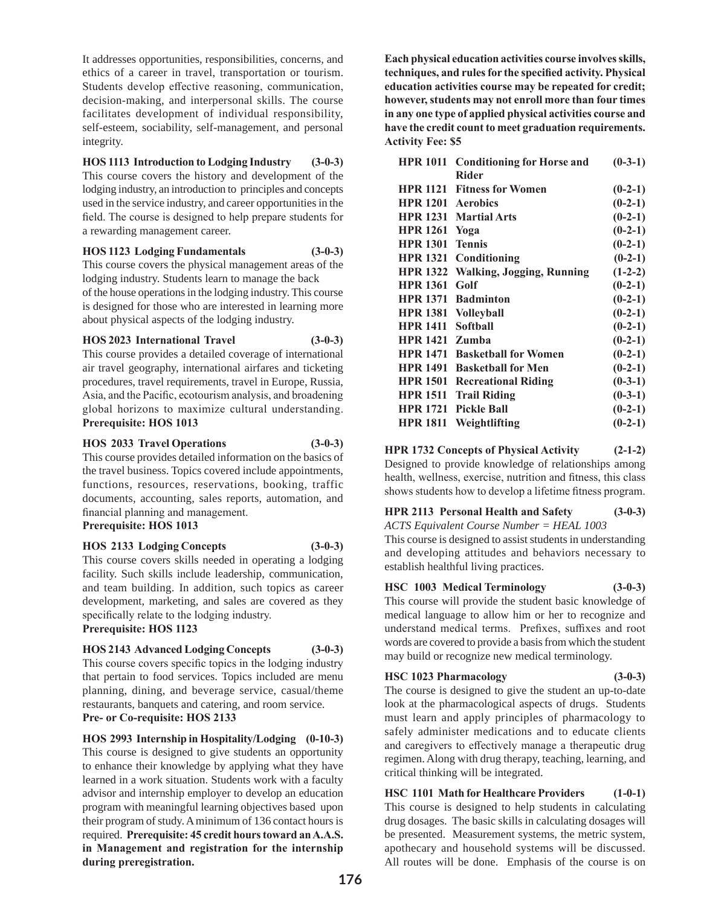It addresses opportunities, responsibilities, concerns, and ethics of a career in travel, transportation or tourism. Students develop effective reasoning, communication, decision-making, and interpersonal skills. The course facilitates development of individual responsibility, self-esteem, sociability, self-management, and personal integrity.

# **HOS 1113 Introduction to Lodging Industry (3-0-3)**

This course covers the history and development of the lodging industry, an introduction to principles and concepts used in the service industry, and career opportunities in the field. The course is designed to help prepare students for a rewarding management career.

# **HOS 1123 Lodging Fundamentals (3-0-3)**

This course covers the physical management areas of the lodging industry. Students learn to manage the back

of the house operations in the lodging industry. This course is designed for those who are interested in learning more about physical aspects of the lodging industry.

# **HOS 2023 International Travel (3-0-3)**

This course provides a detailed coverage of international air travel geography, international airfares and ticketing procedures, travel requirements, travel in Europe, Russia, Asia, and the Pacific, ecotourism analysis, and broadening global horizons to maximize cultural understanding. **Prerequisite: HOS 1013** 

#### **HOS 2033 Travel Operations (3-0-3)**

This course provides detailed information on the basics of the travel business. Topics covered include appointments, functions, resources, reservations, booking, traffic documents, accounting, sales reports, automation, and financial planning and management.

# **Prerequisite: HOS 1013**

# **HOS 2133 Lodging Concepts (3-0-3)**

This course covers skills needed in operating a lodging facility. Such skills include leadership, communication, and team building. In addition, such topics as career development, marketing, and sales are covered as they specifically relate to the lodging industry.

# **Prerequisite: HOS 1123**

# **HOS 2143 Advanced Lodging Concepts (3-0-3)**

This course covers specific topics in the lodging industry that pertain to food services. Topics included are menu planning, dining, and beverage service, casual/theme restaurants, banquets and catering, and room service. **Pre- or Co-requisite: HOS 2133** 

**HOS 2993 Internship in Hospitality/Lodging (0-10-3)**  This course is designed to give students an opportunity to enhance their knowledge by applying what they have learned in a work situation. Students work with a faculty advisor and internship employer to develop an education program with meaningful learning objectives based upon their program of study. A minimum of 136 contact hours is required. **Prerequisite: 45 credit hours toward an A.A.S. in Management and registration for the internship during preregistration.**

**Each physical education activities course involves skills, techniques, and rules for the specified activity. Physical education activities course may be repeated for credit; however, students may not enroll more than four times in any one type of applied physical activities course and have the credit count to meet graduation requirements. Activity Fee: \$5** 

| <b>HPR 1011</b> | <b>Conditioning for Horse and</b> | $(0-3-1)$ |
|-----------------|-----------------------------------|-----------|
|                 | <b>Rider</b>                      |           |
| <b>HPR 1121</b> | <b>Fitness for Women</b>          | $(0-2-1)$ |
| <b>HPR 1201</b> | <b>Aerobics</b>                   | $(0-2-1)$ |
|                 | <b>HPR 1231 Martial Arts</b>      | $(0-2-1)$ |
| <b>HPR 1261</b> | Yoga                              | $(0-2-1)$ |
| <b>HPR 1301</b> | <b>Tennis</b>                     | $(0-2-1)$ |
| <b>HPR 1321</b> | Conditioning                      | $(0-2-1)$ |
| <b>HPR 1322</b> | <b>Walking, Jogging, Running</b>  | $(1-2-2)$ |
| <b>HPR 1361</b> | Golf                              | $(0-2-1)$ |
| <b>HPR 1371</b> | <b>Badminton</b>                  | $(0-2-1)$ |
| <b>HPR 1381</b> | <b>Volleyball</b>                 | $(0-2-1)$ |
| <b>HPR 1411</b> | Softball                          | $(0-2-1)$ |
| <b>HPR 1421</b> | Zumba                             | $(0-2-1)$ |
| <b>HPR 1471</b> | <b>Basketball for Women</b>       | $(0-2-1)$ |
| <b>HPR 1491</b> | <b>Basketball for Men</b>         | $(0-2-1)$ |
| <b>HPR 1501</b> | <b>Recreational Riding</b>        | $(0-3-1)$ |
| <b>HPR 1511</b> | <b>Trail Riding</b>               | $(0-3-1)$ |
| <b>HPR 1721</b> | <b>Pickle Ball</b>                | $(0-2-1)$ |
| <b>HPR 1811</b> | Weightlifting                     | $(0-2-1)$ |

# **HPR 1732 Concepts of Physical Activity (2-1-2)**

Designed to provide knowledge of relationships among health, wellness, exercise, nutrition and fitness, this class shows students how to develop a lifetime fitness program.

# **HPR 2113 Personal Health and Safety (3-0-3)**

*ACTS Equivalent Course Number = HEAL 1003*

This course is designed to assist students in understanding and developing attitudes and behaviors necessary to establish healthful living practices.

# **HSC 1003 Medical Terminology (3-0-3)**

This course will provide the student basic knowledge of medical language to allow him or her to recognize and understand medical terms. Prefixes, suffixes and root words are covered to provide a basis from which the student may build or recognize new medical terminology.

# **HSC 1023 Pharmacology (3-0-3)**

The course is designed to give the student an up-to-date look at the pharmacological aspects of drugs. Students must learn and apply principles of pharmacology to safely administer medications and to educate clients and caregivers to effectively manage a therapeutic drug regimen. Along with drug therapy, teaching, learning, and critical thinking will be integrated.

**HSC 1101 Math for Healthcare Providers (1-0-1)** This course is designed to help students in calculating drug dosages. The basic skills in calculating dosages will be presented. Measurement systems, the metric system, apothecary and household systems will be discussed. All routes will be done. Emphasis of the course is on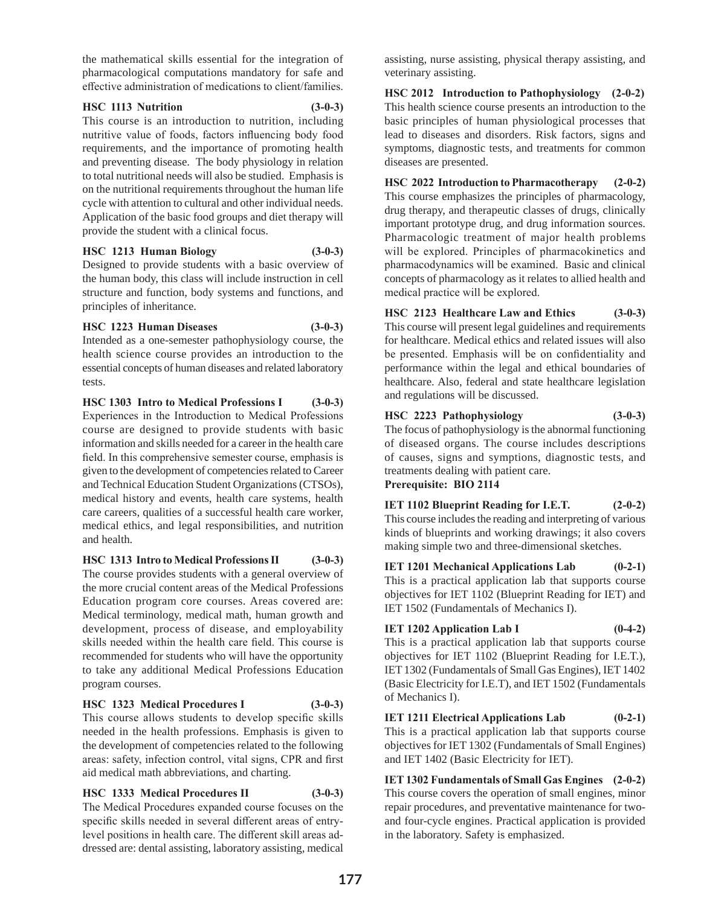the mathematical skills essential for the integration of pharmacological computations mandatory for safe and effective administration of medications to client/families.

#### **HSC 1113 Nutrition (3-0-3)**

This course is an introduction to nutrition, including nutritive value of foods, factors influencing body food requirements, and the importance of promoting health and preventing disease. The body physiology in relation to total nutritional needs will also be studied. Emphasis is on the nutritional requirements throughout the human life cycle with attention to cultural and other individual needs. Application of the basic food groups and diet therapy will provide the student with a clinical focus.

# **HSC 1213 Human Biology (3-0-3)**

Designed to provide students with a basic overview of the human body, this class will include instruction in cell structure and function, body systems and functions, and principles of inheritance.

# **HSC 1223 Human Diseases (3-0-3)**

Intended as a one-semester pathophysiology course, the health science course provides an introduction to the essential concepts of human diseases and related laboratory tests.

**HSC 1303 Intro to Medical Professions I (3-0-3)** Experiences in the Introduction to Medical Professions course are designed to provide students with basic information and skills needed for a career in the health care field. In this comprehensive semester course, emphasis is given to the development of competencies related to Career and Technical Education Student Organizations (CTSOs), medical history and events, health care systems, health care careers, qualities of a successful health care worker, medical ethics, and legal responsibilities, and nutrition and health.

**HSC 1313 Intro to Medical Professions II (3-0-3)**

The course provides students with a general overview of the more crucial content areas of the Medical Professions Education program core courses. Areas covered are: Medical terminology, medical math, human growth and development, process of disease, and employability skills needed within the health care field. This course is recommended for students who will have the opportunity to take any additional Medical Professions Education program courses.

# **HSC 1323 Medical Procedures I (3-0-3)**

This course allows students to develop specific skills needed in the health professions. Emphasis is given to the development of competencies related to the following areas: safety, infection control, vital signs, CPR and first aid medical math abbreviations, and charting.

# **HSC 1333 Medical Procedures II (3-0-3)**

The Medical Procedures expanded course focuses on the specific skills needed in several different areas of entrylevel positions in health care. The different skill areas addressed are: dental assisting, laboratory assisting, medical

assisting, nurse assisting, physical therapy assisting, and veterinary assisting.

**HSC 2012 Introduction to Pathophysiology (2-0-2)** This health science course presents an introduction to the basic principles of human physiological processes that lead to diseases and disorders. Risk factors, signs and symptoms, diagnostic tests, and treatments for common diseases are presented.

**HSC 2022 Introduction to Pharmacotherapy (2-0-2)** This course emphasizes the principles of pharmacology, drug therapy, and therapeutic classes of drugs, clinically important prototype drug, and drug information sources. Pharmacologic treatment of major health problems will be explored. Principles of pharmacokinetics and pharmacodynamics will be examined. Basic and clinical concepts of pharmacology as it relates to allied health and medical practice will be explored.

**HSC 2123 Healthcare Law and Ethics (3-0-3)** This course will present legal guidelines and requirements for healthcare. Medical ethics and related issues will also be presented. Emphasis will be on confidentiality and performance within the legal and ethical boundaries of healthcare. Also, federal and state healthcare legislation and regulations will be discussed.

# **HSC 2223 Pathophysiology (3-0-3)**

The focus of pathophysiology is the abnormal functioning of diseased organs. The course includes descriptions of causes, signs and symptions, diagnostic tests, and treatments dealing with patient care. **Prerequisite: BIO 2114**

**IET 1102 Blueprint Reading for I.E.T. (2-0-2)** This course includes the reading and interpreting of various kinds of blueprints and working drawings; it also covers making simple two and three-dimensional sketches.

**IET 1201 Mechanical Applications Lab (0-2-1)** This is a practical application lab that supports course objectives for IET 1102 (Blueprint Reading for IET) and IET 1502 (Fundamentals of Mechanics I).

# **IET 1202 Application Lab I** (0-4-2)

This is a practical application lab that supports course objectives for IET 1102 (Blueprint Reading for I.E.T.), IET 1302 (Fundamentals of Small Gas Engines), IET 1402 (Basic Electricity for I.E.T), and IET 1502 (Fundamentals of Mechanics I).

**IET 1211 Electrical Applications Lab (0-2-1)** This is a practical application lab that supports course objectives for IET 1302 (Fundamentals of Small Engines) and IET 1402 (Basic Electricity for IET).

**IET 1302 Fundamentals of Small Gas Engines (2-0-2)** This course covers the operation of small engines, minor repair procedures, and preventative maintenance for twoand four-cycle engines. Practical application is provided in the laboratory. Safety is emphasized.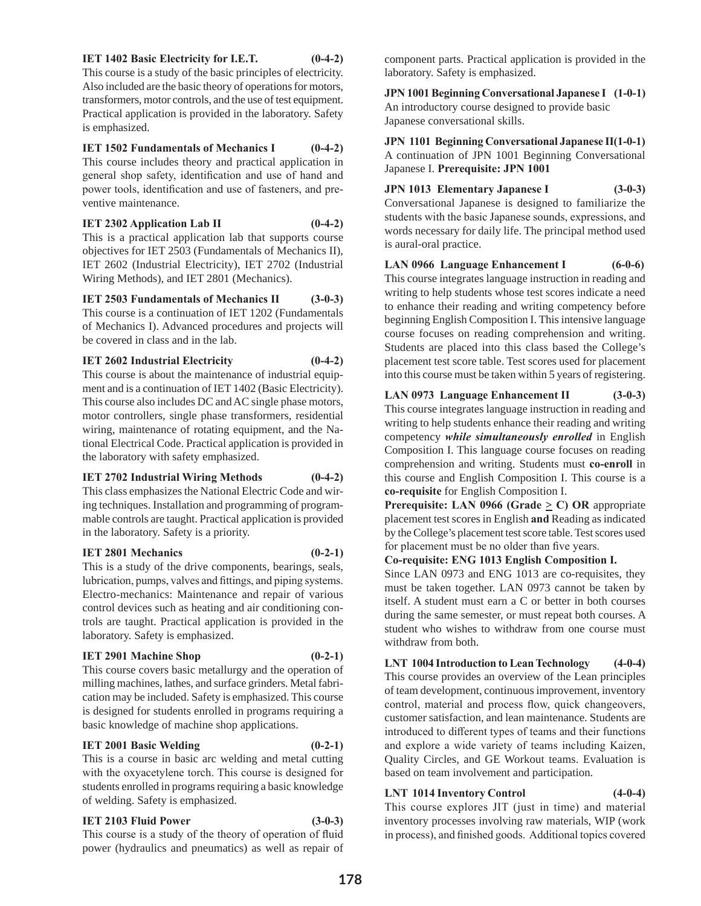#### **IET 1402 Basic Electricity for I.E.T. (0-4-2)**

This course is a study of the basic principles of electricity. Also included are the basic theory of operations for motors, transformers, motor controls, and the use of test equipment. Practical application is provided in the laboratory. Safety is emphasized.

**IET 1502 Fundamentals of Mechanics I (0-4-2)**

This course includes theory and practical application in general shop safety, identification and use of hand and power tools, identification and use of fasteners, and preventive maintenance.

#### **IET 2302 Application Lab II** (0-4-2)

This is a practical application lab that supports course objectives for IET 2503 (Fundamentals of Mechanics II), IET 2602 (Industrial Electricity), IET 2702 (Industrial Wiring Methods), and IET 2801 (Mechanics).

#### **IET 2503 Fundamentals of Mechanics II (3-0-3)**

This course is a continuation of IET 1202 (Fundamentals of Mechanics I). Advanced procedures and projects will be covered in class and in the lab.

# **IET 2602 Industrial Electricity (0-4-2)**

This course is about the maintenance of industrial equipment and is a continuation of IET 1402 (Basic Electricity). This course also includes DC and AC single phase motors, motor controllers, single phase transformers, residential wiring, maintenance of rotating equipment, and the National Electrical Code. Practical application is provided in the laboratory with safety emphasized.

# **IET 2702 Industrial Wiring Methods (0-4-2)**

This class emphasizes the National Electric Code and wiring techniques. Installation and programming of programmable controls are taught. Practical application is provided in the laboratory. Safety is a priority.

# **IET 2801 Mechanics (0-2-1)**

This is a study of the drive components, bearings, seals, lubrication, pumps, valves and fittings, and piping systems. Electro-mechanics: Maintenance and repair of various control devices such as heating and air conditioning controls are taught. Practical application is provided in the laboratory. Safety is emphasized.

#### **IET 2901 Machine Shop (0-2-1)**

This course covers basic metallurgy and the operation of milling machines, lathes, and surface grinders. Metal fabrication may be included. Safety is emphasized. This course is designed for students enrolled in programs requiring a basic knowledge of machine shop applications.

# **IET 2001 Basic Welding (0-2-1)**

This is a course in basic arc welding and metal cutting with the oxyacetylene torch. This course is designed for students enrolled in programs requiring a basic knowledge of welding. Safety is emphasized.

# **IET 2103 Fluid Power (3-0-3)**

This course is a study of the theory of operation of fluid power (hydraulics and pneumatics) as well as repair of component parts. Practical application is provided in the laboratory. Safety is emphasized.

**JPN 1001 Beginning Conversational Japanese I (1-0-1)** An introductory course designed to provide basic Japanese conversational skills.

**JPN 1101 Beginning Conversational Japanese II(1-0-1)** A continuation of JPN 1001 Beginning Conversational Japanese I. **Prerequisite: JPN 1001**

# **JPN 1013 Elementary Japanese I (3-0-3)**

Conversational Japanese is designed to familiarize the students with the basic Japanese sounds, expressions, and words necessary for daily life. The principal method used is aural-oral practice.

# **LAN 0966 Language Enhancement I (6-0-6)**

This course integrates language instruction in reading and writing to help students whose test scores indicate a need to enhance their reading and writing competency before beginning English Composition I. This intensive language course focuses on reading comprehension and writing. Students are placed into this class based the College's placement test score table. Test scores used for placement into this course must be taken within 5 years of registering.

# **LAN 0973 Language Enhancement II (3-0-3)**

This course integrates language instruction in reading and writing to help students enhance their reading and writing competency *while simultaneously enrolled* in English Composition I. This language course focuses on reading comprehension and writing. Students must **co-enroll** in this course and English Composition I. This course is a **co-requisite** for English Composition I.

**Prerequisite:** LAN 0966 (Grade  $\geq$  C) OR appropriate placement test scores in English **and** Reading as indicated by the College's placement test score table. Test scores used for placement must be no older than five years.

#### **Co-requisite: ENG 1013 English Composition I.**

Since LAN 0973 and ENG 1013 are co-requisites, they must be taken together. LAN 0973 cannot be taken by itself. A student must earn a C or better in both courses during the same semester, or must repeat both courses. A student who wishes to withdraw from one course must withdraw from both.

**LNT 1004 Introduction to Lean Technology (4-0-4)** This course provides an overview of the Lean principles of team development, continuous improvement, inventory control, material and process flow, quick changeovers, customer satisfaction, and lean maintenance. Students are introduced to different types of teams and their functions and explore a wide variety of teams including Kaizen, Quality Circles, and GE Workout teams. Evaluation is based on team involvement and participation.

# **LNT 1014 Inventory Control (4-0-4)**

This course explores JIT (just in time) and material inventory processes involving raw materials, WIP (work in process), and finished goods. Additional topics covered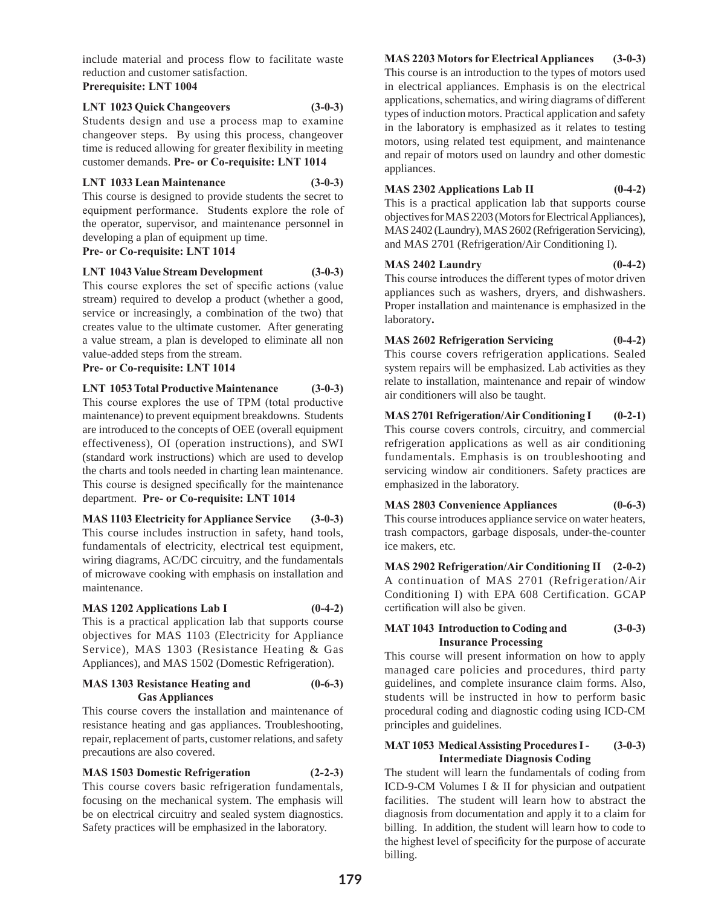include material and process flow to facilitate waste reduction and customer satisfaction.

**Prerequisite: LNT 1004**

# **LNT 1023 Quick Changeovers (3-0-3)**

Students design and use a process map to examine changeover steps. By using this process, changeover time is reduced allowing for greater flexibility in meeting customer demands. **Pre- or Co-requisite: LNT 1014**

# **LNT 1033 Lean Maintenance (3-0-3)**

This course is designed to provide students the secret to equipment performance. Students explore the role of the operator, supervisor, and maintenance personnel in developing a plan of equipment up time.

# **Pre- or Co-requisite: LNT 1014**

**LNT 1043 Value Stream Development (3-0-3)**

This course explores the set of specific actions (value stream) required to develop a product (whether a good, service or increasingly, a combination of the two) that creates value to the ultimate customer. After generating a value stream, a plan is developed to eliminate all non value-added steps from the stream.

# **Pre- or Co-requisite: LNT 1014**

# **LNT 1053 Total Productive Maintenance (3-0-3)**

This course explores the use of TPM (total productive maintenance) to prevent equipment breakdowns. Students are introduced to the concepts of OEE (overall equipment effectiveness), OI (operation instructions), and SWI (standard work instructions) which are used to develop the charts and tools needed in charting lean maintenance. This course is designed specifically for the maintenance department. **Pre- or Co-requisite: LNT 1014**

# **MAS 1103 Electricity for Appliance Service (3-0-3)**

This course includes instruction in safety, hand tools, fundamentals of electricity, electrical test equipment, wiring diagrams, AC/DC circuitry, and the fundamentals of microwave cooking with emphasis on installation and maintenance.

# **MAS 1202 Applications Lab I (0-4-2)**

This is a practical application lab that supports course objectives for MAS 1103 (Electricity for Appliance Service), MAS 1303 (Resistance Heating & Gas Appliances), and MAS 1502 (Domestic Refrigeration).

# **MAS 1303 Resistance Heating and (0-6-3) Gas Appliances**

This course covers the installation and maintenance of resistance heating and gas appliances. Troubleshooting, repair, replacement of parts, customer relations, and safety precautions are also covered.

**MAS 1503 Domestic Refrigeration (2-2-3)** 

This course covers basic refrigeration fundamentals, focusing on the mechanical system. The emphasis will be on electrical circuitry and sealed system diagnostics. Safety practices will be emphasized in the laboratory.

**MAS 2203 Motors for Electrical Appliances (3-0-3)** This course is an introduction to the types of motors used in electrical appliances. Emphasis is on the electrical applications, schematics, and wiring diagrams of different types of induction motors. Practical application and safety in the laboratory is emphasized as it relates to testing motors, using related test equipment, and maintenance and repair of motors used on laundry and other domestic appliances.

# **MAS 2302 Applications Lab II (0-4-2)**

This is a practical application lab that supports course objectives for MAS 2203 (Motors for Electrical Appliances), MAS 2402 (Laundry), MAS 2602 (Refrigeration Servicing), and MAS 2701 (Refrigeration/Air Conditioning I).

# **MAS 2402 Laundry (0-4-2)**

This course introduces the different types of motor driven appliances such as washers, dryers, and dishwashers. Proper installation and maintenance is emphasized in the laboratory**.**

# **MAS 2602 Refrigeration Servicing (0-4-2)**

This course covers refrigeration applications. Sealed system repairs will be emphasized. Lab activities as they relate to installation, maintenance and repair of window air conditioners will also be taught.

# **MAS 2701 Refrigeration/Air Conditioning I (0-2-1)**

This course covers controls, circuitry, and commercial refrigeration applications as well as air conditioning fundamentals. Emphasis is on troubleshooting and servicing window air conditioners. Safety practices are emphasized in the laboratory.

# **MAS 2803 Convenience Appliances (0-6-3)**

This course introduces appliance service on water heaters, trash compactors, garbage disposals, under-the-counter ice makers, etc.

**MAS 2902 Refrigeration/Air Conditioning II (2-0-2)** A continuation of MAS 2701 (Refrigeration/Air Conditioning I) with EPA 608 Certification. GCAP certification will also be given.

# **MAT 1043 Introduction to Coding and (3-0-3) Insurance Processing**

This course will present information on how to apply managed care policies and procedures, third party guidelines, and complete insurance claim forms. Also, students will be instructed in how to perform basic procedural coding and diagnostic coding using ICD-CM principles and guidelines.

# **MAT 1053 Medical Assisting Procedures I - (3-0-3) Intermediate Diagnosis Coding**

The student will learn the fundamentals of coding from ICD-9-CM Volumes I & II for physician and outpatient facilities. The student will learn how to abstract the diagnosis from documentation and apply it to a claim for billing. In addition, the student will learn how to code to the highest level of specificity for the purpose of accurate billing.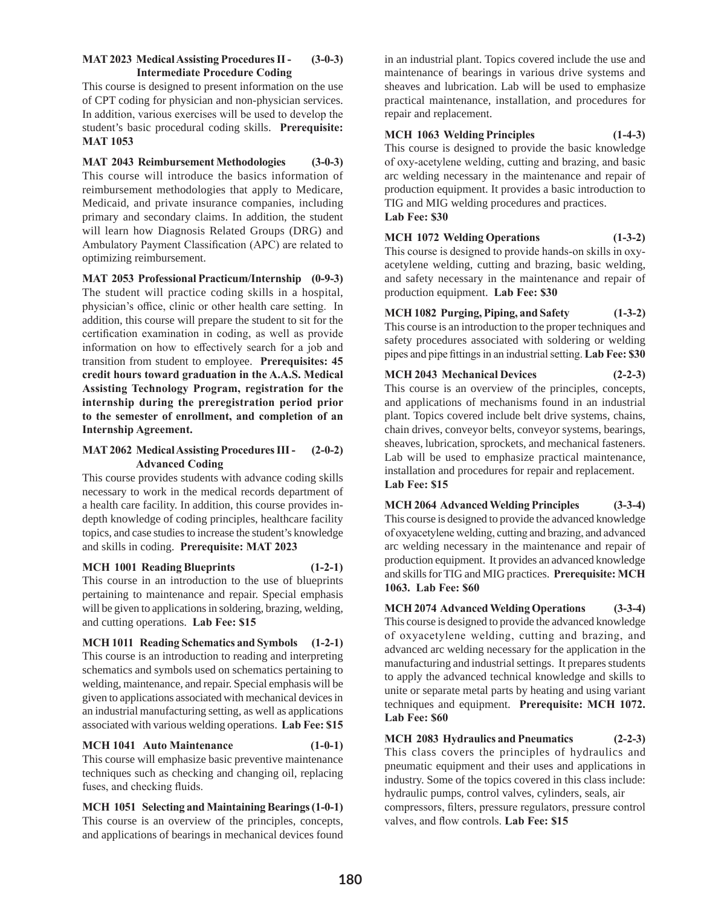# **MAT 2023 Medical Assisting Procedures II - (3-0-3) Intermediate Procedure Coding**

This course is designed to present information on the use of CPT coding for physician and non-physician services. In addition, various exercises will be used to develop the student's basic procedural coding skills. **Prerequisite: MAT 1053**

**MAT 2043 Reimbursement Methodologies (3-0-3)** This course will introduce the basics information of reimbursement methodologies that apply to Medicare, Medicaid, and private insurance companies, including primary and secondary claims. In addition, the student will learn how Diagnosis Related Groups (DRG) and Ambulatory Payment Classification (APC) are related to optimizing reimbursement.

**MAT 2053 Professional Practicum/Internship (0-9-3)** The student will practice coding skills in a hospital, physician's office, clinic or other health care setting. In addition, this course will prepare the student to sit for the certification examination in coding, as well as provide information on how to effectively search for a job and transition from student to employee. **Prerequisites: 45 credit hours toward graduation in the A.A.S. Medical Assisting Technology Program, registration for the internship during the preregistration period prior to the semester of enrollment, and completion of an Internship Agreement.**

# **MAT 2062 Medical Assisting Procedures III - (2-0-2) Advanced Coding**

This course provides students with advance coding skills necessary to work in the medical records department of a health care facility. In addition, this course provides indepth knowledge of coding principles, healthcare facility topics, and case studies to increase the student's knowledge and skills in coding. **Prerequisite: MAT 2023**

# **MCH 1001 Reading Blueprints (1-2-1)**

This course in an introduction to the use of blueprints pertaining to maintenance and repair. Special emphasis will be given to applications in soldering, brazing, welding, and cutting operations. **Lab Fee: \$15**

**MCH 1011 Reading Schematics and Symbols (1-2-1)** This course is an introduction to reading and interpreting schematics and symbols used on schematics pertaining to welding, maintenance, and repair. Special emphasis will be given to applications associated with mechanical devices in an industrial manufacturing setting, as well as applications associated with various welding operations. **Lab Fee: \$15**

# **MCH 1041 Auto Maintenance (1-0-1)**

This course will emphasize basic preventive maintenance techniques such as checking and changing oil, replacing fuses, and checking fluids.

**MCH 1051 Selecting and Maintaining Bearings (1-0-1)** This course is an overview of the principles, concepts, and applications of bearings in mechanical devices found

in an industrial plant. Topics covered include the use and maintenance of bearings in various drive systems and sheaves and lubrication. Lab will be used to emphasize practical maintenance, installation, and procedures for repair and replacement.

# **MCH 1063 Welding Principles (1-4-3)**

This course is designed to provide the basic knowledge of oxy-acetylene welding, cutting and brazing, and basic arc welding necessary in the maintenance and repair of production equipment. It provides a basic introduction to TIG and MIG welding procedures and practices. **Lab Fee: \$30**

# **MCH 1072 Welding Operations (1-3-2)**

This course is designed to provide hands-on skills in oxyacetylene welding, cutting and brazing, basic welding, and safety necessary in the maintenance and repair of production equipment. **Lab Fee: \$30**

**MCH 1082 Purging, Piping, and Safety (1-3-2)** This course is an introduction to the proper techniques and safety procedures associated with soldering or welding pipes and pipe fittings in an industrial setting. **Lab Fee: \$30**

# **MCH 2043 Mechanical Devices (2-2-3)**

This course is an overview of the principles, concepts, and applications of mechanisms found in an industrial plant. Topics covered include belt drive systems, chains, chain drives, conveyor belts, conveyor systems, bearings, sheaves, lubrication, sprockets, and mechanical fasteners. Lab will be used to emphasize practical maintenance, installation and procedures for repair and replacement. **Lab Fee: \$15**

**MCH 2064 Advanced Welding Principles (3-3-4)** This course is designed to provide the advanced knowledge of oxyacetylene welding, cutting and brazing, and advanced arc welding necessary in the maintenance and repair of production equipment. It provides an advanced knowledge and skills for TIG and MIG practices. **Prerequisite: MCH 1063. Lab Fee: \$60**

**MCH 2074 Advanced Welding Operations (3-3-4)** This course is designed to provide the advanced knowledge of oxyacetylene welding, cutting and brazing, and advanced arc welding necessary for the application in the manufacturing and industrial settings. It prepares students to apply the advanced technical knowledge and skills to unite or separate metal parts by heating and using variant techniques and equipment. **Prerequisite: MCH 1072. Lab Fee: \$60**

**MCH 2083 Hydraulics and Pneumatics (2-2-3)**  This class covers the principles of hydraulics and pneumatic equipment and their uses and applications in industry. Some of the topics covered in this class include: hydraulic pumps, control valves, cylinders, seals, air compressors, filters, pressure regulators, pressure control valves, and flow controls. **Lab Fee: \$15**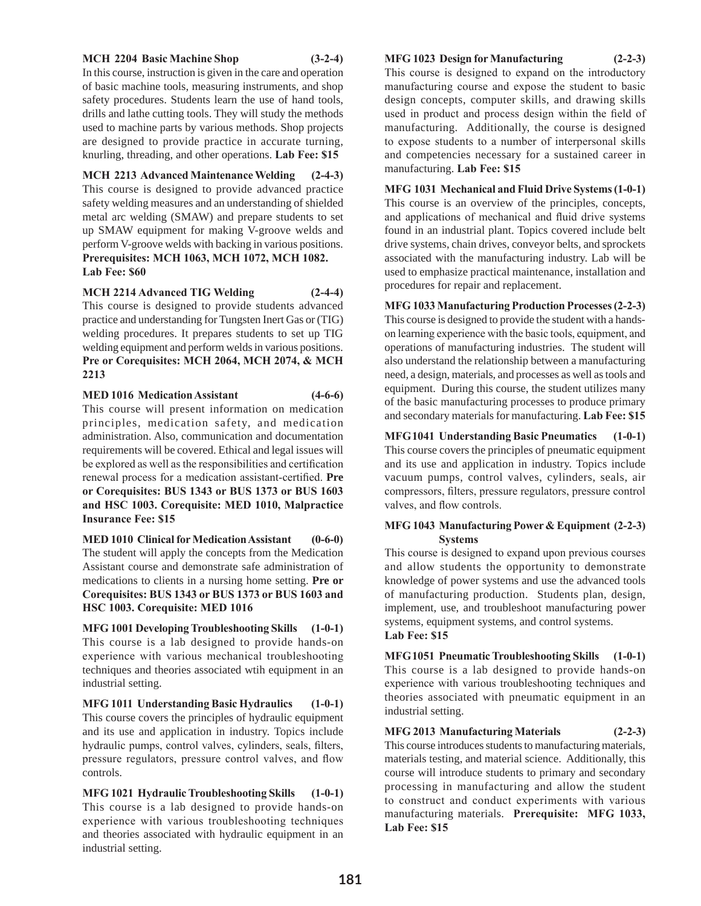#### **MCH 2204 Basic Machine Shop (3-2-4)**

In this course, instruction is given in the care and operation of basic machine tools, measuring instruments, and shop safety procedures. Students learn the use of hand tools, drills and lathe cutting tools. They will study the methods used to machine parts by various methods. Shop projects are designed to provide practice in accurate turning, knurling, threading, and other operations. **Lab Fee: \$15**

**MCH 2213 Advanced Maintenance Welding (2-4-3)** This course is designed to provide advanced practice safety welding measures and an understanding of shielded metal arc welding (SMAW) and prepare students to set up SMAW equipment for making V-groove welds and perform V-groove welds with backing in various positions. **Prerequisites: MCH 1063, MCH 1072, MCH 1082. Lab Fee: \$60**

**MCH 2214 Advanced TIG Welding (2-4-4)** This course is designed to provide students advanced practice and understanding for Tungsten Inert Gas or (TIG) welding procedures. It prepares students to set up TIG welding equipment and perform welds in various positions. **Pre or Corequisites: MCH 2064, MCH 2074, & MCH 2213**

**MED 1016 Medication Assistant (4-6-6)** This course will present information on medication principles, medication safety, and medication administration. Also, communication and documentation requirements will be covered. Ethical and legal issues will be explored as well as the responsibilities and certification renewal process for a medication assistant-certified. **Pre or Corequisites: BUS 1343 or BUS 1373 or BUS 1603 and HSC 1003. Corequisite: MED 1010, Malpractice Insurance Fee: \$15**

**MED 1010 Clinical for Medication Assistant (0-6-0)** The student will apply the concepts from the Medication Assistant course and demonstrate safe administration of medications to clients in a nursing home setting. **Pre or Corequisites: BUS 1343 or BUS 1373 or BUS 1603 and HSC 1003. Corequisite: MED 1016**

**MFG 1001 Developing Troubleshooting Skills (1-0-1)** This course is a lab designed to provide hands-on experience with various mechanical troubleshooting techniques and theories associated wtih equipment in an industrial setting.

**MFG 1011 Understanding Basic Hydraulics (1-0-1)** This course covers the principles of hydraulic equipment and its use and application in industry. Topics include hydraulic pumps, control valves, cylinders, seals, filters, pressure regulators, pressure control valves, and flow controls.

**MFG 1021 Hydraulic Troubleshooting Skills (1-0-1)** This course is a lab designed to provide hands-on experience with various troubleshooting techniques and theories associated with hydraulic equipment in an industrial setting.

#### **MFG 1023 Design for Manufacturing (2-2-3)**

This course is designed to expand on the introductory manufacturing course and expose the student to basic design concepts, computer skills, and drawing skills used in product and process design within the field of manufacturing. Additionally, the course is designed to expose students to a number of interpersonal skills and competencies necessary for a sustained career in manufacturing. **Lab Fee: \$15**

**MFG 1031 Mechanical and Fluid Drive Systems (1-0-1)** This course is an overview of the principles, concepts, and applications of mechanical and fluid drive systems found in an industrial plant. Topics covered include belt drive systems, chain drives, conveyor belts, and sprockets associated with the manufacturing industry. Lab will be used to emphasize practical maintenance, installation and procedures for repair and replacement.

**MFG 1033 Manufacturing Production Processes (2-2-3)** This course is designed to provide the student with a handson learning experience with the basic tools, equipment, and operations of manufacturing industries. The student will also understand the relationship between a manufacturing need, a design, materials, and processes as well as tools and equipment. During this course, the student utilizes many of the basic manufacturing processes to produce primary and secondary materials for manufacturing. **Lab Fee: \$15**

**MFG1041 Understanding Basic Pneumatics (1-0-1)** This course covers the principles of pneumatic equipment and its use and application in industry. Topics include vacuum pumps, control valves, cylinders, seals, air compressors, filters, pressure regulators, pressure control valves, and flow controls.

#### **MFG 1043 Manufacturing Power & Equipment (2-2-3) Systems**

This course is designed to expand upon previous courses and allow students the opportunity to demonstrate knowledge of power systems and use the advanced tools of manufacturing production. Students plan, design, implement, use, and troubleshoot manufacturing power systems, equipment systems, and control systems. **Lab Fee: \$15**

**MFG1051 Pneumatic Troubleshooting Skills (1-0-1)** This course is a lab designed to provide hands-on experience with various troubleshooting techniques and theories associated with pneumatic equipment in an industrial setting.

**MFG 2013 Manufacturing Materials (2-2-3)**

This course introduces students to manufacturing materials, materials testing, and material science. Additionally, this course will introduce students to primary and secondary processing in manufacturing and allow the student to construct and conduct experiments with various manufacturing materials. **Prerequisite: MFG 1033, Lab Fee: \$15**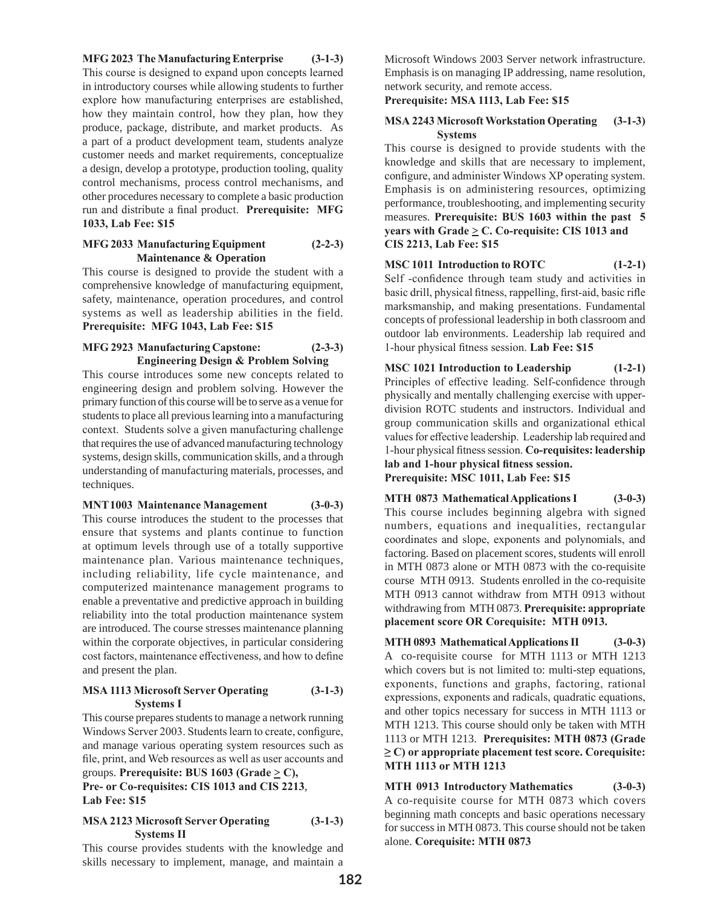**MFG 2023 The Manufacturing Enterprise (3-1-3)** This course is designed to expand upon concepts learned in introductory courses while allowing students to further explore how manufacturing enterprises are established, how they maintain control, how they plan, how they produce, package, distribute, and market products. As a part of a product development team, students analyze customer needs and market requirements, conceptualize a design, develop a prototype, production tooling, quality control mechanisms, process control mechanisms, and other procedures necessary to complete a basic production run and distribute a final product. **Prerequisite: MFG 1033, Lab Fee: \$15** 

# **MFG 2033 Manufacturing Equipment (2-2-3) Maintenance & Operation**

This course is designed to provide the student with a comprehensive knowledge of manufacturing equipment, safety, maintenance, operation procedures, and control systems as well as leadership abilities in the field. **Prerequisite: MFG 1043, Lab Fee: \$15**

# **MFG 2923 Manufacturing Capstone: (2-3-3) Engineering Design & Problem Solving**

This course introduces some new concepts related to engineering design and problem solving. However the primary function of this course will be to serve as a venue for students to place all previous learning into a manufacturing context. Students solve a given manufacturing challenge that requires the use of advanced manufacturing technology systems, design skills, communication skills, and a through understanding of manufacturing materials, processes, and techniques.

# **MNT1003 Maintenance Management (3-0-3)**

This course introduces the student to the processes that ensure that systems and plants continue to function at optimum levels through use of a totally supportive maintenance plan. Various maintenance techniques, including reliability, life cycle maintenance, and computerized maintenance management programs to enable a preventative and predictive approach in building reliability into the total production maintenance system are introduced. The course stresses maintenance planning within the corporate objectives, in particular considering cost factors, maintenance effectiveness, and how to define and present the plan.

# **MSA 1113 Microsoft Server Operating (3-1-3) Systems I**

This course prepares students to manage a network running Windows Server 2003. Students learn to create, configure, and manage various operating system resources such as file, print, and Web resources as well as user accounts and groups. **Prerequisite: BUS 1603 (Grade**  $\geq$  **C),** 

**Pre- or Co-requisites: CIS 1013 and CIS 2213**, **Lab Fee: \$15**

# **MSA 2123 Microsoft Server Operating (3-1-3) Systems II**

This course provides students with the knowledge and skills necessary to implement, manage, and maintain a

Microsoft Windows 2003 Server network infrastructure. Emphasis is on managing IP addressing, name resolution, network security, and remote access.

# **Prerequisite: MSA 1113, Lab Fee: \$15**

#### **MSA 2243 Microsoft Workstation Operating (3-1-3) Systems**

This course is designed to provide students with the knowledge and skills that are necessary to implement, configure, and administer Windows XP operating system. Emphasis is on administering resources, optimizing performance, troubleshooting, and implementing security measures. **Prerequisite: BUS 1603 within the past 5 years with Grade**  $\geq$  **C. Co-requisite: CIS 1013 and CIS 2213, Lab Fee: \$15**

**MSC 1011 Introduction to ROTC (1-2-1)**  Self -confidence through team study and activities in basic drill, physical fitness, rappelling, first-aid, basic rifle marksmanship, and making presentations. Fundamental concepts of professional leadership in both classroom and outdoor lab environments. Leadership lab required and 1-hour physical fitness session. **Lab Fee: \$15**

**MSC 1021 Introduction to Leadership (1-2-1)** Principles of effective leading. Self-confidence through physically and mentally challenging exercise with upperdivision ROTC students and instructors. Individual and group communication skills and organizational ethical values for effective leadership. Leadership lab required and 1-hour physical fitness session. **Co-requisites: leadership lab and 1-hour physical fitness session. Prerequisite: MSC 1011, Lab Fee: \$15**

**MTH 0873 Mathematical Applications I (3-0-3)** This course includes beginning algebra with signed numbers, equations and inequalities, rectangular coordinates and slope, exponents and polynomials, and factoring. Based on placement scores, students will enroll in MTH 0873 alone or MTH 0873 with the co-requisite course MTH 0913. Students enrolled in the co-requisite MTH 0913 cannot withdraw from MTH 0913 without withdrawing from MTH 0873. **Prerequisite: appropriate placement score OR Corequisite: MTH 0913.** 

**MTH 0893 Mathematical Applications II (3-0-3)** A co-requisite course for MTH 1113 or MTH 1213 which covers but is not limited to: multi-step equations, exponents, functions and graphs, factoring, rational expressions, exponents and radicals, quadratic equations, and other topics necessary for success in MTH 1113 or MTH 1213. This course should only be taken with MTH 1113 or MTH 1213. **Prerequisites: MTH 0873 (Grade ≥ C) or appropriate placement test score. Corequisite: MTH 1113 or MTH 1213**

**MTH 0913 Introductory Mathematics (3-0-3)** A co-requisite course for MTH 0873 which covers beginning math concepts and basic operations necessary for success in MTH 0873. This course should not be taken alone. **Corequisite: MTH 0873**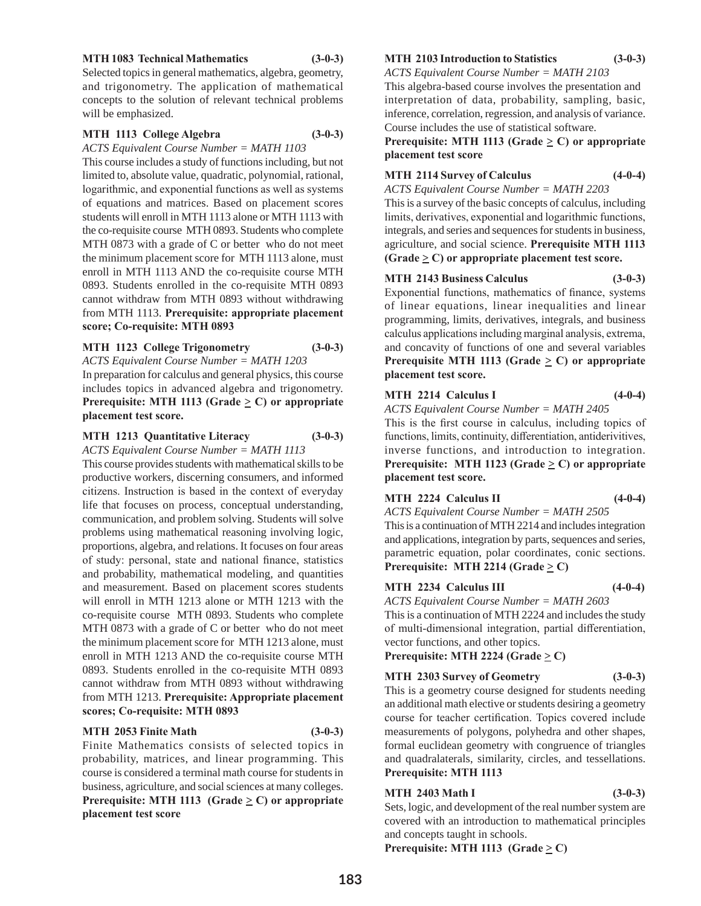#### **MTH 1083 Technical Mathematics (3-0-3)**

Selected topics in general mathematics, algebra, geometry, and trigonometry. The application of mathematical concepts to the solution of relevant technical problems will be emphasized.

#### **MTH 1113 College Algebra (3-0-3)**

*ACTS Equivalent Course Number = MATH 1103*

This course includes a study of functions including, but not limited to, absolute value, quadratic, polynomial, rational, logarithmic, and exponential functions as well as systems of equations and matrices. Based on placement scores students will enroll in MTH 1113 alone or MTH 1113 with the co-requisite course MTH 0893. Students who complete MTH 0873 with a grade of C or better who do not meet the minimum placement score for MTH 1113 alone, must enroll in MTH 1113 AND the co-requisite course MTH 0893. Students enrolled in the co-requisite MTH 0893 cannot withdraw from MTH 0893 without withdrawing from MTH 1113. **Prerequisite: appropriate placement score; Co-requisite: MTH 0893** 

#### **MTH 1123 College Trigonometry (3-0-3)**

*ACTS Equivalent Course Number = MATH 1203*

In preparation for calculus and general physics, this course includes topics in advanced algebra and trigonometry. **Prerequisite:** MTH 1113 (Grade  $\geq$  C) or appropriate **placement test score.**

#### **MTH 1213 Quantitative Literacy (3-0-3)**

*ACTS Equivalent Course Number = MATH 1113* This course provides students with mathematical skills to be productive workers, discerning consumers, and informed citizens. Instruction is based in the context of everyday life that focuses on process, conceptual understanding, communication, and problem solving. Students will solve problems using mathematical reasoning involving logic, proportions, algebra, and relations. It focuses on four areas of study: personal, state and national finance, statistics and probability, mathematical modeling, and quantities and measurement. Based on placement scores students will enroll in MTH 1213 alone or MTH 1213 with the co-requisite course MTH 0893. Students who complete MTH 0873 with a grade of C or better who do not meet the minimum placement score for MTH 1213 alone, must enroll in MTH 1213 AND the co-requisite course MTH 0893. Students enrolled in the co-requisite MTH 0893 cannot withdraw from MTH 0893 without withdrawing from MTH 1213. **Prerequisite: Appropriate placement scores; Co-requisite: MTH 0893** 

#### **MTH 2053 Finite Math (3-0-3)**

Finite Mathematics consists of selected topics in probability, matrices, and linear programming. This course is considered a terminal math course for students in business, agriculture, and social sciences at many colleges. **Prerequisite:** MTH 1113 (Grade  $\geq$  C) or appropriate **placement test score**

#### **MTH 2103 Introduction to Statistics (3-0-3)**

*ACTS Equivalent Course Number = MATH 2103* This algebra-based course involves the presentation and interpretation of data, probability, sampling, basic,

inference, correlation, regression, and analysis of variance. Course includes the use of statistical software.

#### **Prerequisite:** MTH 1113 (Grade  $\geq$  C) or appropriate **placement test score**

# **MTH 2114 Survey of Calculus (4-0-4)**

*ACTS Equivalent Course Number = MATH 2203* This is a survey of the basic concepts of calculus, including limits, derivatives, exponential and logarithmic functions,

integrals, and series and sequences for students in business, agriculture, and social science. **Prerequisite MTH 1113 (Grade**  $\geq$  **C) or appropriate placement test score.** 

# **MTH 2143 Business Calculus (3-0-3)**

Exponential functions, mathematics of finance, systems of linear equations, linear inequalities and linear programming, limits, derivatives, integrals, and business calculus applications including marginal analysis, extrema, and concavity of functions of one and several variables **Prerequisite MTH 1113 (Grade**  $\geq$  **C) or appropriate placement test score.**

# **MTH 2214 Calculus I** (4-0-4)

*ACTS Equivalent Course Number = MATH 2405* This is the first course in calculus, including topics of functions, limits, continuity, differentiation, antiderivitives, inverse functions, and introduction to integration. **Prerequisite:** MTH 1123 (Grade  $\geq$  C) or appropriate **placement test score.**

# **MTH 2224 Calculus II (4-0-4)**

*ACTS Equivalent Course Number = MATH 2505* This is a continuation of MTH 2214 and includes integration

and applications, integration by parts, sequences and series, parametric equation, polar coordinates, conic sections. **Prerequisite:** MTH 2214 (Grade  $\geq$  C)

# **MTH 2234 Calculus III (4-0-4)**

*ACTS Equivalent Course Number = MATH 2603* This is a continuation of MTH 2224 and includes the study of multi-dimensional integration, partial differentiation, vector functions, and other topics.

**Prerequisite:** MTH 2224 (Grade  $\geq$  C)

# **MTH 2303 Survey of Geometry (3-0-3)**

This is a geometry course designed for students needing an additional math elective or students desiring a geometry course for teacher certification. Topics covered include measurements of polygons, polyhedra and other shapes, formal euclidean geometry with congruence of triangles and quadralaterals, similarity, circles, and tessellations. **Prerequisite: MTH 1113** 

# **MTH 2403 Math I (3-0-3)**

Sets, logic, and development of the real number system are covered with an introduction to mathematical principles and concepts taught in schools.

**Prerequisite: MTH 1113 (Grade**  $\geq$  **C)**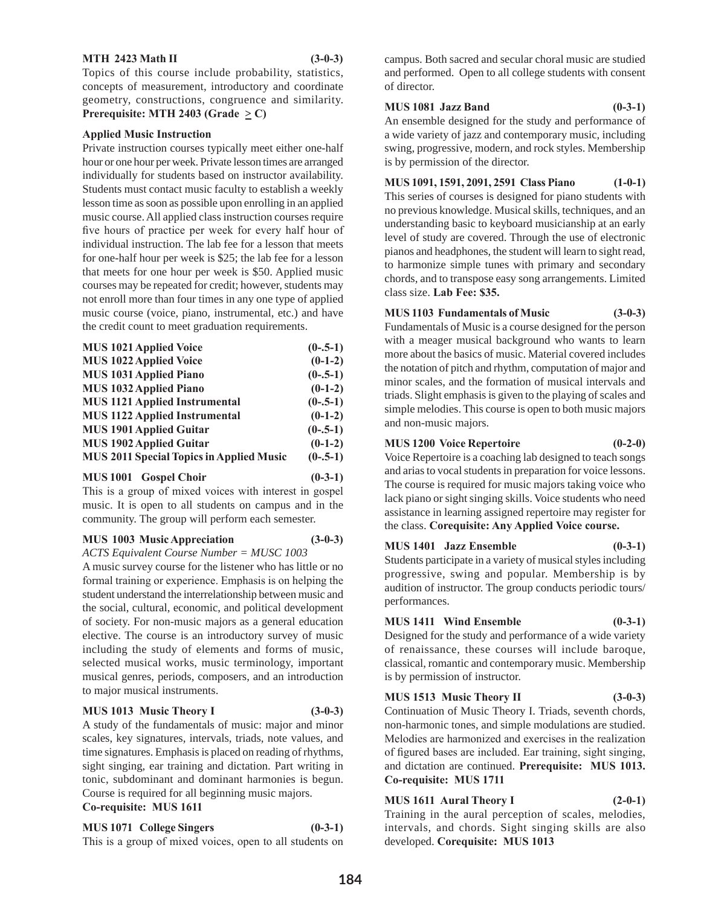#### **MTH 2423 Math II** (3-0-3)

Topics of this course include probability, statistics, concepts of measurement, introductory and coordinate geometry, constructions, congruence and similarity. **Prerequisite: MTH 2403 (Grade**  $\geq$  **C)** 

#### **Applied Music Instruction**

Private instruction courses typically meet either one-half hour or one hour per week. Private lesson times are arranged individually for students based on instructor availability. Students must contact music faculty to establish a weekly lesson time as soon as possible upon enrolling in an applied music course. All applied class instruction courses require five hours of practice per week for every half hour of individual instruction. The lab fee for a lesson that meets for one-half hour per week is \$25; the lab fee for a lesson that meets for one hour per week is \$50. Applied music courses may be repeated for credit; however, students may not enroll more than four times in any one type of applied music course (voice, piano, instrumental, etc.) and have the credit count to meet graduation requirements.

| <b>MUS 1021 Applied Voice</b>                   | $(0-.5-1)$ |
|-------------------------------------------------|------------|
| MUS 1022 Applied Voice                          | $(0-1-2)$  |
| <b>MUS 1031 Applied Piano</b>                   | $(0-.5-1)$ |
| MUS 1032 Applied Piano                          | $(0-1-2)$  |
| <b>MUS</b> 1121 Applied Instrumental            | $(0-.5-1)$ |
| <b>MUS 1122 Applied Instrumental</b>            | $(0-1-2)$  |
| <b>MUS 1901 Applied Guitar</b>                  | $(0-.5-1)$ |
| <b>MUS 1902 Applied Guitar</b>                  | $(0-1-2)$  |
| <b>MUS 2011 Special Topics in Applied Music</b> | $(0-.5-1)$ |
|                                                 |            |

**MUS 1001 Gospel Choir (0-3-1)**

This is a group of mixed voices with interest in gospel music. It is open to all students on campus and in the community. The group will perform each semester.

# **MUS 1003 Music Appreciation (3-0-3)**

*ACTS Equivalent Course Number = MUSC 1003*

A music survey course for the listener who has little or no formal training or experience. Emphasis is on helping the student understand the interrelationship between music and the social, cultural, economic, and political development of society. For non-music majors as a general education elective. The course is an introductory survey of music including the study of elements and forms of music, selected musical works, music terminology, important musical genres, periods, composers, and an introduction to major musical instruments.

#### **MUS 1013 Music Theory I (3-0-3)**

A study of the fundamentals of music: major and minor scales, key signatures, intervals, triads, note values, and time signatures. Emphasis is placed on reading of rhythms, sight singing, ear training and dictation. Part writing in tonic, subdominant and dominant harmonies is begun. Course is required for all beginning music majors. **Co-requisite: MUS 1611**

**MUS 1071 College Singers (0-3-1)**

This is a group of mixed voices, open to all students on

campus. Both sacred and secular choral music are studied and performed. Open to all college students with consent of director.

# **MUS 1081 Jazz Band (0-3-1)**

An ensemble designed for the study and performance of a wide variety of jazz and contemporary music, including swing, progressive, modern, and rock styles. Membership is by permission of the director.

**MUS 1091, 1591, 2091, 2591 Class Piano (1-0-1)** This series of courses is designed for piano students with no previous knowledge. Musical skills, techniques, and an understanding basic to keyboard musicianship at an early level of study are covered. Through the use of electronic pianos and headphones, the student will learn to sight read, to harmonize simple tunes with primary and secondary chords, and to transpose easy song arrangements. Limited class size. **Lab Fee: \$35.**

# **MUS 1103 Fundamentals of Music (3-0-3)**

Fundamentals of Music is a course designed for the person with a meager musical background who wants to learn more about the basics of music. Material covered includes the notation of pitch and rhythm, computation of major and minor scales, and the formation of musical intervals and triads. Slight emphasis is given to the playing of scales and simple melodies. This course is open to both music majors and non-music majors.

# **MUS 1200 Voice Repertoire (0-2-0)**

Voice Repertoire is a coaching lab designed to teach songs and arias to vocal students in preparation for voice lessons. The course is required for music majors taking voice who lack piano or sight singing skills. Voice students who need assistance in learning assigned repertoire may register for the class. **Corequisite: Any Applied Voice course.**

# **MUS 1401 Jazz Ensemble (0-3-1)**

Students participate in a variety of musical styles including progressive, swing and popular. Membership is by audition of instructor. The group conducts periodic tours/ performances.

# **MUS 1411 Wind Ensemble (0-3-1)**

Designed for the study and performance of a wide variety of renaissance, these courses will include baroque, classical, romantic and contemporary music. Membership is by permission of instructor.

# **MUS 1513 Music Theory II (3-0-3)**

Continuation of Music Theory I. Triads, seventh chords, non-harmonic tones, and simple modulations are studied. Melodies are harmonized and exercises in the realization of figured bases are included. Ear training, sight singing, and dictation are continued. **Prerequisite: MUS 1013. Co-requisite: MUS 1711**

# **MUS 1611 Aural Theory I (2-0-1)**

Training in the aural perception of scales, melodies, intervals, and chords. Sight singing skills are also developed. **Corequisite: MUS 1013**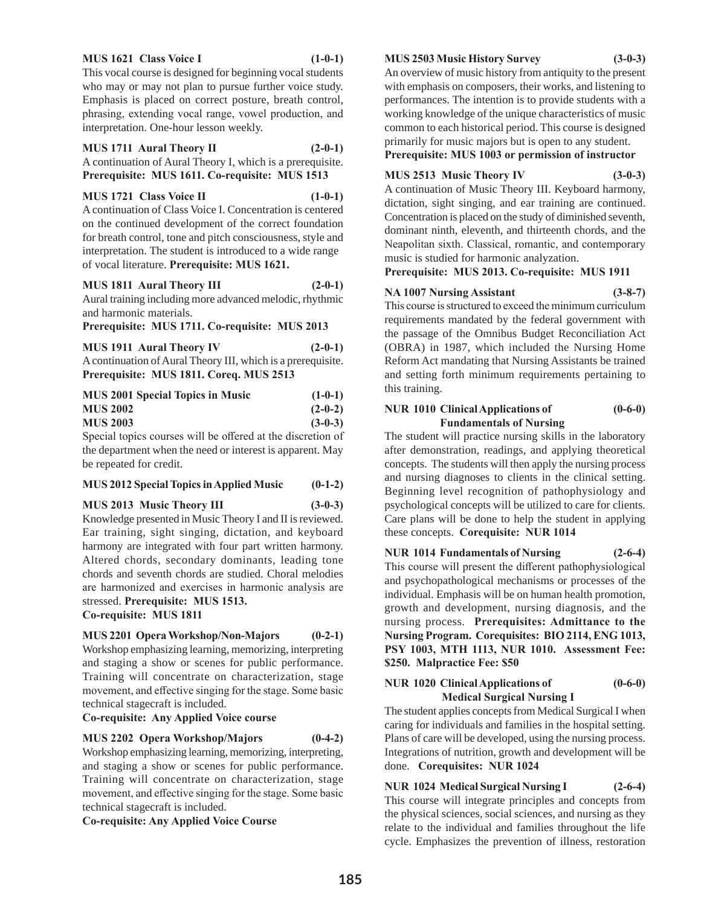#### **MUS 1621 Class Voice I (1-0-1)**

This vocal course is designed for beginning vocal students who may or may not plan to pursue further voice study. Emphasis is placed on correct posture, breath control, phrasing, extending vocal range, vowel production, and interpretation. One-hour lesson weekly.

**MUS 1711 Aural Theory II (2-0-1)** A continuation of Aural Theory I, which is a prerequisite. **Prerequisite: MUS 1611. Co-requisite: MUS 1513**

**MUS 1721 Class Voice II (1-0-1)**

A continuation of Class Voice I. Concentration is centered on the continued development of the correct foundation for breath control, tone and pitch consciousness, style and interpretation. The student is introduced to a wide range of vocal literature. **Prerequisite: MUS 1621.**

# **MUS 1811 Aural Theory III (2-0-1)**

Aural training including more advanced melodic, rhythmic and harmonic materials.

**Prerequisite: MUS 1711. Co-requisite: MUS 2013**

**MUS 1911 Aural Theory IV (2-0-1)** A continuation of Aural Theory III, which is a prerequisite. **Prerequisite: MUS 1811. Coreq. MUS 2513**

| <b>MUS 2001 Special Topics in Music</b> |  | $(1-0-1)$ |
|-----------------------------------------|--|-----------|
| <b>MUS 2002</b>                         |  | $(2-0-2)$ |
| <b>MUS 2003</b>                         |  | $(3-0-3)$ |
|                                         |  |           |

Special topics courses will be offered at the discretion of the department when the need or interest is apparent. May be repeated for credit.

# **MUS 2012 Special Topics in Applied Music (0-1-2)**

# **MUS 2013 Music Theory III (3-0-3)**

Knowledge presented in Music Theory I and II is reviewed. Ear training, sight singing, dictation, and keyboard harmony are integrated with four part written harmony. Altered chords, secondary dominants, leading tone chords and seventh chords are studied. Choral melodies are harmonized and exercises in harmonic analysis are stressed. **Prerequisite: MUS 1513.** 

**Co-requisite: MUS 1811**

# **MUS 2201 Opera Workshop/Non-Majors (0-2-1)**

Workshop emphasizing learning, memorizing, interpreting and staging a show or scenes for public performance. Training will concentrate on characterization, stage movement, and effective singing for the stage. Some basic technical stagecraft is included.

# **Co-requisite: Any Applied Voice course**

# **MUS 2202 Opera Workshop/Majors (0-4-2)**

Workshop emphasizing learning, memorizing, interpreting, and staging a show or scenes for public performance. Training will concentrate on characterization, stage movement, and effective singing for the stage. Some basic technical stagecraft is included.

**Co-requisite: Any Applied Voice Course**

#### **MUS 2503 Music History Survey (3-0-3)**

An overview of music history from antiquity to the present with emphasis on composers, their works, and listening to performances. The intention is to provide students with a working knowledge of the unique characteristics of music common to each historical period. This course is designed primarily for music majors but is open to any student.

**Prerequisite: MUS 1003 or permission of instructor**

# **MUS 2513 Music Theory IV (3-0-3)**

A continuation of Music Theory III. Keyboard harmony, dictation, sight singing, and ear training are continued. Concentration is placed on the study of diminished seventh, dominant ninth, eleventh, and thirteenth chords, and the Neapolitan sixth. Classical, romantic, and contemporary music is studied for harmonic analyzation.

# **Prerequisite: MUS 2013. Co-requisite: MUS 1911**

#### **NA 1007 Nursing Assistant (3-8-7)**

this training.

This course is structured to exceed the minimum curriculum requirements mandated by the federal government with the passage of the Omnibus Budget Reconciliation Act (OBRA) in 1987, which included the Nursing Home Reform Act mandating that Nursing Assistants be trained and setting forth minimum requirements pertaining to

# **NUR 1010 Clinical Applications of (0-6-0) Fundamentals of Nursing**

The student will practice nursing skills in the laboratory after demonstration, readings, and applying theoretical concepts. The students will then apply the nursing process and nursing diagnoses to clients in the clinical setting. Beginning level recognition of pathophysiology and psychological concepts will be utilized to care for clients. Care plans will be done to help the student in applying these concepts. **Corequisite: NUR 1014**

# **NUR 1014 Fundamentals of Nursing (2-6-4)** This course will present the different pathophysiological and psychopathological mechanisms or processes of the individual. Emphasis will be on human health promotion, growth and development, nursing diagnosis, and the nursing process. **Prerequisites: Admittance to the Nursing Program. Corequisites: BIO 2114, ENG 1013, PSY 1003, MTH 1113, NUR 1010. Assessment Fee: \$250. Malpractice Fee: \$50**

# **NUR 1020 Clinical Applications of (0-6-0) Medical Surgical Nursing I**

The student applies concepts from Medical Surgical I when caring for individuals and families in the hospital setting. Plans of care will be developed, using the nursing process. Integrations of nutrition, growth and development will be done. **Corequisites: NUR 1024**

**NUR 1024 Medical Surgical Nursing I (2-6-4)** This course will integrate principles and concepts from

the physical sciences, social sciences, and nursing as they relate to the individual and families throughout the life cycle. Emphasizes the prevention of illness, restoration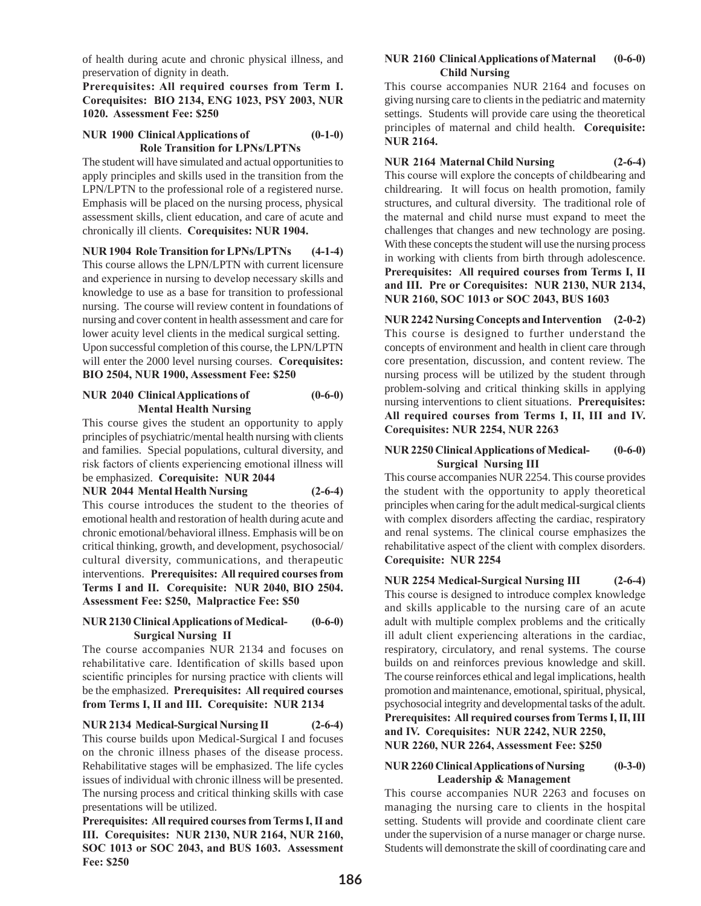of health during acute and chronic physical illness, and preservation of dignity in death.

**Prerequisites: All required courses from Term I. Corequisites: BIO 2134, ENG 1023, PSY 2003, NUR 1020. Assessment Fee: \$250** 

# **NUR 1900 Clinical Applications of (0-1-0) Role Transition for LPNs/LPTNs**

The student will have simulated and actual opportunities to apply principles and skills used in the transition from the LPN/LPTN to the professional role of a registered nurse. Emphasis will be placed on the nursing process, physical assessment skills, client education, and care of acute and chronically ill clients. **Corequisites: NUR 1904.**

**NUR 1904 Role Transition for LPNs/LPTNs (4-1-4)** This course allows the LPN/LPTN with current licensure and experience in nursing to develop necessary skills and knowledge to use as a base for transition to professional nursing. The course will review content in foundations of nursing and cover content in health assessment and care for lower acuity level clients in the medical surgical setting. Upon successful completion of this course, the LPN/LPTN will enter the 2000 level nursing courses. **Corequisites: BIO 2504, NUR 1900, Assessment Fee: \$250**

# **NUR 2040 Clinical Applications of (0-6-0) Mental Health Nursing**

This course gives the student an opportunity to apply principles of psychiatric/mental health nursing with clients and families. Special populations, cultural diversity, and risk factors of clients experiencing emotional illness will be emphasized. **Corequisite: NUR 2044**

**NUR 2044 Mental Health Nursing (2-6-4)**

This course introduces the student to the theories of emotional health and restoration of health during acute and chronic emotional/behavioral illness. Emphasis will be on critical thinking, growth, and development, psychosocial/ cultural diversity, communications, and therapeutic interventions. **Prerequisites: All required courses from Terms I and II. Corequisite: NUR 2040, BIO 2504. Assessment Fee: \$250, Malpractice Fee: \$50**

# **NUR 2130 Clinical Applications of Medical- (0-6-0) Surgical Nursing II**

The course accompanies NUR 2134 and focuses on rehabilitative care. Identification of skills based upon scientific principles for nursing practice with clients will be the emphasized. **Prerequisites: All required courses from Terms I, II and III. Corequisite: NUR 2134**

**NUR 2134 Medical-Surgical Nursing II (2-6-4)** This course builds upon Medical-Surgical I and focuses on the chronic illness phases of the disease process. Rehabilitative stages will be emphasized. The life cycles issues of individual with chronic illness will be presented. The nursing process and critical thinking skills with case presentations will be utilized.

**Prerequisites: All required courses from Terms I, II and III. Corequisites: NUR 2130, NUR 2164, NUR 2160, SOC 1013 or SOC 2043, and BUS 1603. Assessment Fee: \$250** 

#### **NUR 2160 Clinical Applications of Maternal (0-6-0) Child Nursing**

This course accompanies NUR 2164 and focuses on giving nursing care to clients in the pediatric and maternity settings. Students will provide care using the theoretical principles of maternal and child health. **Corequisite: NUR 2164.** 

# **NUR 2164 Maternal Child Nursing (2-6-4)**

This course will explore the concepts of childbearing and childrearing. It will focus on health promotion, family structures, and cultural diversity. The traditional role of the maternal and child nurse must expand to meet the challenges that changes and new technology are posing. With these concepts the student will use the nursing process in working with clients from birth through adolescence. **Prerequisites: All required courses from Terms I, II and III. Pre or Corequisites: NUR 2130, NUR 2134, NUR 2160, SOC 1013 or SOC 2043, BUS 1603**

**NUR 2242 Nursing Concepts and Intervention (2-0-2)** This course is designed to further understand the concepts of environment and health in client care through core presentation, discussion, and content review. The nursing process will be utilized by the student through problem-solving and critical thinking skills in applying nursing interventions to client situations. **Prerequisites: All required courses from Terms I, II, III and IV. Corequisites: NUR 2254, NUR 2263**

#### **NUR 2250 Clinical Applications of Medical- (0-6-0) Surgical Nursing III**

This course accompanies NUR 2254. This course provides the student with the opportunity to apply theoretical principles when caring for the adult medical-surgical clients with complex disorders affecting the cardiac, respiratory and renal systems. The clinical course emphasizes the rehabilitative aspect of the client with complex disorders. **Corequisite: NUR 2254**

**NUR 2254 Medical-Surgical Nursing III (2-6-4)** This course is designed to introduce complex knowledge and skills applicable to the nursing care of an acute adult with multiple complex problems and the critically ill adult client experiencing alterations in the cardiac, respiratory, circulatory, and renal systems. The course builds on and reinforces previous knowledge and skill. The course reinforces ethical and legal implications, health promotion and maintenance, emotional, spiritual, physical, psychosocial integrity and developmental tasks of the adult. **Prerequisites: All required courses from Terms I, II, III and IV. Corequisites: NUR 2242, NUR 2250, NUR 2260, NUR 2264, Assessment Fee: \$250** 

# **NUR 2260 Clinical Applications of Nursing (0-3-0) Leadership & Management**

This course accompanies NUR 2263 and focuses on managing the nursing care to clients in the hospital setting. Students will provide and coordinate client care under the supervision of a nurse manager or charge nurse. Students will demonstrate the skill of coordinating care and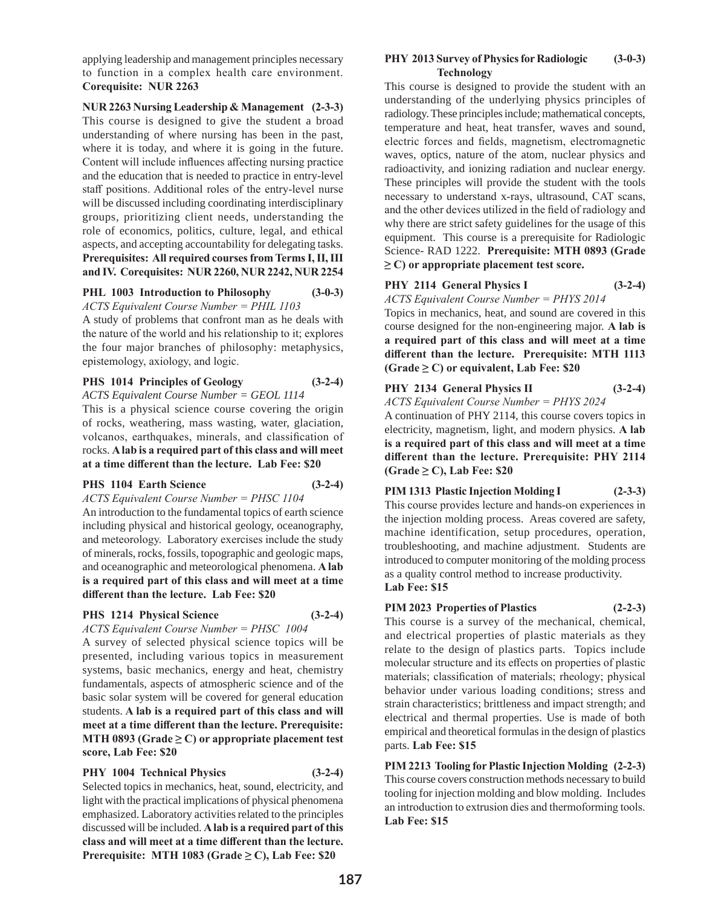applying leadership and management principles necessary to function in a complex health care environment. **Corequisite: NUR 2263** 

**NUR 2263 Nursing Leadership & Management (2-3-3)** This course is designed to give the student a broad understanding of where nursing has been in the past, where it is today, and where it is going in the future. Content will include influences affecting nursing practice and the education that is needed to practice in entry-level staff positions. Additional roles of the entry-level nurse will be discussed including coordinating interdisciplinary groups, prioritizing client needs, understanding the role of economics, politics, culture, legal, and ethical aspects, and accepting accountability for delegating tasks. **Prerequisites: All required courses from Terms I, II, III and IV. Corequisites: NUR 2260, NUR 2242, NUR 2254**

# **PHL 1003 Introduction to Philosophy (3-0-3)** *ACTS Equivalent Course Number = PHIL 1103*

A study of problems that confront man as he deals with the nature of the world and his relationship to it; explores the four major branches of philosophy: metaphysics, epistemology, axiology, and logic.

# **PHS 1014 Principles of Geology (3-2-4)**

*ACTS Equivalent Course Number = GEOL 1114*

This is a physical science course covering the origin of rocks, weathering, mass wasting, water, glaciation, volcanos, earthquakes, minerals, and classification of rocks. **A lab is a required part of this class and will meet at a time different than the lecture. Lab Fee: \$20**

# **PHS 1104 Earth Science (3-2-4)**

*ACTS Equivalent Course Number = PHSC 1104*

An introduction to the fundamental topics of earth science including physical and historical geology, oceanography, and meteorology. Laboratory exercises include the study of minerals, rocks, fossils, topographic and geologic maps, and oceanographic and meteorological phenomena. **A lab is a required part of this class and will meet at a time different than the lecture. Lab Fee: \$20**

#### **PHS 1214 Physical Science (3-2-4)**

*ACTS Equivalent Course Number = PHSC 1004* A survey of selected physical science topics will be presented, including various topics in measurement systems, basic mechanics, energy and heat, chemistry fundamentals, aspects of atmospheric science and of the basic solar system will be covered for general education students. **A lab is a required part of this class and will meet at a time different than the lecture. Prerequisite: MTH 0893 (Grade**  $\geq$  **C) or appropriate placement test score, Lab Fee: \$20**

**PHY 1004 Technical Physics (3-2-4)** Selected topics in mechanics, heat, sound, electricity, and light with the practical implications of physical phenomena emphasized. Laboratory activities related to the principles discussed will be included. **A lab is a required part of this class and will meet at a time different than the lecture. Prerequisite: MTH 1083 (Grade ≥ C), Lab Fee: \$20**

#### **PHY 2013 Survey of Physics for Radiologic (3-0-3) Technology**

This course is designed to provide the student with an understanding of the underlying physics principles of radiology. These principles include; mathematical concepts, temperature and heat, heat transfer, waves and sound, electric forces and fields, magnetism, electromagnetic waves, optics, nature of the atom, nuclear physics and radioactivity, and ionizing radiation and nuclear energy. These principles will provide the student with the tools necessary to understand x-rays, ultrasound, CAT scans, and the other devices utilized in the field of radiology and why there are strict safety guidelines for the usage of this equipment. This course is a prerequisite for Radiologic Science- RAD 1222. **Prerequisite: MTH 0893 (Grade ≥ C) or appropriate placement test score.** 

# **PHY 2114 General Physics I (3-2-4)**

*ACTS Equivalent Course Number = PHYS 2014* Topics in mechanics, heat, and sound are covered in this

course designed for the non-engineering major. **A lab is a required part of this class and will meet at a time different than the lecture. Prerequisite: MTH 1113 (Grade ≥ C) or equivalent, Lab Fee: \$20**

# **PHY 2134 General Physics II (3-2-4)**

*ACTS Equivalent Course Number = PHYS 2024*

A continuation of PHY 2114, this course covers topics in electricity, magnetism, light, and modern physics. **A lab is a required part of this class and will meet at a time different than the lecture. Prerequisite: PHY 2114 (Grade ≥ C), Lab Fee: \$20**

# **PIM 1313 Plastic Injection Molding I (2-3-3)** This course provides lecture and hands-on experiences in

the injection molding process. Areas covered are safety, machine identification, setup procedures, operation, troubleshooting, and machine adjustment. Students are introduced to computer monitoring of the molding process as a quality control method to increase productivity. **Lab Fee: \$15**

# **PIM 2023 Properties of Plastics (2-2-3)**

This course is a survey of the mechanical, chemical, and electrical properties of plastic materials as they relate to the design of plastics parts. Topics include molecular structure and its effects on properties of plastic materials; classification of materials; rheology; physical behavior under various loading conditions; stress and strain characteristics; brittleness and impact strength; and electrical and thermal properties. Use is made of both empirical and theoretical formulas in the design of plastics parts. **Lab Fee: \$15**

**PIM 2213 Tooling for Plastic Injection Molding (2-2-3)** This course covers construction methods necessary to build tooling for injection molding and blow molding. Includes an introduction to extrusion dies and thermoforming tools. **Lab Fee: \$15**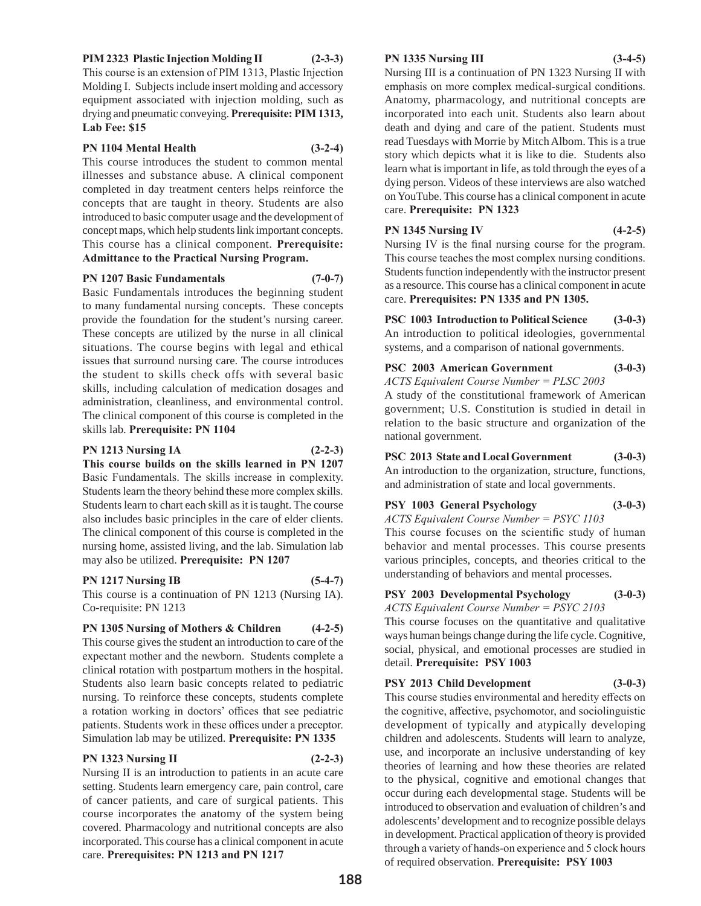#### **PIM 2323 Plastic Injection Molding II (2-3-3)**

This course is an extension of PIM 1313, Plastic Injection Molding I. Subjects include insert molding and accessory equipment associated with injection molding, such as drying and pneumatic conveying. **Prerequisite: PIM 1313, Lab Fee: \$15**

**PN 1104 Mental Health (3-2-4)**

This course introduces the student to common mental illnesses and substance abuse. A clinical component completed in day treatment centers helps reinforce the concepts that are taught in theory. Students are also introduced to basic computer usage and the development of concept maps, which help students link important concepts. This course has a clinical component. **Prerequisite: Admittance to the Practical Nursing Program.**

#### **PN 1207 Basic Fundamentals (7-0-7)**

Basic Fundamentals introduces the beginning student to many fundamental nursing concepts. These concepts provide the foundation for the student's nursing career. These concepts are utilized by the nurse in all clinical situations. The course begins with legal and ethical issues that surround nursing care. The course introduces the student to skills check offs with several basic skills, including calculation of medication dosages and administration, cleanliness, and environmental control. The clinical component of this course is completed in the skills lab. **Prerequisite: PN 1104**

#### **PN 1213 Nursing IA (2-2-3)**

**This course builds on the skills learned in PN 1207**  Basic Fundamentals. The skills increase in complexity. Students learn the theory behind these more complex skills. Students learn to chart each skill as it is taught. The course also includes basic principles in the care of elder clients. The clinical component of this course is completed in the nursing home, assisted living, and the lab. Simulation lab may also be utilized. **Prerequisite: PN 1207**

#### **PN 1217 Nursing IB (5-4-7)**

This course is a continuation of PN 1213 (Nursing IA). Co-requisite: PN 1213

**PN 1305 Nursing of Mothers & Children (4-2-5)** This course gives the student an introduction to care of the expectant mother and the newborn. Students complete a clinical rotation with postpartum mothers in the hospital. Students also learn basic concepts related to pediatric nursing. To reinforce these concepts, students complete a rotation working in doctors' offices that see pediatric patients. Students work in these offices under a preceptor. Simulation lab may be utilized. **Prerequisite: PN 1335**

# **PN 1323 Nursing II (2-2-3)**

Nursing II is an introduction to patients in an acute care setting. Students learn emergency care, pain control, care of cancer patients, and care of surgical patients. This course incorporates the anatomy of the system being covered. Pharmacology and nutritional concepts are also incorporated. This course has a clinical component in acute care. **Prerequisites: PN 1213 and PN 1217**

#### **PN 1335 Nursing III (3-4-5)**

Nursing III is a continuation of PN 1323 Nursing II with emphasis on more complex medical-surgical conditions. Anatomy, pharmacology, and nutritional concepts are incorporated into each unit. Students also learn about death and dying and care of the patient. Students must read Tuesdays with Morrie by Mitch Albom. This is a true story which depicts what it is like to die. Students also learn what is important in life, as told through the eyes of a dying person. Videos of these interviews are also watched on YouTube. This course has a clinical component in acute care. **Prerequisite: PN 1323**

# **PN 1345 Nursing IV (4-2-5)**

Nursing IV is the final nursing course for the program. This course teaches the most complex nursing conditions. Students function independently with the instructor present as a resource. This course has a clinical component in acute care. **Prerequisites: PN 1335 and PN 1305.**

**PSC 1003 Introduction to Political Science (3-0-3)** An introduction to political ideologies, governmental systems, and a comparison of national governments.

# **PSC 2003 American Government (3-0-3)**

*ACTS Equivalent Course Number = PLSC 2003* A study of the constitutional framework of American government; U.S. Constitution is studied in detail in relation to the basic structure and organization of the national government.

**PSC 2013 State and Local Government (3-0-3)** An introduction to the organization, structure, functions, and administration of state and local governments.

# **PSY 1003 General Psychology (3-0-3)**

*ACTS Equivalent Course Number = PSYC 1103* This course focuses on the scientific study of human behavior and mental processes. This course presents various principles, concepts, and theories critical to the understanding of behaviors and mental processes.

**PSY 2003 Developmental Psychology (3-0-3)** *ACTS Equivalent Course Number = PSYC 2103*

This course focuses on the quantitative and qualitative ways human beings change during the life cycle. Cognitive, social, physical, and emotional processes are studied in detail. **Prerequisite: PSY 1003** 

# **PSY 2013 Child Development (3-0-3)**

This course studies environmental and heredity effects on the cognitive, affective, psychomotor, and sociolinguistic development of typically and atypically developing children and adolescents. Students will learn to analyze, use, and incorporate an inclusive understanding of key theories of learning and how these theories are related to the physical, cognitive and emotional changes that occur during each developmental stage. Students will be introduced to observation and evaluation of children's and adolescents' development and to recognize possible delays in development. Practical application of theory is provided through a variety of hands-on experience and 5 clock hours of required observation. **Prerequisite: PSY 1003**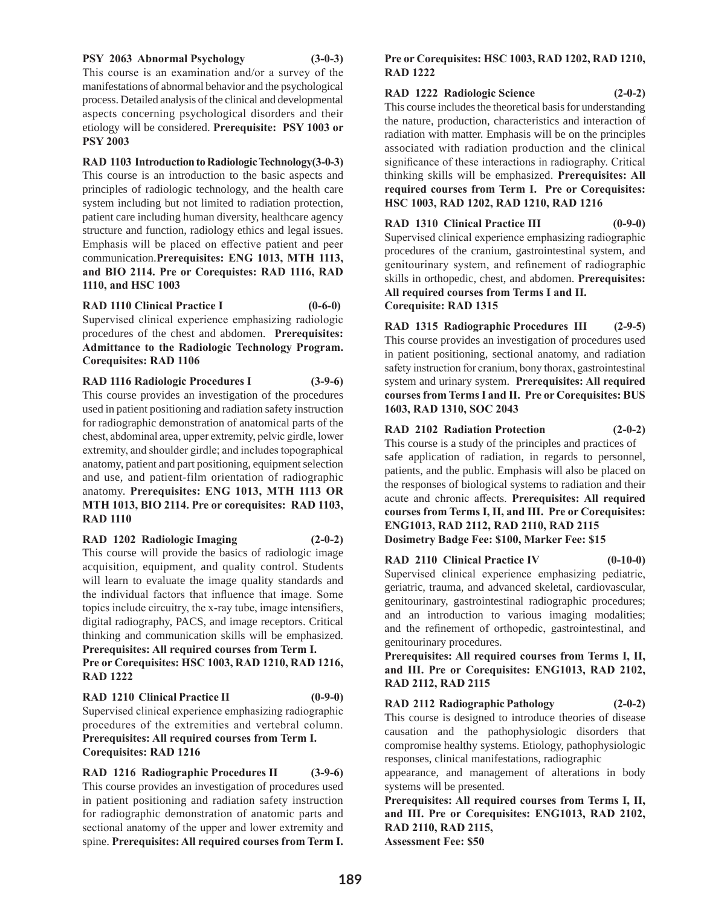#### **PSY 2063 Abnormal Psychology (3-0-3)**

This course is an examination and/or a survey of the manifestations of abnormal behavior and the psychological process. Detailed analysis of the clinical and developmental aspects concerning psychological disorders and their etiology will be considered. **Prerequisite: PSY 1003 or PSY 2003**

**RAD 1103 Introduction to Radiologic Technology(3-0-3)**

This course is an introduction to the basic aspects and principles of radiologic technology, and the health care system including but not limited to radiation protection, patient care including human diversity, healthcare agency structure and function, radiology ethics and legal issues. Emphasis will be placed on effective patient and peer communication.**Prerequisites: ENG 1013, MTH 1113, and BIO 2114. Pre or Corequistes: RAD 1116, RAD 1110, and HSC 1003**

**RAD 1110 Clinical Practice I (0-6-0)** Supervised clinical experience emphasizing radiologic procedures of the chest and abdomen. **Prerequisites: Admittance to the Radiologic Technology Program. Corequisites: RAD 1106**

**RAD 1116 Radiologic Procedures I (3-9-6)** This course provides an investigation of the procedures used in patient positioning and radiation safety instruction for radiographic demonstration of anatomical parts of the chest, abdominal area, upper extremity, pelvic girdle, lower extremity, and shoulder girdle; and includes topographical anatomy, patient and part positioning, equipment selection and use, and patient-film orientation of radiographic anatomy. **Prerequisites: ENG 1013, MTH 1113 OR MTH 1013, BIO 2114. Pre or corequisites: RAD 1103, RAD 1110**

**RAD 1202 Radiologic Imaging (2-0-2)** This course will provide the basics of radiologic image acquisition, equipment, and quality control. Students will learn to evaluate the image quality standards and the individual factors that influence that image. Some topics include circuitry, the x-ray tube, image intensifiers, digital radiography, PACS, and image receptors. Critical thinking and communication skills will be emphasized. **Prerequisites: All required courses from Term I.** 

**Pre or Corequisites: HSC 1003, RAD 1210, RAD 1216, RAD 1222** 

**RAD 1210 Clinical Practice II (0-9-0)** Supervised clinical experience emphasizing radiographic procedures of the extremities and vertebral column. **Prerequisites: All required courses from Term I. Corequisites: RAD 1216**

**RAD 1216 Radiographic Procedures II (3-9-6)** This course provides an investigation of procedures used in patient positioning and radiation safety instruction for radiographic demonstration of anatomic parts and sectional anatomy of the upper and lower extremity and spine. **Prerequisites: All required courses from Term I.** 

#### **Pre or Corequisites: HSC 1003, RAD 1202, RAD 1210, RAD 1222**

# **RAD 1222 Radiologic Science (2-0-2)**

This course includes the theoretical basis for understanding the nature, production, characteristics and interaction of radiation with matter. Emphasis will be on the principles associated with radiation production and the clinical significance of these interactions in radiography. Critical thinking skills will be emphasized. **Prerequisites: All required courses from Term I. Pre or Corequisites: HSC 1003, RAD 1202, RAD 1210, RAD 1216**

**RAD 1310 Clinical Practice III (0-9-0)** Supervised clinical experience emphasizing radiographic procedures of the cranium, gastrointestinal system, and genitourinary system, and refinement of radiographic skills in orthopedic, chest, and abdomen. **Prerequisites: All required courses from Terms I and II. Corequisite: RAD 1315**

**RAD 1315 Radiographic Procedures III (2-9-5)** This course provides an investigation of procedures used in patient positioning, sectional anatomy, and radiation safety instruction for cranium, bony thorax, gastrointestinal system and urinary system. **Prerequisites: All required courses from Terms I and II. Pre or Corequisites: BUS 1603, RAD 1310, SOC 2043**

**RAD 2102 Radiation Protection (2-0-2)** This course is a study of the principles and practices of safe application of radiation, in regards to personnel, patients, and the public. Emphasis will also be placed on

the responses of biological systems to radiation and their acute and chronic affects. **Prerequisites: All required courses from Terms I, II, and III. Pre or Corequisites: ENG1013, RAD 2112, RAD 2110, RAD 2115 Dosimetry Badge Fee: \$100, Marker Fee: \$15**

**RAD 2110 Clinical Practice IV (0-10-0)** Supervised clinical experience emphasizing pediatric, geriatric, trauma, and advanced skeletal, cardiovascular, genitourinary, gastrointestinal radiographic procedures; and an introduction to various imaging modalities; and the refinement of orthopedic, gastrointestinal, and genitourinary procedures.

**Prerequisites: All required courses from Terms I, II, and III. Pre or Corequisites: ENG1013, RAD 2102, RAD 2112, RAD 2115**

**RAD 2112 Radiographic Pathology (2-0-2)** This course is designed to introduce theories of disease causation and the pathophysiologic disorders that compromise healthy systems. Etiology, pathophysiologic responses, clinical manifestations, radiographic

appearance, and management of alterations in body systems will be presented.

**Prerequisites: All required courses from Terms I, II, and III. Pre or Corequisites: ENG1013, RAD 2102, RAD 2110, RAD 2115, Assessment Fee: \$50**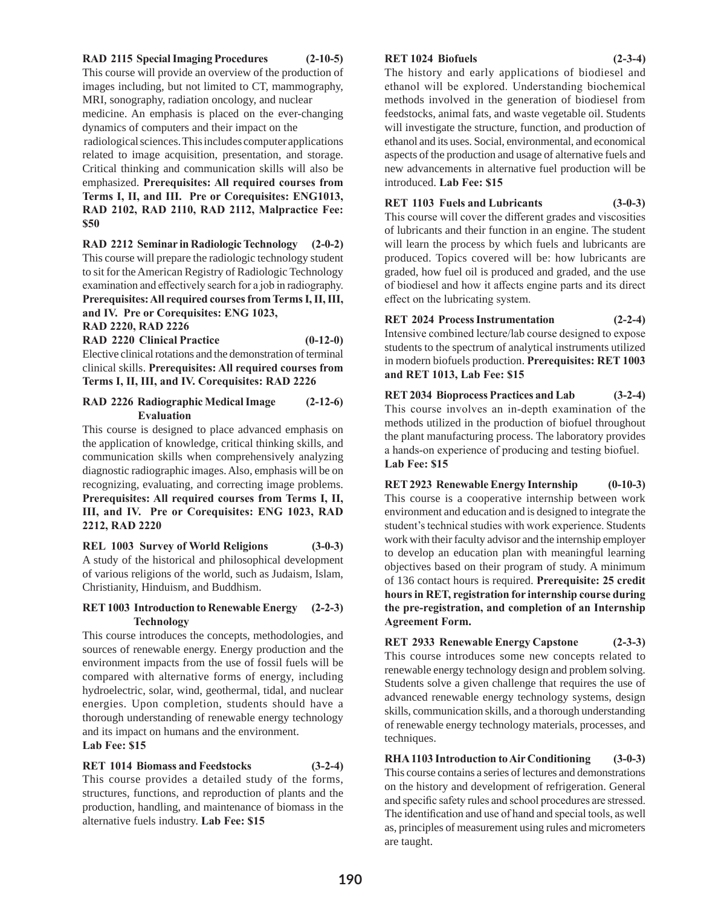#### **RAD 2115 Special Imaging Procedures (2-10-5)**

This course will provide an overview of the production of images including, but not limited to CT, mammography, MRI, sonography, radiation oncology, and nuclear

medicine. An emphasis is placed on the ever-changing dynamics of computers and their impact on the

 radiological sciences. This includes computer applications related to image acquisition, presentation, and storage. Critical thinking and communication skills will also be emphasized. **Prerequisites: All required courses from Terms I, II, and III. Pre or Corequisites: ENG1013, RAD 2102, RAD 2110, RAD 2112, Malpractice Fee: \$50** 

**RAD 2212 Seminar in Radiologic Technology (2-0-2)** This course will prepare the radiologic technology student to sit for the American Registry of Radiologic Technology examination and effectively search for a job in radiography. **Prerequisites: All required courses from Terms I, II, III, and IV. Pre or Corequisites: ENG 1023,** 

**RAD 2220, RAD 2226**

**RAD 2220 Clinical Practice (0-12-0)** Elective clinical rotations and the demonstration of terminal clinical skills. **Prerequisites: All required courses from Terms I, II, III, and IV. Corequisites: RAD 2226**

# **RAD 2226 Radiographic Medical Image (2-12-6) Evaluation**

This course is designed to place advanced emphasis on the application of knowledge, critical thinking skills, and communication skills when comprehensively analyzing diagnostic radiographic images. Also, emphasis will be on recognizing, evaluating, and correcting image problems. **Prerequisites: All required courses from Terms I, II, III, and IV. Pre or Corequisites: ENG 1023, RAD 2212, RAD 2220**

**REL 1003 Survey of World Religions (3-0-3)** A study of the historical and philosophical development of various religions of the world, such as Judaism, Islam, Christianity, Hinduism, and Buddhism.

# **RET 1003 Introduction to Renewable Energy (2-2-3) Technology**

This course introduces the concepts, methodologies, and sources of renewable energy. Energy production and the environment impacts from the use of fossil fuels will be compared with alternative forms of energy, including hydroelectric, solar, wind, geothermal, tidal, and nuclear energies. Upon completion, students should have a thorough understanding of renewable energy technology and its impact on humans and the environment.

# **Lab Fee: \$15**

# **RET 1014 Biomass and Feedstocks (3-2-4)**

This course provides a detailed study of the forms, structures, functions, and reproduction of plants and the production, handling, and maintenance of biomass in the alternative fuels industry. **Lab Fee: \$15**

#### **RET 1024 Biofuels (2-3-4)**

The history and early applications of biodiesel and ethanol will be explored. Understanding biochemical methods involved in the generation of biodiesel from feedstocks, animal fats, and waste vegetable oil. Students will investigate the structure, function, and production of ethanol and its uses. Social, environmental, and economical aspects of the production and usage of alternative fuels and new advancements in alternative fuel production will be introduced. **Lab Fee: \$15**

#### **RET 1103 Fuels and Lubricants (3-0-3)**

This course will cover the different grades and viscosities of lubricants and their function in an engine. The student will learn the process by which fuels and lubricants are produced. Topics covered will be: how lubricants are graded, how fuel oil is produced and graded, and the use of biodiesel and how it affects engine parts and its direct effect on the lubricating system.

**RET 2024 Process Instrumentation (2-2-4)** Intensive combined lecture/lab course designed to expose students to the spectrum of analytical instruments utilized in modern biofuels production. **Prerequisites: RET 1003 and RET 1013, Lab Fee: \$15**

**RET 2034 Bioprocess Practices and Lab (3-2-4)** This course involves an in-depth examination of the methods utilized in the production of biofuel throughout the plant manufacturing process. The laboratory provides a hands-on experience of producing and testing biofuel. **Lab Fee: \$15**

**RET 2923 Renewable Energy Internship (0-10-3)** This course is a cooperative internship between work environment and education and is designed to integrate the student's technical studies with work experience. Students work with their faculty advisor and the internship employer to develop an education plan with meaningful learning objectives based on their program of study. A minimum of 136 contact hours is required. **Prerequisite: 25 credit hours in RET, registration for internship course during the pre-registration, and completion of an Internship Agreement Form.**

**RET 2933 Renewable Energy Capstone (2-3-3)** This course introduces some new concepts related to renewable energy technology design and problem solving. Students solve a given challenge that requires the use of advanced renewable energy technology systems, design skills, communication skills, and a thorough understanding of renewable energy technology materials, processes, and techniques.

**RHA 1103 Introduction to Air Conditioning (3-0-3)** This course contains a series of lectures and demonstrations on the history and development of refrigeration. General and specific safety rules and school procedures are stressed. The identification and use of hand and special tools, as well as, principles of measurement using rules and micrometers are taught.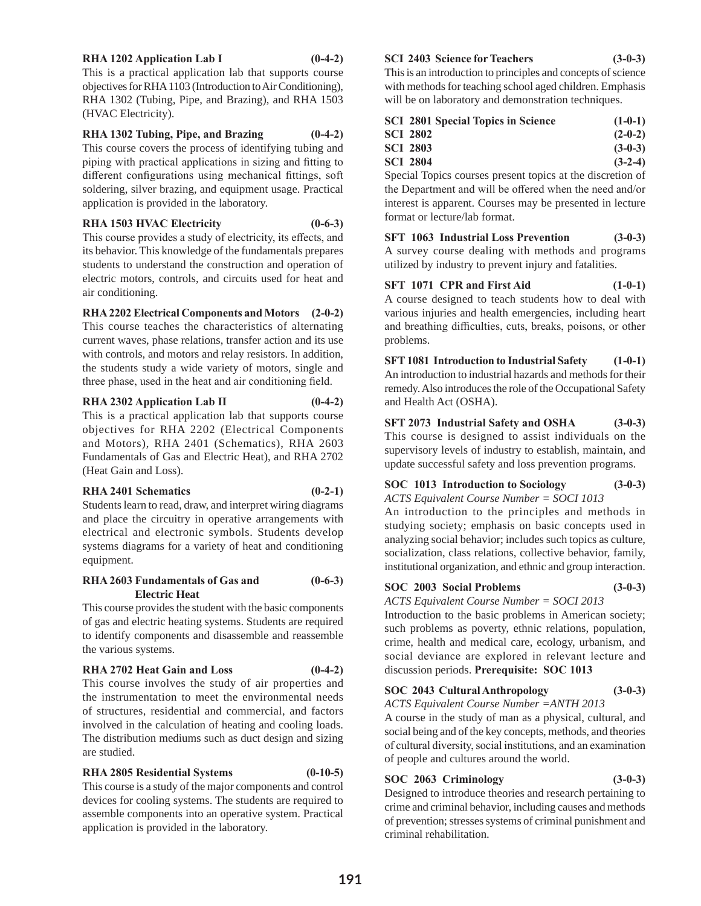#### **RHA 1202 Application Lab I (0-4-2)**

This is a practical application lab that supports course objectives for RHA 1103 (Introduction to Air Conditioning), RHA 1302 (Tubing, Pipe, and Brazing), and RHA 1503 (HVAC Electricity).

# **RHA 1302 Tubing, Pipe, and Brazing (0-4-2)**

This course covers the process of identifying tubing and piping with practical applications in sizing and fitting to different configurations using mechanical fittings, soft soldering, silver brazing, and equipment usage. Practical application is provided in the laboratory.

# **RHA 1503 HVAC Electricity (0-6-3)**

This course provides a study of electricity, its effects, and its behavior. This knowledge of the fundamentals prepares students to understand the construction and operation of electric motors, controls, and circuits used for heat and air conditioning.

# **RHA 2202 Electrical Components and Motors (2-0-2)**

This course teaches the characteristics of alternating current waves, phase relations, transfer action and its use with controls, and motors and relay resistors. In addition, the students study a wide variety of motors, single and three phase, used in the heat and air conditioning field.

# **RHA 2302 Application Lab II (0-4-2)**

This is a practical application lab that supports course objectives for RHA 2202 (Electrical Components and Motors), RHA 2401 (Schematics), RHA 2603 Fundamentals of Gas and Electric Heat), and RHA 2702 (Heat Gain and Loss).

#### **RHA 2401 Schematics (0-2-1)**

Students learn to read, draw, and interpret wiring diagrams and place the circuitry in operative arrangements with electrical and electronic symbols. Students develop systems diagrams for a variety of heat and conditioning equipment.

# **RHA 2603 Fundamentals of Gas and (0-6-3) Electric Heat**

This course provides the student with the basic components of gas and electric heating systems. Students are required to identify components and disassemble and reassemble the various systems.

# **RHA 2702 Heat Gain and Loss (0-4-2)**

This course involves the study of air properties and the instrumentation to meet the environmental needs of structures, residential and commercial, and factors involved in the calculation of heating and cooling loads. The distribution mediums such as duct design and sizing are studied.

# **RHA 2805 Residential Systems (0-10-5)**

This course is a study of the major components and control devices for cooling systems. The students are required to assemble components into an operative system. Practical application is provided in the laboratory.

#### **SCI 2403 Science for Teachers (3-0-3)**

This is an introduction to principles and concepts of science with methods for teaching school aged children. Emphasis will be on laboratory and demonstration techniques.

| <b>SCI 2801 Special Topics in Science</b> | $(1-0-1)$ |
|-------------------------------------------|-----------|
| <b>SCI 2802</b>                           | $(2-0-2)$ |
| <b>SCI 2803</b>                           | $(3-0-3)$ |
| <b>SCI 2804</b>                           | $(3-2-4)$ |
|                                           |           |

Special Topics courses present topics at the discretion of the Department and will be offered when the need and/or interest is apparent. Courses may be presented in lecture format or lecture/lab format.

**SFT 1063 Industrial Loss Prevention (3-0-3)** A survey course dealing with methods and programs utilized by industry to prevent injury and fatalities.

**SFT 1071 CPR and First Aid (1-0-1)** A course designed to teach students how to deal with various injuries and health emergencies, including heart and breathing difficulties, cuts, breaks, poisons, or other problems.

**SFT 1081 Introduction to Industrial Safety (1-0-1)** An introduction to industrial hazards and methods for their remedy. Also introduces the role of the Occupational Safety and Health Act (OSHA).

**SFT 2073 Industrial Safety and OSHA (3-0-3)** This course is designed to assist individuals on the supervisory levels of industry to establish, maintain, and update successful safety and loss prevention programs.

# **SOC 1013 Introduction to Sociology (3-0-3)**

*ACTS Equivalent Course Number = SOCI 1013*

An introduction to the principles and methods in studying society; emphasis on basic concepts used in analyzing social behavior; includes such topics as culture, socialization, class relations, collective behavior, family, institutional organization, and ethnic and group interaction.

# **SOC 2003 Social Problems (3-0-3)**

*ACTS Equivalent Course Number = SOCI 2013* Introduction to the basic problems in American society; such problems as poverty, ethnic relations, population, crime, health and medical care, ecology, urbanism, and social deviance are explored in relevant lecture and discussion periods. **Prerequisite: SOC 1013**

# **SOC 2043 Cultural Anthropology (3-0-3)**

*ACTS Equivalent Course Number =ANTH 2013*

A course in the study of man as a physical, cultural, and social being and of the key concepts, methods, and theories of cultural diversity, social institutions, and an examination of people and cultures around the world.

# **SOC 2063 Criminology (3-0-3)**

Designed to introduce theories and research pertaining to crime and criminal behavior, including causes and methods of prevention; stresses systems of criminal punishment and criminal rehabilitation.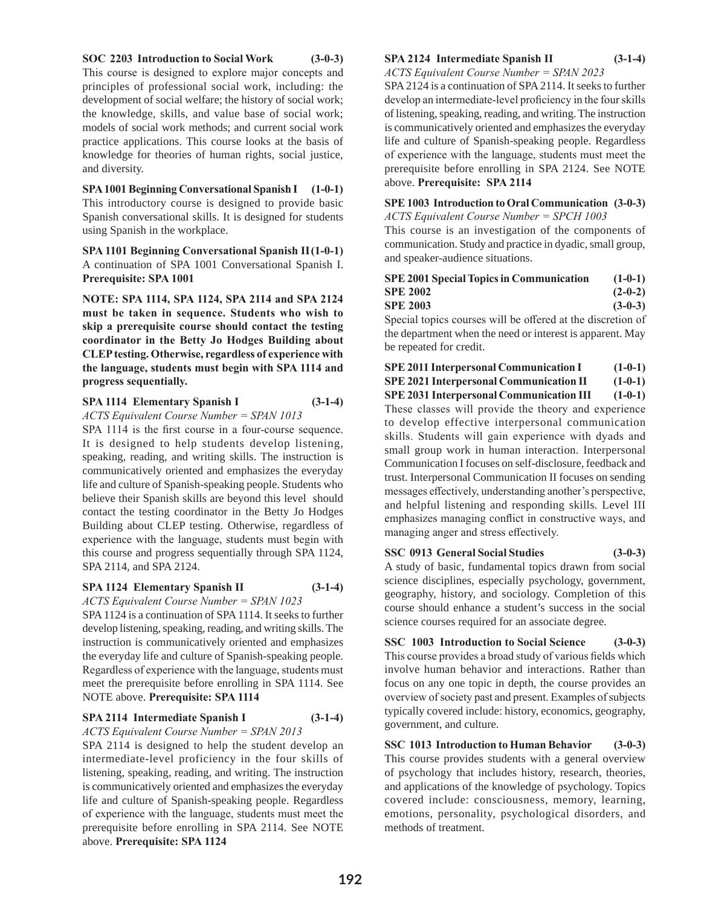#### **SOC 2203 Introduction to Social Work (3-0-3)**

This course is designed to explore major concepts and principles of professional social work, including: the development of social welfare; the history of social work; the knowledge, skills, and value base of social work; models of social work methods; and current social work practice applications. This course looks at the basis of knowledge for theories of human rights, social justice, and diversity.

**SPA 1001 Beginning Conversational Spanish I (1-0-1)** This introductory course is designed to provide basic Spanish conversational skills. It is designed for students using Spanish in the workplace.

**SPA 1101 Beginning Conversational Spanish II (1-0-1)** A continuation of SPA 1001 Conversational Spanish I. **Prerequisite: SPA 1001**

**NOTE: SPA 1114, SPA 1124, SPA 2114 and SPA 2124 must be taken in sequence. Students who wish to skip a prerequisite course should contact the testing coordinator in the Betty Jo Hodges Building about CLEP testing. Otherwise, regardless of experience with the language, students must begin with SPA 1114 and progress sequentially.**

# **SPA 1114 Elementary Spanish I (3-1-4)**

*ACTS Equivalent Course Number = SPAN 1013*

SPA 1114 is the first course in a four-course sequence. It is designed to help students develop listening, speaking, reading, and writing skills. The instruction is communicatively oriented and emphasizes the everyday life and culture of Spanish-speaking people. Students who believe their Spanish skills are beyond this level should contact the testing coordinator in the Betty Jo Hodges Building about CLEP testing. Otherwise, regardless of experience with the language, students must begin with this course and progress sequentially through SPA 1124, SPA 2114, and SPA 2124.

#### **SPA 1124 Elementary Spanish II (3-1-4)**

*ACTS Equivalent Course Number = SPAN 1023* SPA 1124 is a continuation of SPA 1114. It seeks to further develop listening, speaking, reading, and writing skills. The instruction is communicatively oriented and emphasizes the everyday life and culture of Spanish-speaking people. Regardless of experience with the language, students must meet the prerequisite before enrolling in SPA 1114. See NOTE above. **Prerequisite: SPA 1114** 

#### **SPA 2114 Intermediate Spanish I (3-1-4)**

*ACTS Equivalent Course Number = SPAN 2013*

SPA 2114 is designed to help the student develop an intermediate-level proficiency in the four skills of listening, speaking, reading, and writing. The instruction is communicatively oriented and emphasizes the everyday life and culture of Spanish-speaking people. Regardless of experience with the language, students must meet the prerequisite before enrolling in SPA 2114. See NOTE above. **Prerequisite: SPA 1124** 

#### **SPA 2124 Intermediate Spanish II (3-1-4)**

*ACTS Equivalent Course Number = SPAN 2023* SPA 2124 is a continuation of SPA 2114. It seeks to further develop an intermediate-level proficiency in the four skills of listening, speaking, reading, and writing. The instruction is communicatively oriented and emphasizes the everyday life and culture of Spanish-speaking people. Regardless of experience with the language, students must meet the prerequisite before enrolling in SPA 2124. See NOTE above. **Prerequisite: SPA 2114** 

#### **SPE 1003 Introduction to Oral Communication (3-0-3)**  *ACTS Equivalent Course Number = SPCH 1003*

This course is an investigation of the components of communication. Study and practice in dyadic, small group, and speaker-audience situations.

| <b>SPE 2001 Special Topics in Communication</b> | $(1-0-1)$ |
|-------------------------------------------------|-----------|
| <b>SPE 2002</b>                                 | $(2-0-2)$ |
| <b>SPE 2003</b>                                 | $(3-0-3)$ |

Special topics courses will be offered at the discretion of the department when the need or interest is apparent. May be repeated for credit.

| <b>SPE 2011 Interpersonal Communication I</b> | $(1-0-1)$    |  |
|-----------------------------------------------|--------------|--|
|                                               | $(1 \cap 1)$ |  |

**SPE 2021 Interpersonal Communication II (1-0-1)**

**SPE 2031 Interpersonal Communication III (1-0-1)**

These classes will provide the theory and experience to develop effective interpersonal communication skills. Students will gain experience with dyads and small group work in human interaction. Interpersonal Communication I focuses on self-disclosure, feedback and trust. Interpersonal Communication II focuses on sending messages effectively, understanding another's perspective, and helpful listening and responding skills. Level III emphasizes managing conflict in constructive ways, and managing anger and stress effectively.

# **SSC 0913 General Social Studies (3-0-3)**

A study of basic, fundamental topics drawn from social science disciplines, especially psychology, government, geography, history, and sociology. Completion of this course should enhance a student's success in the social science courses required for an associate degree.

**SSC 1003 Introduction to Social Science (3-0-3)** This course provides a broad study of various fields which involve human behavior and interactions. Rather than focus on any one topic in depth, the course provides an overview of society past and present. Examples of subjects typically covered include: history, economics, geography, government, and culture.

**SSC 1013 Introduction to Human Behavior (3-0-3)** This course provides students with a general overview of psychology that includes history, research, theories, and applications of the knowledge of psychology. Topics covered include: consciousness, memory, learning, emotions, personality, psychological disorders, and methods of treatment.